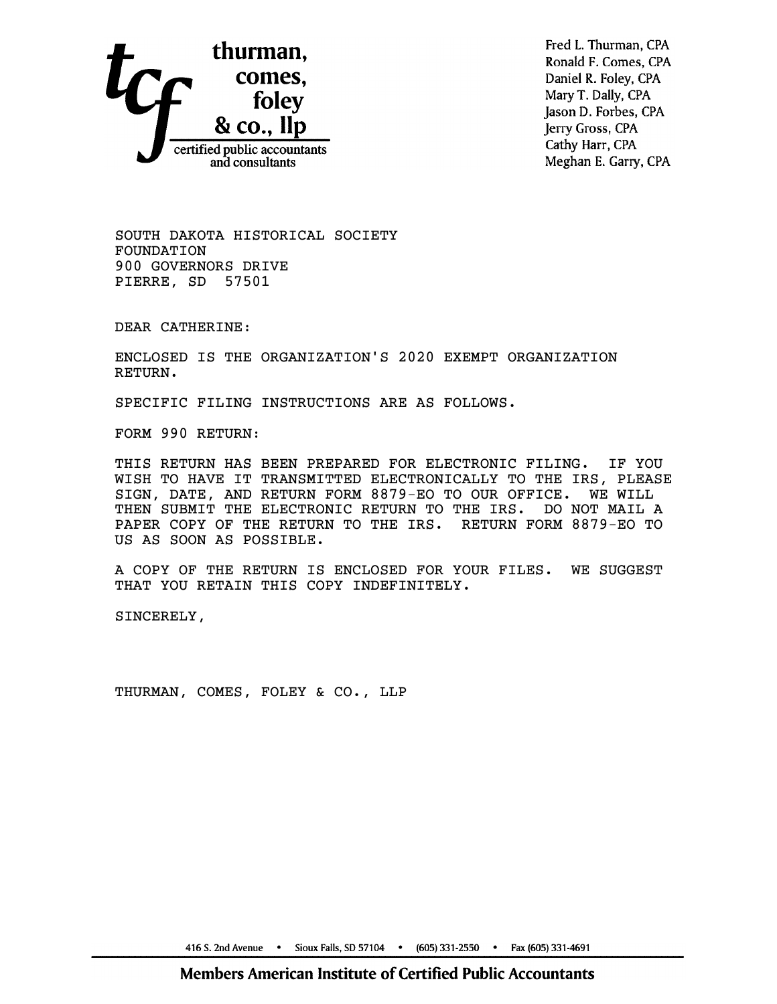

Fred L. Thurman, CPA Ronald F. Comes, CPA Daniel R. Foley, CPA Mary T. Dally, CPA Jason D. Forbes, CPA Jerry Gross, CPA Cathy Harr, CPA Meghan E. Garry, CPA

SOUTH DAKOTA HISTORICAL SOCIETY FOUNDATION 900 GOVERNORS DRIVE PIERRE, SD 57501

DEAR CATHERINE:

ENCLOSED IS THE ORGANIZATION'S 2020 EXEMPT ORGANIZATION RETURN.

SPECIFIC FILING INSTRUCTIONS ARE AS FOLLOWS.

FORM 990 RETURN:

THIS RETURN HAS BEEN PREPARED FOR ELECTRONIC FILING. IF YOU WISH TO HAVE IT TRANSMITTED ELECTRONICALLY TO THE IRS, PLEASE SIGN, DATE, AND RETURN FORM 8879-EO TO OUR OFFICE. WE WILL THEN SUBMIT THE ELECTRONIC RETURN TO THE IRS. DO NOT MAIL A PAPER COPY OF THE RETURN TO THE IRS. RETURN FORM 8879-EO TO US AS SOON AS POSSIBLE.

A COPY OF THE RETURN IS ENCLOSED FOR YOUR FILES. WE SUGGEST THAT YOU RETAIN THIS COPY INDEFINITELY.

SINCERELY,

THURMAN, COMES, FOLEY & CO., LLP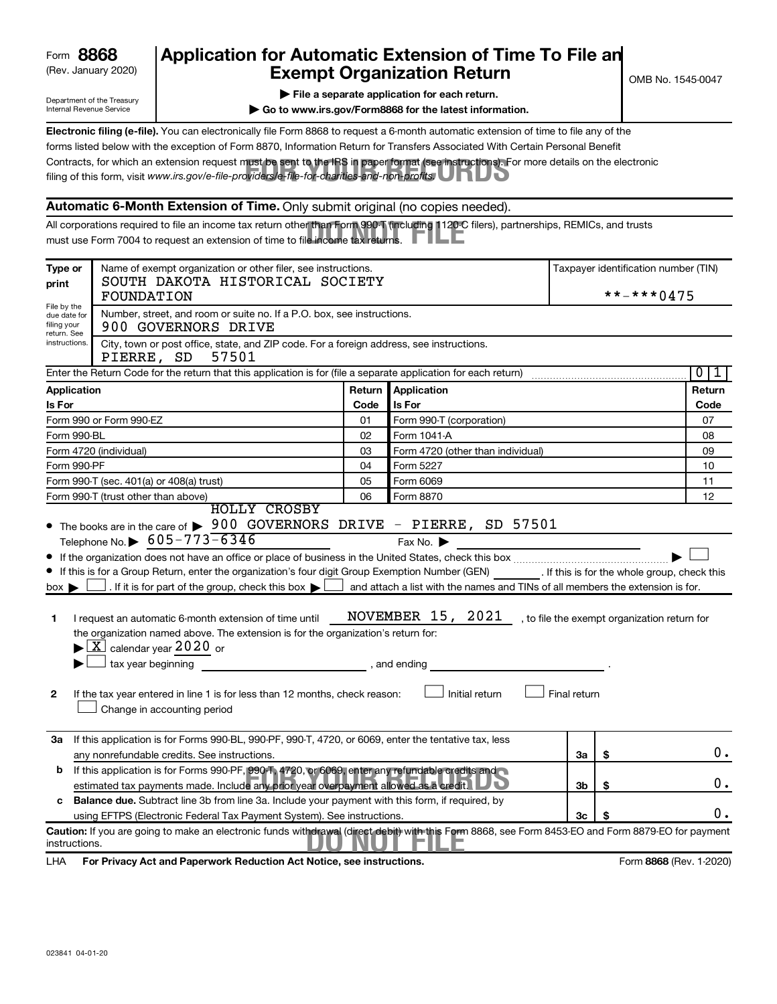| Form | 8868 |
|------|------|
|------|------|

# (Rev. January 2020) **Cxempt Organization Return** Manuary 2020) and the settern **Canadian Exempt Organization Return** Form **8868 Application for Automatic Extension of Time To File an**<br>**Exampt Organization Beturn**

Department of the Treasury Internal Revenue Service

|  | File a separate application for each return. |  |
|--|----------------------------------------------|--|

**| Go to www.irs.gov/Form8868 for the latest information.**

Contracts, for which an extension request must be sent to the IRS in paper format (see instructions). For more details on the electronic<br>filing of this form, visit www.irs.*gov/e-file-providers/e-file-for-charities-and-non* **Electronic filing (e-file).** You can electronically file Form 8868 to request a 6-month automatic extension of time to file any of the filing of this form, visit www.irs.gov/e-file-providers/e-file-for-charities-and-non-profits. forms listed below with the exception of Form 8870, Information Return for Transfers Associated With Certain Personal Benefit

#### **Automatic 6-Month Extension of Time.** Only submit original (no copies needed).

All corporations required to file an income tax return other than Form 990-T (including 1120-C filers), partnerships, REMICs, and trusts<br>must use Form 7004 to request an extension of time to file income tax returns. must use Form 7004 to request an extension of time to file income tax returns.

| Type or<br>print                                          | Name of exempt organization or other filer, see instructions.<br>SOUTH DAKOTA HISTORICAL SOCIETY<br>FOUNDATION                                                                                                                                                                                                                                                                                                                                                                                                                                                                         |              |                                                                                                                                                                   |              |      | Taxpayer identification number (TIN)<br>**-***0475 |
|-----------------------------------------------------------|----------------------------------------------------------------------------------------------------------------------------------------------------------------------------------------------------------------------------------------------------------------------------------------------------------------------------------------------------------------------------------------------------------------------------------------------------------------------------------------------------------------------------------------------------------------------------------------|--------------|-------------------------------------------------------------------------------------------------------------------------------------------------------------------|--------------|------|----------------------------------------------------|
| File by the<br>due date for<br>filing your<br>return. See | Number, street, and room or suite no. If a P.O. box, see instructions.<br>900 GOVERNORS DRIVE                                                                                                                                                                                                                                                                                                                                                                                                                                                                                          |              |                                                                                                                                                                   |              |      |                                                    |
| instructions.                                             | City, town or post office, state, and ZIP code. For a foreign address, see instructions.<br>57501<br>PIERRE, SD                                                                                                                                                                                                                                                                                                                                                                                                                                                                        |              |                                                                                                                                                                   |              |      |                                                    |
|                                                           | Enter the Return Code for the return that this application is for (file a separate application for each return)                                                                                                                                                                                                                                                                                                                                                                                                                                                                        |              |                                                                                                                                                                   |              |      | $\overline{0}$<br>ı                                |
| Application                                               |                                                                                                                                                                                                                                                                                                                                                                                                                                                                                                                                                                                        | Return       | <b>Application</b>                                                                                                                                                |              |      | Return                                             |
| Is For<br>Is For<br>Code                                  |                                                                                                                                                                                                                                                                                                                                                                                                                                                                                                                                                                                        |              |                                                                                                                                                                   |              | Code |                                                    |
|                                                           | Form 990 or Form 990-EZ                                                                                                                                                                                                                                                                                                                                                                                                                                                                                                                                                                | 01           | Form 990-T (corporation)                                                                                                                                          |              |      | 07                                                 |
| Form 990-BL                                               |                                                                                                                                                                                                                                                                                                                                                                                                                                                                                                                                                                                        | 02           | Form 1041-A                                                                                                                                                       |              |      | 08                                                 |
|                                                           | Form 4720 (individual)                                                                                                                                                                                                                                                                                                                                                                                                                                                                                                                                                                 | 03           | Form 4720 (other than individual)                                                                                                                                 |              |      | 09                                                 |
| Form 990-PF                                               |                                                                                                                                                                                                                                                                                                                                                                                                                                                                                                                                                                                        | 04           | Form 5227                                                                                                                                                         |              |      | 10                                                 |
|                                                           | Form 990-T (sec. 401(a) or 408(a) trust)                                                                                                                                                                                                                                                                                                                                                                                                                                                                                                                                               | 05           | Form 6069                                                                                                                                                         |              |      | 11                                                 |
|                                                           | Form 990-T (trust other than above)                                                                                                                                                                                                                                                                                                                                                                                                                                                                                                                                                    | 06           | Form 8870                                                                                                                                                         |              |      | 12                                                 |
| $box \blacktriangleright$<br>1<br>2                       | If this is for a Group Return, enter the organization's four digit Group Exemption Number (GEN) [If this is for the whole group, check this<br>. If it is for part of the group, check this box $\blacktriangleright$ [<br>I request an automatic 6-month extension of time until<br>the organization named above. The extension is for the organization's return for:<br>$\blacktriangleright$ $\lfloor$ X $\rfloor$ calendar year 2020 or<br>$\Box$ tax year beginning<br>If the tax year entered in line 1 is for less than 12 months, check reason:<br>Change in accounting period | , and ending | and attach a list with the names and TINs of all members the extension is for.<br>NOVEMBER 15, 2021, to file the exempt organization return for<br>Initial return | Final return |      |                                                    |
|                                                           | 3a If this application is for Forms 990-BL, 990-PF, 990-T, 4720, or 6069, enter the tentative tax, less<br>any nonrefundable credits. See instructions.                                                                                                                                                                                                                                                                                                                                                                                                                                |              |                                                                                                                                                                   | За           | \$   | 0.                                                 |
| b                                                         | If this application is for Forms 990-PF, 990-T, 4720, or 6069, enter any refundable credits and<br>estimated tax payments made. Include any prior year overpayment allowed as a credit.                                                                                                                                                                                                                                                                                                                                                                                                |              |                                                                                                                                                                   | 3b           | \$   | 0.                                                 |
| c                                                         | Balance due. Subtract line 3b from line 3a. Include your payment with this form, if required, by                                                                                                                                                                                                                                                                                                                                                                                                                                                                                       |              |                                                                                                                                                                   |              |      | 0.                                                 |
|                                                           | using EFTPS (Electronic Federal Tax Payment System). See instructions.<br>Caution: If you are going to make an electronic funds withdrawal (direct debit) with this Form 8868, see Form 8453-EO and Form 8879-EO for payment                                                                                                                                                                                                                                                                                                                                                           |              |                                                                                                                                                                   | 3c           |      |                                                    |
| instructions.                                             |                                                                                                                                                                                                                                                                                                                                                                                                                                                                                                                                                                                        |              |                                                                                                                                                                   |              |      |                                                    |

LHA For Privacy Act and Paperwork Reduction Act Notice, see instructions. **8868** CREV. 1-2020)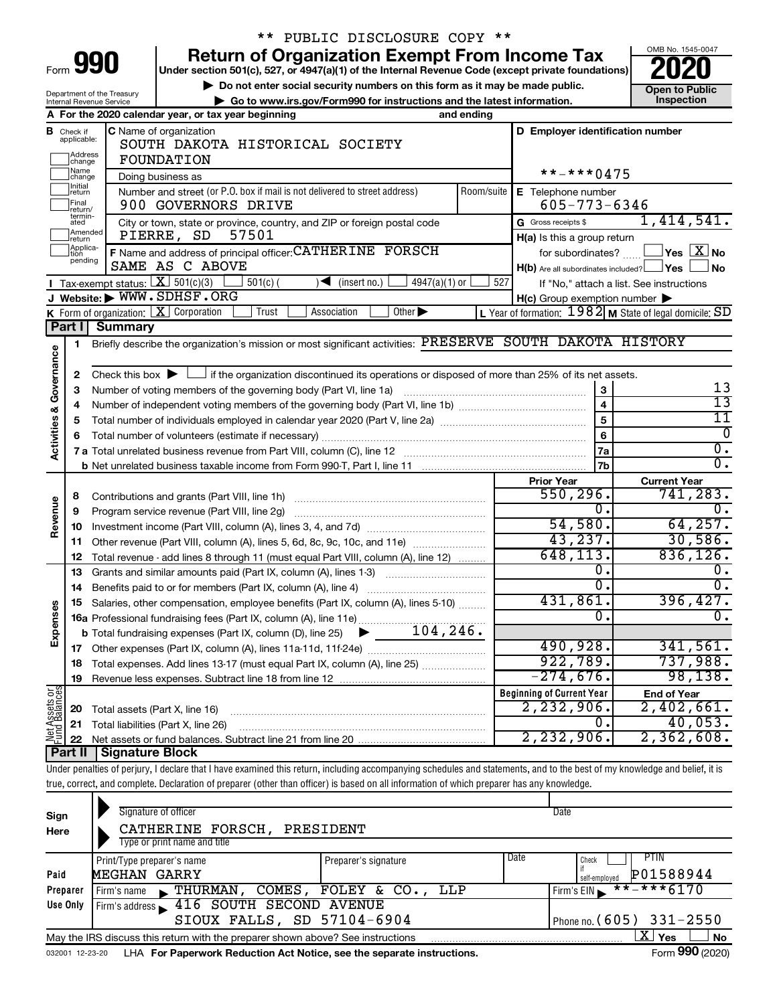| ırm   |  |  |
|-------|--|--|
| <br>◢ |  |  |

Department of the Treasury Internal Revenue Service

# \*\* PUBLIC DISCLOSURE COPY \*\*

**990** Return of Organization Exempt From Income Tax <br>
Under section 501(c), 527, or 4947(a)(1) of the Internal Revenue Code (except private foundations)<br> **PO20** 

**▶ Do not enter social security numbers on this form as it may be made public. Open to Public**<br>
inspection instructions and the latest information. Inspection **| Go to www.irs.gov/Form990 for instructions and the latest information. Inspection**



|                                    |                                                                                                                                        | A For the 2020 calendar year, or tax year beginning                                                                                         | and ending |                                                  |                                                           |
|------------------------------------|----------------------------------------------------------------------------------------------------------------------------------------|---------------------------------------------------------------------------------------------------------------------------------------------|------------|--------------------------------------------------|-----------------------------------------------------------|
| в                                  | Check if<br>applicable:                                                                                                                | <b>C</b> Name of organization<br>SOUTH DAKOTA HISTORICAL SOCIETY                                                                            |            | D Employer identification number                 |                                                           |
|                                    | Address<br> change                                                                                                                     | <b>FOUNDATION</b>                                                                                                                           |            |                                                  |                                                           |
|                                    | Name<br>change                                                                                                                         | Doing business as                                                                                                                           |            | **-***0475                                       |                                                           |
|                                    | Initial<br> return<br>Number and street (or P.O. box if mail is not delivered to street address)<br>Room/suite<br>E Telephone number   |                                                                                                                                             |            |                                                  |                                                           |
|                                    | Final<br>900 GOVERNORS DRIVE<br>return/<br>termin-<br>City or town, state or province, country, and ZIP or foreign postal code<br>ated |                                                                                                                                             |            | $605 - 773 - 6346$                               |                                                           |
|                                    |                                                                                                                                        |                                                                                                                                             |            | G Gross receipts \$                              | 1,414,541.                                                |
|                                    | Amended<br>return                                                                                                                      | PIERRE, SD<br>57501                                                                                                                         |            | H(a) Is this a group return                      |                                                           |
|                                    | Applica-<br>Ition                                                                                                                      | F Name and address of principal officer: CATHERINE FORSCH                                                                                   |            | for subordinates?                                | $\sqrt{\ }$ Yes $\sqrt{\ \text{X}}$ No                    |
|                                    | pending                                                                                                                                | SAME AS C ABOVE                                                                                                                             |            | $H(b)$ Are all subordinates included? $\Box$ Yes | <b>No</b>                                                 |
|                                    |                                                                                                                                        | <b>I</b> Tax-exempt status: $\boxed{\mathbf{X}}$ 501(c)(3)<br>$501(c)$ (<br>$\sqrt{\frac{1}{1}}$ (insert no.)<br>$4947(a)(1)$ or            | 527        |                                                  | If "No," attach a list. See instructions                  |
|                                    |                                                                                                                                        | J Website: WWW.SDHSF.ORG                                                                                                                    |            | H(c) Group exemption number                      |                                                           |
|                                    |                                                                                                                                        | Other $\blacktriangleright$<br>K Form of organization: $X$ Corporation<br>Association<br>Trust                                              |            |                                                  | L Year of formation: $1982$ M State of legal domicile: SD |
|                                    | Part I                                                                                                                                 | <b>Summary</b>                                                                                                                              |            |                                                  |                                                           |
|                                    | 1                                                                                                                                      | Briefly describe the organization's mission or most significant activities: PRESERVE SOUTH DAKOTA HISTORY                                   |            |                                                  |                                                           |
| <b>Activities &amp; Governance</b> |                                                                                                                                        |                                                                                                                                             |            |                                                  |                                                           |
|                                    | 2                                                                                                                                      | Check this box $\blacktriangleright$ $\Box$ if the organization discontinued its operations or disposed of more than 25% of its net assets. |            |                                                  | 13                                                        |
|                                    | З                                                                                                                                      |                                                                                                                                             |            | 3<br>4                                           | 13                                                        |
|                                    | 4                                                                                                                                      |                                                                                                                                             |            | 5                                                | 11                                                        |
|                                    | 5                                                                                                                                      |                                                                                                                                             |            | 6                                                | $\Omega$                                                  |
|                                    | 6                                                                                                                                      |                                                                                                                                             |            | 7a                                               | $\overline{0}$ .                                          |
|                                    |                                                                                                                                        |                                                                                                                                             |            | 7b                                               | $\overline{0}$ .                                          |
|                                    |                                                                                                                                        |                                                                                                                                             |            | <b>Prior Year</b>                                | <b>Current Year</b>                                       |
|                                    | 8                                                                                                                                      |                                                                                                                                             |            | 550, 296.                                        | 741,283.                                                  |
|                                    | 9                                                                                                                                      | Program service revenue (Part VIII, line 2g)                                                                                                |            | Ω.                                               | 0.                                                        |
| Revenue                            | 10                                                                                                                                     |                                                                                                                                             |            | 54,580.                                          | 64, 257.                                                  |
|                                    | 11                                                                                                                                     | Other revenue (Part VIII, column (A), lines 5, 6d, 8c, 9c, 10c, and 11e)                                                                    |            | 43, 237.                                         | 30,586.                                                   |
|                                    | 12                                                                                                                                     | Total revenue - add lines 8 through 11 (must equal Part VIII, column (A), line 12)                                                          |            | 648, 113.                                        | 836, 126.                                                 |
|                                    | 13                                                                                                                                     | Grants and similar amounts paid (Part IX, column (A), lines 1-3)                                                                            |            | Ο.                                               | 0.                                                        |
|                                    | 14                                                                                                                                     | Benefits paid to or for members (Part IX, column (A), line 4)                                                                               |            | Ο.                                               | $\overline{0}$ .                                          |
|                                    | 15                                                                                                                                     | Salaries, other compensation, employee benefits (Part IX, column (A), lines 5-10)                                                           |            | 431,861.                                         | 396, 427.                                                 |
| Expenses                           |                                                                                                                                        | 16a Professional fundraising fees (Part IX, column (A), line 11e)                                                                           |            | 0.                                               | $\overline{0}$ .                                          |
|                                    |                                                                                                                                        | 104, 246.<br><b>b</b> Total fundraising expenses (Part IX, column (D), line 25)<br>▶                                                        |            |                                                  |                                                           |
|                                    |                                                                                                                                        |                                                                                                                                             |            | 490,928.                                         | 341,561.                                                  |
|                                    | 18                                                                                                                                     | Total expenses. Add lines 13-17 (must equal Part IX, column (A), line 25)                                                                   |            | 922,789.                                         | 737,988.                                                  |
|                                    | 19                                                                                                                                     |                                                                                                                                             |            | $-274,676.$                                      | 98, 138.                                                  |
| 능.                                 |                                                                                                                                        |                                                                                                                                             |            | <b>Beginning of Current Year</b>                 | <b>End of Year</b>                                        |
|                                    | 20                                                                                                                                     | Total assets (Part X, line 16)                                                                                                              |            | 2,232,906.                                       | 2,402,661.                                                |
| Net Assets                         | 21                                                                                                                                     | Total liabilities (Part X, line 26)                                                                                                         |            | 0.                                               | 40,053.                                                   |
|                                    |                                                                                                                                        |                                                                                                                                             |            | 2, 232, 906.                                     | 2,362,608.                                                |

**Part II Signature Block**

Under penalties of perjury, I declare that I have examined this return, including accompanying schedules and statements, and to the best of my knowledge and belief, it is true, correct, and complete. Declaration of preparer (other than officer) is based on all information of which preparer has any knowledge.

| Sign<br>Here                                             | Signature of officer<br>CATHERINE FORSCH, PRESIDENT<br>Type or print name and title                      |                              | Date                                        |  |  |  |  |  |
|----------------------------------------------------------|----------------------------------------------------------------------------------------------------------|------------------------------|---------------------------------------------|--|--|--|--|--|
| Paid                                                     | Print/Type preparer's name<br>MEGHAN GARRY                                                               | Date<br>Preparer's signature | PTIN<br>Check<br>P01588944<br>self-employed |  |  |  |  |  |
| Preparer                                                 | COMES,<br>THURMAN,<br>Firm's name                                                                        | FOLEY & CO., LLP             | $***$ $***$ 6170<br>Firm's $EIN$            |  |  |  |  |  |
| Use Only                                                 | 416 SOUTH SECOND AVENUE<br>Firm's address                                                                |                              |                                             |  |  |  |  |  |
| SIOUX FALLS, SD 57104-6904<br>Phone no. $(605)$ 331-2550 |                                                                                                          |                              |                                             |  |  |  |  |  |
|                                                          | x<br><b>No</b><br>Yes<br>May the IRS discuss this return with the preparer shown above? See instructions |                              |                                             |  |  |  |  |  |
| 032001 12-23-20                                          | LHA For Paperwork Reduction Act Notice, see the separate instructions.                                   |                              | Form 990 (2020)                             |  |  |  |  |  |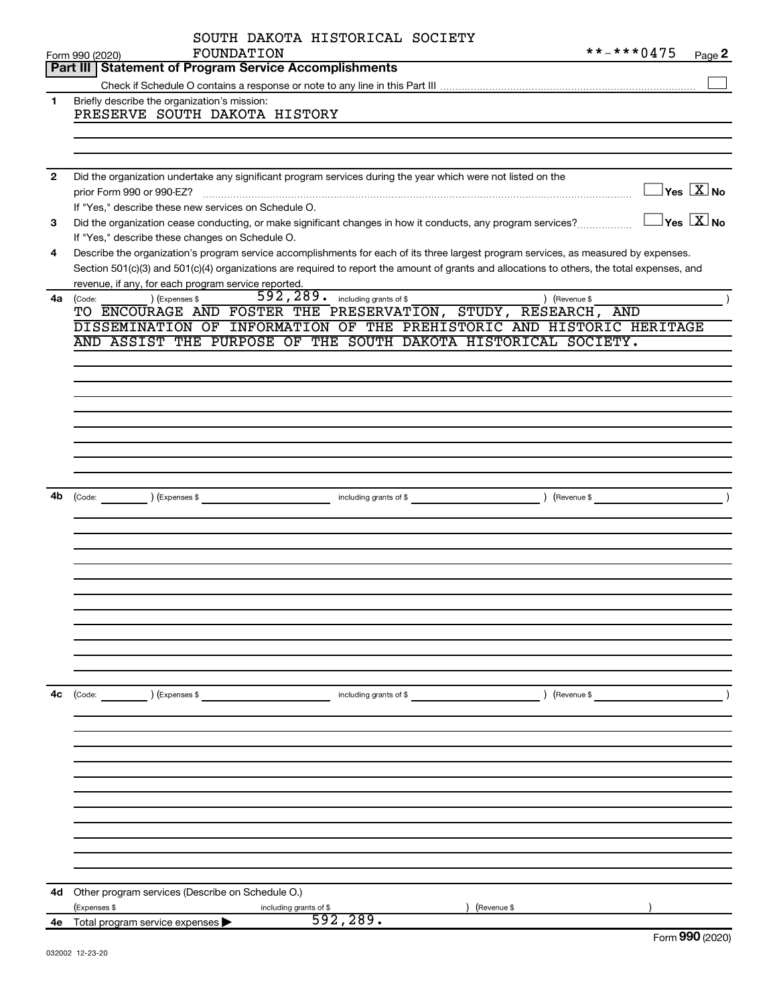|              | SOUTH DAKOTA HISTORICAL SOCIETY<br>FOUNDATION<br>Form 990 (2020)<br>Part III   Statement of Program Service Accomplishments                                                                         |                        | **-***0475    | Page 2                                           |
|--------------|-----------------------------------------------------------------------------------------------------------------------------------------------------------------------------------------------------|------------------------|---------------|--------------------------------------------------|
|              |                                                                                                                                                                                                     |                        |               |                                                  |
| 1            | Briefly describe the organization's mission:<br>PRESERVE SOUTH DAKOTA HISTORY                                                                                                                       |                        |               |                                                  |
|              |                                                                                                                                                                                                     |                        |               |                                                  |
| $\mathbf{2}$ | Did the organization undertake any significant program services during the year which were not listed on the                                                                                        |                        |               | $\overline{\ }$ Yes $\overline{\ \ \ }$ No       |
| 3            | If "Yes," describe these new services on Schedule O.<br>Did the organization cease conducting, or make significant changes in how it conducts, any program services?                                |                        |               | $\overline{\ }$ Yes $\overline{\phantom{a}X}$ No |
| 4            | If "Yes," describe these changes on Schedule O.<br>Describe the organization's program service accomplishments for each of its three largest program services, as measured by expenses.             |                        |               |                                                  |
|              | Section 501(c)(3) and 501(c)(4) organizations are required to report the amount of grants and allocations to others, the total expenses, and<br>revenue, if any, for each program service reported. |                        |               |                                                  |
| 4a           | 592, 289. including grants of \$<br>) (Expenses \$<br>(Code:<br>TO ENCOURAGE AND FOSTER THE PRESERVATION, STUDY, RESEARCH, AND                                                                      |                        | ) (Revenue \$ |                                                  |
|              | DISSEMINATION OF INFORMATION OF THE PREHISTORIC AND HISTORIC HERITAGE                                                                                                                               |                        |               |                                                  |
|              | AND ASSIST THE PURPOSE OF THE SOUTH DAKOTA HISTORICAL SOCIETY.                                                                                                                                      |                        |               |                                                  |
|              |                                                                                                                                                                                                     |                        |               |                                                  |
|              |                                                                                                                                                                                                     |                        |               |                                                  |
|              |                                                                                                                                                                                                     |                        |               |                                                  |
|              |                                                                                                                                                                                                     |                        |               |                                                  |
|              |                                                                                                                                                                                                     |                        |               |                                                  |
| 4b           | (Code: ) (Expenses \$                                                                                                                                                                               | including grants of \$ | (Revenue \$   |                                                  |
|              |                                                                                                                                                                                                     |                        |               |                                                  |
|              |                                                                                                                                                                                                     |                        |               |                                                  |
|              |                                                                                                                                                                                                     |                        |               |                                                  |
|              |                                                                                                                                                                                                     |                        |               |                                                  |
|              |                                                                                                                                                                                                     |                        |               |                                                  |
|              |                                                                                                                                                                                                     |                        |               |                                                  |
| 4с           | $\left(\text{Code:}\right)$ $\left(\text{Expenses $}\right)$                                                                                                                                        | including grants of \$ |               | $\left(\text{Revenue }$                          |
|              |                                                                                                                                                                                                     |                        |               |                                                  |
|              |                                                                                                                                                                                                     |                        |               |                                                  |
|              |                                                                                                                                                                                                     |                        |               |                                                  |
|              |                                                                                                                                                                                                     |                        |               |                                                  |
|              |                                                                                                                                                                                                     |                        |               |                                                  |
|              |                                                                                                                                                                                                     |                        |               |                                                  |
|              |                                                                                                                                                                                                     |                        |               |                                                  |
| 4d           | Other program services (Describe on Schedule O.)                                                                                                                                                    |                        |               |                                                  |
|              | (Expenses \$<br>including grants of \$                                                                                                                                                              | 592, 289.              | Revenue \$    |                                                  |
| 4е           | Total program service expenses                                                                                                                                                                      |                        |               | $F_{\text{arm}}$ 000 (2020)                      |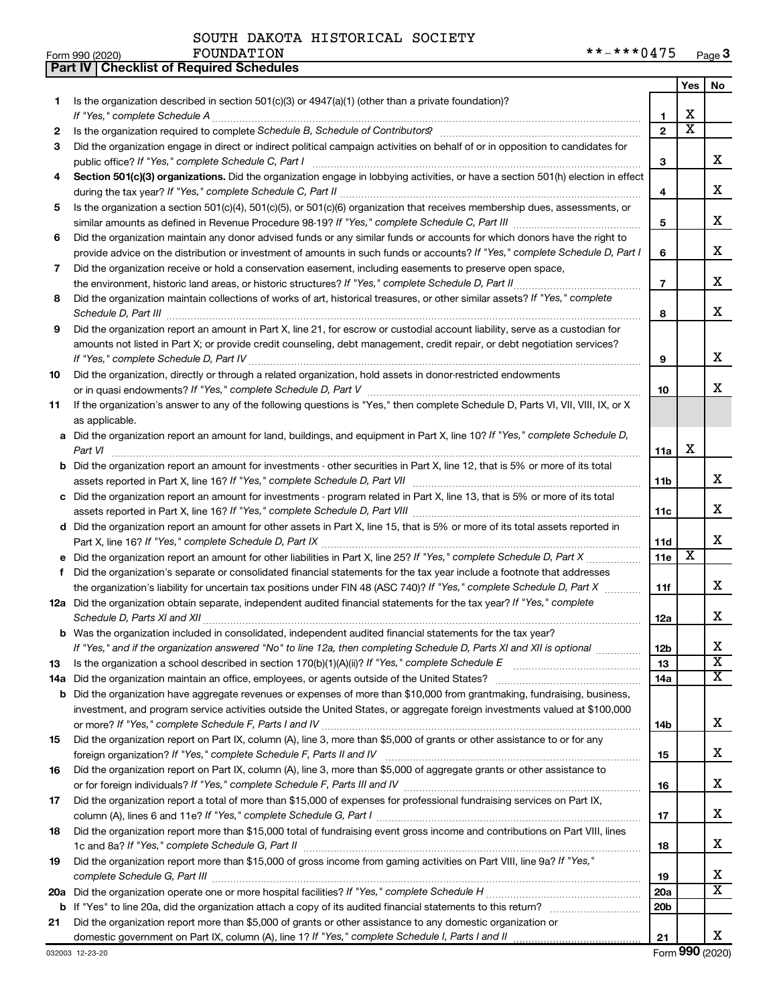Form 990 (2020) FOUNDATION

**Part IV Checklist of Required Schedules**

|        |                                                                                                                                                    |                   | Yes                          | No.                   |
|--------|----------------------------------------------------------------------------------------------------------------------------------------------------|-------------------|------------------------------|-----------------------|
| 1      | Is the organization described in section 501(c)(3) or 4947(a)(1) (other than a private foundation)?                                                |                   |                              |                       |
|        |                                                                                                                                                    | 1<br>$\mathbf{2}$ | х<br>$\overline{\textbf{x}}$ |                       |
| 2<br>3 | Did the organization engage in direct or indirect political campaign activities on behalf of or in opposition to candidates for                    |                   |                              |                       |
|        | public office? If "Yes," complete Schedule C, Part I                                                                                               | 3                 |                              | x.                    |
| 4      | Section 501(c)(3) organizations. Did the organization engage in lobbying activities, or have a section 501(h) election in effect                   |                   |                              |                       |
|        |                                                                                                                                                    | 4                 |                              | x                     |
| 5      | Is the organization a section 501(c)(4), 501(c)(5), or 501(c)(6) organization that receives membership dues, assessments, or                       |                   |                              |                       |
|        |                                                                                                                                                    | 5                 |                              | x                     |
| 6      | Did the organization maintain any donor advised funds or any similar funds or accounts for which donors have the right to                          |                   |                              |                       |
|        | provide advice on the distribution or investment of amounts in such funds or accounts? If "Yes," complete Schedule D, Part I                       | 6                 |                              | х                     |
| 7      | Did the organization receive or hold a conservation easement, including easements to preserve open space,                                          |                   |                              |                       |
|        |                                                                                                                                                    | $\overline{7}$    |                              | x                     |
| 8      | Did the organization maintain collections of works of art, historical treasures, or other similar assets? If "Yes," complete                       |                   |                              |                       |
|        | Schedule D, Part III <b>Westerman Communication</b> Contract and Technical Communications and Technical Communications                             | 8                 |                              | x                     |
| 9      | Did the organization report an amount in Part X, line 21, for escrow or custodial account liability, serve as a custodian for                      |                   |                              |                       |
|        | amounts not listed in Part X; or provide credit counseling, debt management, credit repair, or debt negotiation services?                          |                   |                              |                       |
|        |                                                                                                                                                    | 9                 |                              | x                     |
| 10     | Did the organization, directly or through a related organization, hold assets in donor-restricted endowments                                       |                   |                              |                       |
|        |                                                                                                                                                    | 10                |                              | х                     |
| 11     | If the organization's answer to any of the following questions is "Yes," then complete Schedule D, Parts VI, VII, VIII, IX, or X<br>as applicable. |                   |                              |                       |
|        | a Did the organization report an amount for land, buildings, and equipment in Part X, line 10? If "Yes," complete Schedule D,                      |                   |                              |                       |
|        |                                                                                                                                                    | 11a               | x                            |                       |
|        | <b>b</b> Did the organization report an amount for investments - other securities in Part X, line 12, that is 5% or more of its total              |                   |                              |                       |
|        |                                                                                                                                                    | 11 <sub>b</sub>   |                              | x                     |
|        | c Did the organization report an amount for investments - program related in Part X, line 13, that is 5% or more of its total                      |                   |                              |                       |
|        |                                                                                                                                                    | 11c               |                              | x.                    |
|        | d Did the organization report an amount for other assets in Part X, line 15, that is 5% or more of its total assets reported in                    |                   |                              |                       |
|        |                                                                                                                                                    | 11d               |                              | x                     |
|        |                                                                                                                                                    | 11e               | X                            |                       |
| f      | Did the organization's separate or consolidated financial statements for the tax year include a footnote that addresses                            |                   |                              |                       |
|        | the organization's liability for uncertain tax positions under FIN 48 (ASC 740)? If "Yes," complete Schedule D, Part X                             | 11f               |                              | х                     |
|        | 12a Did the organization obtain separate, independent audited financial statements for the tax year? If "Yes," complete                            | 12a               |                              | x                     |
|        | <b>b</b> Was the organization included in consolidated, independent audited financial statements for the tax year?                                 |                   |                              |                       |
|        | If "Yes," and if the organization answered "No" to line 12a, then completing Schedule D, Parts XI and XII is optional                              | 12 <sub>b</sub>   |                              | х                     |
| 13     |                                                                                                                                                    | 13                |                              | $\overline{\text{x}}$ |
|        |                                                                                                                                                    | 14a               |                              | x                     |
|        | <b>b</b> Did the organization have aggregate revenues or expenses of more than \$10,000 from grantmaking, fundraising, business,                   |                   |                              |                       |
|        | investment, and program service activities outside the United States, or aggregate foreign investments valued at \$100,000                         |                   |                              |                       |
|        |                                                                                                                                                    | 14b               |                              | x                     |
| 15     | Did the organization report on Part IX, column (A), line 3, more than \$5,000 of grants or other assistance to or for any                          |                   |                              |                       |
|        |                                                                                                                                                    | 15                |                              | x                     |
| 16     | Did the organization report on Part IX, column (A), line 3, more than \$5,000 of aggregate grants or other assistance to                           |                   |                              |                       |
|        |                                                                                                                                                    | 16                |                              | x                     |
| 17     | Did the organization report a total of more than \$15,000 of expenses for professional fundraising services on Part IX,                            |                   |                              | x                     |
| 18     | Did the organization report more than \$15,000 total of fundraising event gross income and contributions on Part VIII, lines                       | 17                |                              |                       |
|        |                                                                                                                                                    | 18                |                              | x                     |
| 19     | Did the organization report more than \$15,000 of gross income from gaming activities on Part VIII, line 9a? If "Yes,"                             |                   |                              |                       |
|        |                                                                                                                                                    | 19                |                              | х                     |
|        |                                                                                                                                                    | 20a               |                              | x                     |
|        |                                                                                                                                                    | 20 <sub>b</sub>   |                              |                       |
| 21     | Did the organization report more than \$5,000 of grants or other assistance to any domestic organization or                                        |                   |                              |                       |
|        |                                                                                                                                                    | 21                |                              | x                     |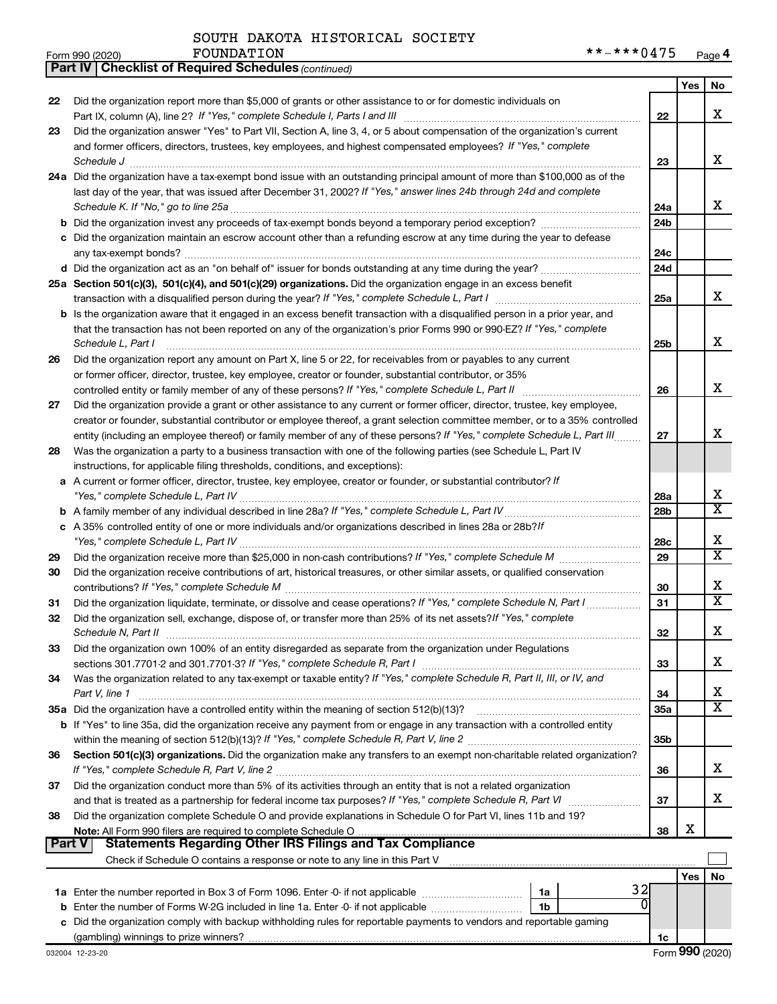*(continued)* **Part IV Checklist of Required Schedules**

|        |                                                                                                                                                                                                                                                         |                 | Yes | No                      |
|--------|---------------------------------------------------------------------------------------------------------------------------------------------------------------------------------------------------------------------------------------------------------|-----------------|-----|-------------------------|
| 22     | Did the organization report more than \$5,000 of grants or other assistance to or for domestic individuals on                                                                                                                                           |                 |     |                         |
|        |                                                                                                                                                                                                                                                         | 22              |     | X                       |
| 23     | Did the organization answer "Yes" to Part VII, Section A, line 3, 4, or 5 about compensation of the organization's current                                                                                                                              |                 |     |                         |
|        | and former officers, directors, trustees, key employees, and highest compensated employees? If "Yes," complete                                                                                                                                          |                 |     |                         |
|        |                                                                                                                                                                                                                                                         | 23              |     | х                       |
|        | 24a Did the organization have a tax-exempt bond issue with an outstanding principal amount of more than \$100,000 as of the                                                                                                                             |                 |     |                         |
|        | last day of the year, that was issued after December 31, 2002? If "Yes," answer lines 24b through 24d and complete                                                                                                                                      |                 |     |                         |
|        |                                                                                                                                                                                                                                                         | 24a             |     | x                       |
|        |                                                                                                                                                                                                                                                         | 24 <sub>b</sub> |     |                         |
|        | c Did the organization maintain an escrow account other than a refunding escrow at any time during the year to defease                                                                                                                                  |                 |     |                         |
|        |                                                                                                                                                                                                                                                         | 24c             |     |                         |
|        |                                                                                                                                                                                                                                                         | 24 <sub>d</sub> |     |                         |
|        | 25a Section 501(c)(3), 501(c)(4), and 501(c)(29) organizations. Did the organization engage in an excess benefit                                                                                                                                        |                 |     |                         |
|        |                                                                                                                                                                                                                                                         | 25a             |     | х                       |
|        | <b>b</b> Is the organization aware that it engaged in an excess benefit transaction with a disqualified person in a prior year, and                                                                                                                     |                 |     |                         |
|        | that the transaction has not been reported on any of the organization's prior Forms 990 or 990-EZ? If "Yes," complete                                                                                                                                   |                 |     | X                       |
|        | Schedule L, Part I                                                                                                                                                                                                                                      | 25b             |     |                         |
| 26     | Did the organization report any amount on Part X, line 5 or 22, for receivables from or payables to any current                                                                                                                                         |                 |     |                         |
|        | or former officer, director, trustee, key employee, creator or founder, substantial contributor, or 35%                                                                                                                                                 |                 |     | х                       |
|        |                                                                                                                                                                                                                                                         | 26              |     |                         |
| 27     | Did the organization provide a grant or other assistance to any current or former officer, director, trustee, key employee,                                                                                                                             |                 |     |                         |
|        | creator or founder, substantial contributor or employee thereof, a grant selection committee member, or to a 35% controlled<br>entity (including an employee thereof) or family member of any of these persons? If "Yes," complete Schedule L, Part III | 27              |     | х                       |
| 28     | Was the organization a party to a business transaction with one of the following parties (see Schedule L, Part IV                                                                                                                                       |                 |     |                         |
|        | instructions, for applicable filing thresholds, conditions, and exceptions):                                                                                                                                                                            |                 |     |                         |
| а      | A current or former officer, director, trustee, key employee, creator or founder, or substantial contributor? If                                                                                                                                        |                 |     |                         |
|        |                                                                                                                                                                                                                                                         | 28a             |     | х                       |
|        |                                                                                                                                                                                                                                                         | 28 <sub>b</sub> |     | $\overline{\text{x}}$   |
|        | c A 35% controlled entity of one or more individuals and/or organizations described in lines 28a or 28b?/f                                                                                                                                              |                 |     |                         |
|        |                                                                                                                                                                                                                                                         | 28c             |     | х                       |
| 29     |                                                                                                                                                                                                                                                         | 29              |     | $\overline{\text{x}}$   |
| 30     | Did the organization receive contributions of art, historical treasures, or other similar assets, or qualified conservation                                                                                                                             |                 |     |                         |
|        |                                                                                                                                                                                                                                                         | 30              |     | х                       |
| 31     | Did the organization liquidate, terminate, or dissolve and cease operations? If "Yes," complete Schedule N, Part I                                                                                                                                      | 31              |     | $\overline{\text{X}}$   |
| 32     | Did the organization sell, exchange, dispose of, or transfer more than 25% of its net assets? If "Yes," complete                                                                                                                                        |                 |     |                         |
|        | Schedule N, Part II                                                                                                                                                                                                                                     | 32              |     | х                       |
| 33     | Did the organization own 100% of an entity disregarded as separate from the organization under Regulations                                                                                                                                              |                 |     |                         |
|        |                                                                                                                                                                                                                                                         | 33              |     | х                       |
| 34     | Was the organization related to any tax-exempt or taxable entity? If "Yes," complete Schedule R, Part II, III, or IV, and                                                                                                                               |                 |     |                         |
|        | Part V, line 1                                                                                                                                                                                                                                          | 34              |     | х                       |
|        |                                                                                                                                                                                                                                                         | <b>35a</b>      |     | $\overline{\texttt{X}}$ |
|        | b If "Yes" to line 35a, did the organization receive any payment from or engage in any transaction with a controlled entity                                                                                                                             |                 |     |                         |
|        |                                                                                                                                                                                                                                                         | 35b             |     |                         |
| 36     | Section 501(c)(3) organizations. Did the organization make any transfers to an exempt non-charitable related organization?                                                                                                                              |                 |     |                         |
|        |                                                                                                                                                                                                                                                         | 36              |     | X                       |
| 37     | Did the organization conduct more than 5% of its activities through an entity that is not a related organization                                                                                                                                        |                 |     |                         |
|        |                                                                                                                                                                                                                                                         | 37              |     | X                       |
| 38     | Did the organization complete Schedule O and provide explanations in Schedule O for Part VI, lines 11b and 19?                                                                                                                                          |                 |     |                         |
| Part V | <b>Statements Regarding Other IRS Filings and Tax Compliance</b>                                                                                                                                                                                        | 38              | х   |                         |
|        |                                                                                                                                                                                                                                                         |                 |     |                         |
|        |                                                                                                                                                                                                                                                         |                 |     |                         |
|        | 32                                                                                                                                                                                                                                                      |                 | Yes | No                      |
|        | 1a<br>O<br>b Enter the number of Forms W-2G included in line 1a. Enter -0- if not applicable<br>1b                                                                                                                                                      |                 |     |                         |
|        | c Did the organization comply with backup withholding rules for reportable payments to vendors and reportable gaming                                                                                                                                    |                 |     |                         |
|        |                                                                                                                                                                                                                                                         | 1c              |     |                         |
|        |                                                                                                                                                                                                                                                         |                 |     |                         |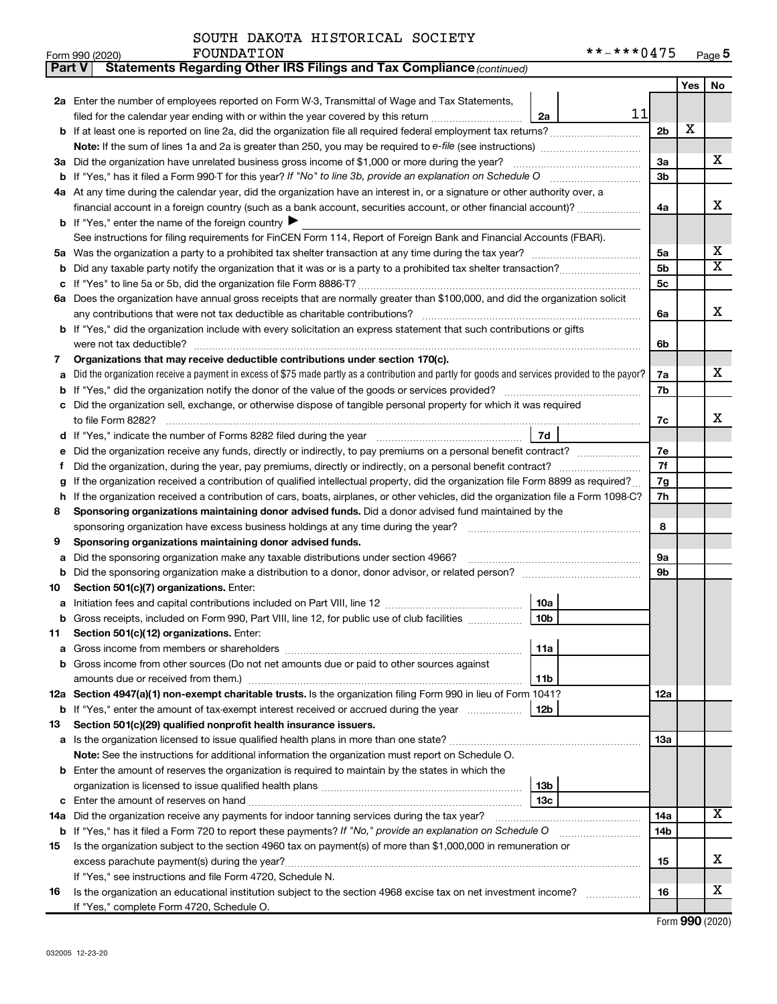| Part V | Statements Regarding Other IRS Filings and Tax Compliance (continued)                                                                                                   |                |     |                         |
|--------|-------------------------------------------------------------------------------------------------------------------------------------------------------------------------|----------------|-----|-------------------------|
|        |                                                                                                                                                                         |                | Yes | No                      |
|        | 2a Enter the number of employees reported on Form W-3, Transmittal of Wage and Tax Statements,                                                                          |                |     |                         |
|        | 11<br>filed for the calendar year ending with or within the year covered by this return<br>2a                                                                           |                |     |                         |
|        |                                                                                                                                                                         | 2 <sub>b</sub> | X   |                         |
|        |                                                                                                                                                                         |                |     |                         |
| За     | Did the organization have unrelated business gross income of \$1,000 or more during the year?                                                                           | За             |     | x                       |
|        |                                                                                                                                                                         | 3b             |     |                         |
|        | 4a At any time during the calendar year, did the organization have an interest in, or a signature or other authority over, a                                            |                |     |                         |
|        | financial account in a foreign country (such as a bank account, securities account, or other financial account)?                                                        | 4a             |     | х                       |
|        | <b>b</b> If "Yes," enter the name of the foreign country $\blacktriangleright$                                                                                          |                |     |                         |
|        | See instructions for filing requirements for FinCEN Form 114, Report of Foreign Bank and Financial Accounts (FBAR).                                                     |                |     |                         |
| 5a     |                                                                                                                                                                         | 5a             |     | x                       |
| b      |                                                                                                                                                                         | 5b             |     | $\overline{\textbf{x}}$ |
| с      |                                                                                                                                                                         | 5с             |     |                         |
|        | 6a Does the organization have annual gross receipts that are normally greater than \$100,000, and did the organization solicit                                          |                |     |                         |
|        |                                                                                                                                                                         | 6a             |     | х                       |
|        | b If "Yes," did the organization include with every solicitation an express statement that such contributions or gifts                                                  |                |     |                         |
|        | were not tax deductible?                                                                                                                                                | 6b             |     |                         |
| 7      | Organizations that may receive deductible contributions under section 170(c).                                                                                           |                |     |                         |
| a      | Did the organization receive a payment in excess of \$75 made partly as a contribution and partly for goods and services provided to the payor?                         | 7a             |     | x                       |
| b      |                                                                                                                                                                         | 7b             |     |                         |
| c      | Did the organization sell, exchange, or otherwise dispose of tangible personal property for which it was required                                                       |                |     |                         |
|        |                                                                                                                                                                         | 7c             |     | х                       |
| d      | 7d                                                                                                                                                                      |                |     |                         |
|        | Did the organization receive any funds, directly or indirectly, to pay premiums on a personal benefit contract?                                                         | 7e             |     |                         |
| f      |                                                                                                                                                                         | 7f             |     |                         |
| g      | If the organization received a contribution of qualified intellectual property, did the organization file Form 8899 as required?                                        | 7g             |     |                         |
| h      | If the organization received a contribution of cars, boats, airplanes, or other vehicles, did the organization file a Form 1098-C?                                      | 7h             |     |                         |
| 8      | Sponsoring organizations maintaining donor advised funds. Did a donor advised fund maintained by the                                                                    |                |     |                         |
|        |                                                                                                                                                                         | 8              |     |                         |
| 9      | Sponsoring organizations maintaining donor advised funds.                                                                                                               |                |     |                         |
| а      | Did the sponsoring organization make any taxable distributions under section 4966?                                                                                      | 9а             |     |                         |
| b      |                                                                                                                                                                         | 9b             |     |                         |
| 10     | Section 501(c)(7) organizations. Enter:                                                                                                                                 |                |     |                         |
| а      | 10a                                                                                                                                                                     |                |     |                         |
|        | <b>b</b> Gross receipts, included on Form 990, Part VIII, line 12, for public use of club facilities <i>manument</i><br>10b<br>Section 501(c)(12) organizations. Enter: |                |     |                         |
| 11     | 11a                                                                                                                                                                     |                |     |                         |
|        | Gross income from other sources (Do not net amounts due or paid to other sources against                                                                                |                |     |                         |
|        | amounts due or received from them.)<br>11b                                                                                                                              |                |     |                         |
|        | 12a Section 4947(a)(1) non-exempt charitable trusts. Is the organization filing Form 990 in lieu of Form 1041?                                                          | 12a            |     |                         |
|        | 12b<br><b>b</b> If "Yes," enter the amount of tax-exempt interest received or accrued during the year                                                                   |                |     |                         |
| 13     | Section 501(c)(29) qualified nonprofit health insurance issuers.                                                                                                        |                |     |                         |
|        | a Is the organization licensed to issue qualified health plans in more than one state?                                                                                  | 13a            |     |                         |
|        | Note: See the instructions for additional information the organization must report on Schedule O.                                                                       |                |     |                         |
|        | <b>b</b> Enter the amount of reserves the organization is required to maintain by the states in which the                                                               |                |     |                         |
|        | 13b                                                                                                                                                                     |                |     |                         |
| c      | 13c                                                                                                                                                                     |                |     |                         |
|        | 14a Did the organization receive any payments for indoor tanning services during the tax year?                                                                          | 14a            |     | x                       |
|        | <b>b</b> If "Yes," has it filed a Form 720 to report these payments? If "No," provide an explanation on Schedule O                                                      | 14b            |     |                         |
| 15     | Is the organization subject to the section 4960 tax on payment(s) of more than \$1,000,000 in remuneration or                                                           |                |     |                         |
|        |                                                                                                                                                                         | 15             |     | x                       |
|        | If "Yes," see instructions and file Form 4720, Schedule N.                                                                                                              |                |     |                         |
| 16     | Is the organization an educational institution subject to the section 4968 excise tax on net investment income?                                                         | 16             |     | x                       |
|        | If "Yes," complete Form 4720, Schedule O.                                                                                                                               |                |     |                         |

Form (2020) **990**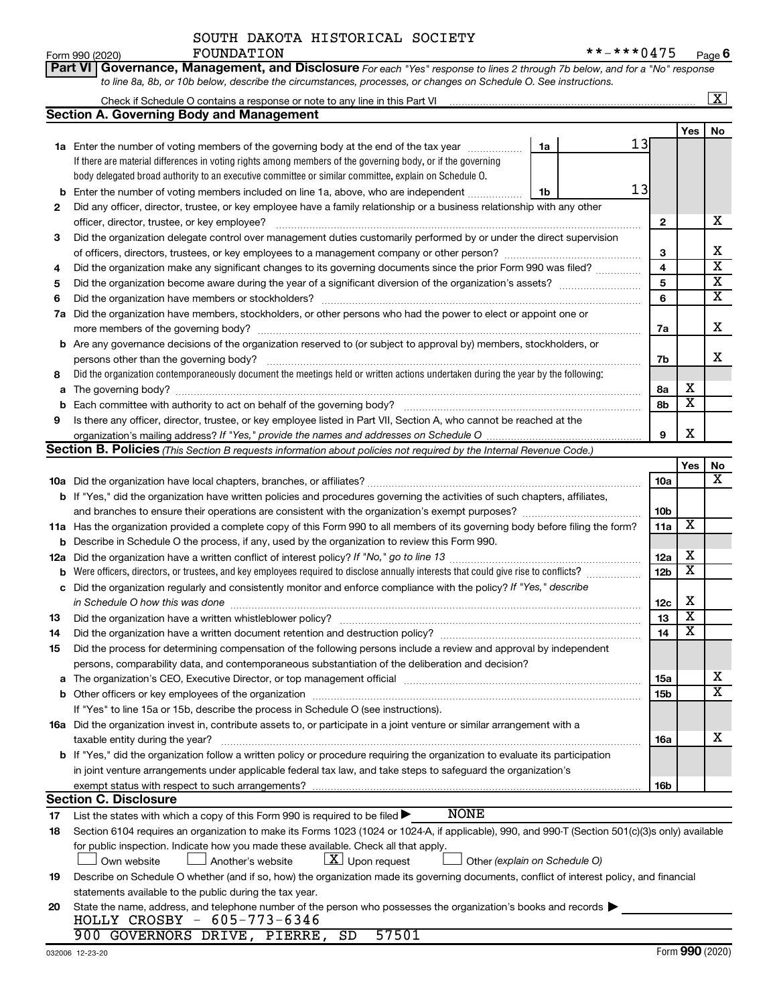#### $Form 990 (2020)$   $FOUNDATION$ SOUTH DAKOTA HISTORICAL SOCIETY

**Part VI** Governance, Management, and Disclosure For each "Yes" response to lines 2 through 7b below, and for a "No" response

|     | to line 8a, 8b, or 10b below, describe the circumstances, processes, or changes on Schedule O. See instructions.                                 |                 |                         |                                                    |
|-----|--------------------------------------------------------------------------------------------------------------------------------------------------|-----------------|-------------------------|----------------------------------------------------|
|     | Check if Schedule O contains a response or note to any line in this Part VI                                                                      |                 |                         | $\overline{\mathbf{x}}$                            |
|     | <b>Section A. Governing Body and Management</b>                                                                                                  |                 |                         |                                                    |
|     |                                                                                                                                                  |                 | Yes                     | No                                                 |
|     | 13<br>1a Enter the number of voting members of the governing body at the end of the tax year<br>1a                                               |                 |                         |                                                    |
|     | If there are material differences in voting rights among members of the governing body, or if the governing                                      |                 |                         |                                                    |
|     | body delegated broad authority to an executive committee or similar committee, explain on Schedule O.                                            |                 |                         |                                                    |
| b   | 13<br>Enter the number of voting members included on line 1a, above, who are independent<br>1b                                                   |                 |                         |                                                    |
| 2   | Did any officer, director, trustee, or key employee have a family relationship or a business relationship with any other                         |                 |                         |                                                    |
|     | officer, director, trustee, or key employee?                                                                                                     | $\mathbf{2}$    |                         | х                                                  |
| 3   | Did the organization delegate control over management duties customarily performed by or under the direct supervision                            |                 |                         |                                                    |
|     |                                                                                                                                                  | 3               |                         | х                                                  |
| 4   | Did the organization make any significant changes to its governing documents since the prior Form 990 was filed?                                 | 4               |                         | $\overline{\textbf{x}}$                            |
| 5   |                                                                                                                                                  |                 |                         |                                                    |
| 6   |                                                                                                                                                  | 5<br>6          |                         | $\overline{\textbf{X}}$<br>$\overline{\textbf{x}}$ |
| 7а  | Did the organization have members, stockholders, or other persons who had the power to elect or appoint one or                                   |                 |                         |                                                    |
|     |                                                                                                                                                  | 7a              |                         | X                                                  |
| b   | Are any governance decisions of the organization reserved to (or subject to approval by) members, stockholders, or                               |                 |                         |                                                    |
|     | persons other than the governing body?                                                                                                           | 7b              |                         | X                                                  |
| 8   | Did the organization contemporaneously document the meetings held or written actions undertaken during the year by the following:                |                 |                         |                                                    |
| а   |                                                                                                                                                  | 8а              | х                       |                                                    |
| b   |                                                                                                                                                  | 8b              | $\overline{\mathbf{x}}$ |                                                    |
| 9   | Is there any officer, director, trustee, or key employee listed in Part VII, Section A, who cannot be reached at the                             |                 |                         |                                                    |
|     |                                                                                                                                                  | 9               | X                       |                                                    |
|     | Section B. Policies (This Section B requests information about policies not required by the Internal Revenue Code.)                              |                 |                         |                                                    |
|     |                                                                                                                                                  |                 | Yes                     | No                                                 |
|     |                                                                                                                                                  | 10a             |                         | x                                                  |
|     | <b>b</b> If "Yes," did the organization have written policies and procedures governing the activities of such chapters, affiliates,              |                 |                         |                                                    |
|     |                                                                                                                                                  | 10b             |                         |                                                    |
|     | 11a Has the organization provided a complete copy of this Form 990 to all members of its governing body before filing the form?                  | 11a             | X                       |                                                    |
| b   | Describe in Schedule O the process, if any, used by the organization to review this Form 990.                                                    |                 |                         |                                                    |
| 12a |                                                                                                                                                  | 12a             | х                       |                                                    |
| b   | Were officers, directors, or trustees, and key employees required to disclose annually interests that could give rise to conflicts?              | 12 <sub>b</sub> | $\overline{\textbf{x}}$ |                                                    |
| с   | Did the organization regularly and consistently monitor and enforce compliance with the policy? If "Yes," describe                               |                 |                         |                                                    |
|     | in Schedule O how this was done                                                                                                                  | 12c             | х                       |                                                    |
| 13  |                                                                                                                                                  | 13              | $\overline{\mathbf{X}}$ |                                                    |
| 14  |                                                                                                                                                  | 14              | $\overline{\textbf{x}}$ |                                                    |
| 15  | Did the process for determining compensation of the following persons include a review and approval by independent                               |                 |                         |                                                    |
|     | persons, comparability data, and contemporaneous substantiation of the deliberation and decision?                                                |                 |                         |                                                    |
|     |                                                                                                                                                  | 15a             |                         | х                                                  |
|     |                                                                                                                                                  | 15b             |                         | $\overline{\texttt{x}}$                            |
|     | If "Yes" to line 15a or 15b, describe the process in Schedule O (see instructions).                                                              |                 |                         |                                                    |
|     | 16a Did the organization invest in, contribute assets to, or participate in a joint venture or similar arrangement with a                        |                 |                         |                                                    |
|     | taxable entity during the year?                                                                                                                  | 16a             |                         | х                                                  |
|     | b If "Yes," did the organization follow a written policy or procedure requiring the organization to evaluate its participation                   |                 |                         |                                                    |
|     | in joint venture arrangements under applicable federal tax law, and take steps to safeguard the organization's                                   |                 |                         |                                                    |
|     | exempt status with respect to such arrangements?                                                                                                 | 16b             |                         |                                                    |
|     | <b>Section C. Disclosure</b>                                                                                                                     |                 |                         |                                                    |
| 17  | <b>NONE</b><br>List the states with which a copy of this Form 990 is required to be filed >                                                      |                 |                         |                                                    |
| 18  | Section 6104 requires an organization to make its Forms 1023 (1024 or 1024-A, if applicable), 990, and 990-T (Section 501(c)(3)s only) available |                 |                         |                                                    |
|     | for public inspection. Indicate how you made these available. Check all that apply.                                                              |                 |                         |                                                    |
|     | $\lfloor x \rfloor$ Upon request<br>Another's website<br>Other (explain on Schedule O)<br>Own website                                            |                 |                         |                                                    |
| 19  | Describe on Schedule O whether (and if so, how) the organization made its governing documents, conflict of interest policy, and financial        |                 |                         |                                                    |
|     | statements available to the public during the tax year.                                                                                          |                 |                         |                                                    |
| 20  | State the name, address, and telephone number of the person who possesses the organization's books and records                                   |                 |                         |                                                    |
|     | HOLLY CROSBY - 605-773-6346                                                                                                                      |                 |                         |                                                    |
|     | 900 GOVERNORS DRIVE, PIERRE, SD<br>57501                                                                                                         |                 |                         |                                                    |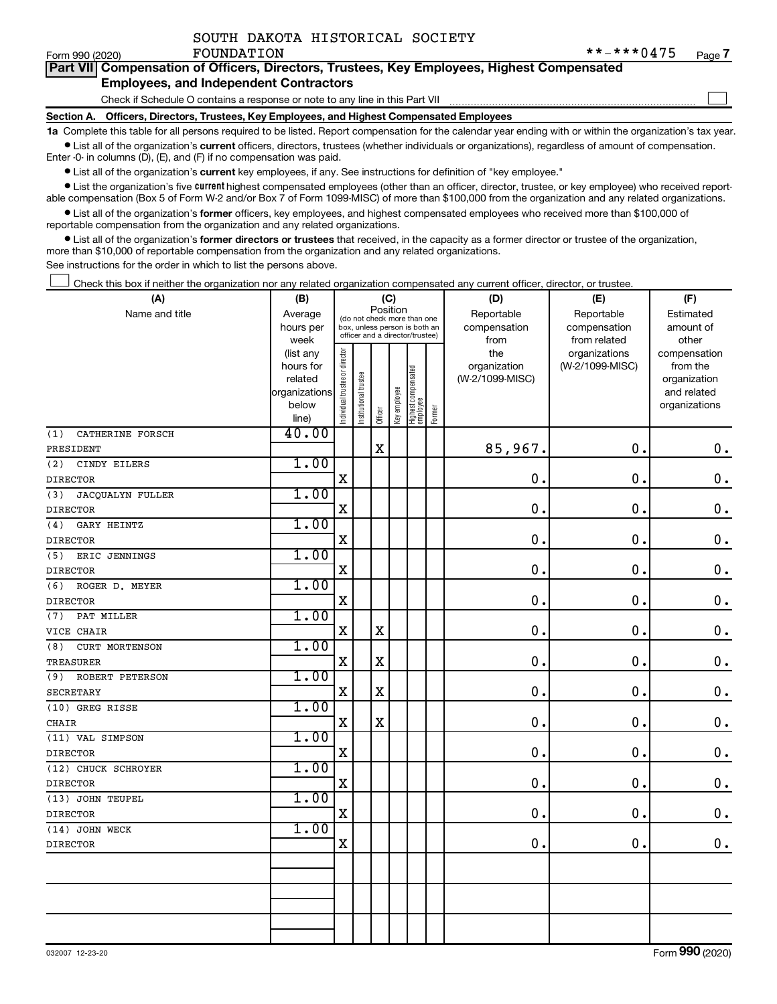|  | SOUTH DAKOTA HISTORICAL SOCIETY |  |
|--|---------------------------------|--|
|  |                                 |  |

 $\Box$ 

| Form 990 (2020) | <b>FOUNDATION</b>                                                                          | $\frac{1}{2}$ $\frac{1}{2}$ $\frac{1}{2}$ $\frac{1}{2}$ $\frac{1}{2}$ $\frac{1}{2}$ $\frac{1}{2}$ $\frac{1}{2}$ $\frac{1}{2}$ $\frac{1}{2}$ $\frac{1}{2}$ $\frac{1}{2}$ $\frac{1}{2}$ $\frac{1}{2}$ $\frac{1}{2}$ $\frac{1}{2}$ $\frac{1}{2}$ $\frac{1}{2}$ $\frac{1}{2}$ $\frac{1}{2}$ $\frac{1}{2}$ $\frac{1}{2}$ | Page |
|-----------------|--------------------------------------------------------------------------------------------|---------------------------------------------------------------------------------------------------------------------------------------------------------------------------------------------------------------------------------------------------------------------------------------------------------------------|------|
|                 | Part VII Compensation of Officers, Directors, Trustees, Key Employees, Highest Compensated |                                                                                                                                                                                                                                                                                                                     |      |
|                 | <b>Employees, and Independent Contractors</b>                                              |                                                                                                                                                                                                                                                                                                                     |      |

Check if Schedule O contains a response or note to any line in this Part VII

**Section A. Officers, Directors, Trustees, Key Employees, and Highest Compensated Employees**

**1a**  Complete this table for all persons required to be listed. Report compensation for the calendar year ending with or within the organization's tax year.  $\bullet$  List all of the organization's current officers, directors, trustees (whether individuals or organizations), regardless of amount of compensation.

Enter -0- in columns (D), (E), and (F) if no compensation was paid.

**•** List all of the organization's current key employees, if any. See instructions for definition of "key employee."

• List the organization's five *current* highest compensated employees (other than an officer, director, trustee, or key employee) who received reportable compensation (Box 5 of Form W-2 and/or Box 7 of Form 1099-MISC) of more than \$100,000 from the organization and any related organizations.

 $\bullet$  List all of the organization's former officers, key employees, and highest compensated employees who received more than \$100,000 of reportable compensation from the organization and any related organizations.

**•** List all of the organization's former directors or trustees that received, in the capacity as a former director or trustee of the organization, more than \$10,000 of reportable compensation from the organization and any related organizations.

See instructions for the order in which to list the persons above.

Check this box if neither the organization nor any related organization compensated any current officer, director, or trustee.  $\Box$ 

| (A)                     | (B)            | (C)                           |                                                                  |             |              |                                 |        | (D)             | (E)             | (F)           |
|-------------------------|----------------|-------------------------------|------------------------------------------------------------------|-------------|--------------|---------------------------------|--------|-----------------|-----------------|---------------|
| Name and title          | Average        |                               | (do not check more than one                                      | Position    |              |                                 |        | Reportable      | Reportable      | Estimated     |
|                         | hours per      |                               | box, unless person is both an<br>officer and a director/trustee) |             |              |                                 |        | compensation    | compensation    | amount of     |
|                         | week           |                               |                                                                  |             |              |                                 |        | from            | from related    | other         |
|                         | (list any      |                               |                                                                  |             |              |                                 |        | the             | organizations   | compensation  |
|                         | hours for      |                               |                                                                  |             |              |                                 |        | organization    | (W-2/1099-MISC) | from the      |
|                         | related        |                               |                                                                  |             |              |                                 |        | (W-2/1099-MISC) |                 | organization  |
|                         | organizations  |                               |                                                                  |             |              |                                 |        |                 |                 | and related   |
|                         | below<br>line) | ndividual trustee or director | Institutional trustee                                            | Officer     | Key employee | Highest compensated<br>employee | Former |                 |                 | organizations |
| CATHERINE FORSCH<br>(1) | 40.00          |                               |                                                                  |             |              |                                 |        |                 |                 |               |
| PRESIDENT               |                |                               |                                                                  | $\mathbf X$ |              |                                 |        | 85,967.         | $\mathbf 0$ .   | $\mathbf 0$ . |
| (2)<br>CINDY EILERS     | 1.00           |                               |                                                                  |             |              |                                 |        |                 |                 |               |
| <b>DIRECTOR</b>         |                | $\mathbf X$                   |                                                                  |             |              |                                 |        | $\mathbf 0$ .   | $\mathbf 0$ .   | $\mathbf 0$ . |
| JACQUALYN FULLER<br>(3) | 1.00           |                               |                                                                  |             |              |                                 |        |                 |                 |               |
| <b>DIRECTOR</b>         |                | $\mathbf X$                   |                                                                  |             |              |                                 |        | $\mathbf 0$ .   | $\mathbf 0$ .   | $\mathbf 0$ . |
| GARY HEINTZ<br>(4)      | 1.00           |                               |                                                                  |             |              |                                 |        |                 |                 |               |
| <b>DIRECTOR</b>         |                | $\mathbf X$                   |                                                                  |             |              |                                 |        | 0.              | 0.              | $\mathbf 0$ . |
| (5)<br>ERIC JENNINGS    | 1.00           |                               |                                                                  |             |              |                                 |        |                 |                 |               |
| <b>DIRECTOR</b>         |                | $\mathbf X$                   |                                                                  |             |              |                                 |        | 0.              | 0.              | $\mathbf 0$ . |
| ROGER D. MEYER<br>(6)   | 1.00           |                               |                                                                  |             |              |                                 |        |                 |                 |               |
| <b>DIRECTOR</b>         |                | $\mathbf X$                   |                                                                  |             |              |                                 |        | 0.              | $\mathbf 0$ .   | $\mathbf 0$ . |
| PAT MILLER<br>(7)       | 1.00           |                               |                                                                  |             |              |                                 |        |                 |                 |               |
| VICE CHAIR              |                | $\mathbf x$                   |                                                                  | $\mathbf X$ |              |                                 |        | 0.              | 0.              | $\mathbf 0$ . |
| CURT MORTENSON<br>(8)   | 1.00           |                               |                                                                  |             |              |                                 |        |                 |                 |               |
| <b>TREASURER</b>        |                | $\mathbf X$                   |                                                                  | $\mathbf X$ |              |                                 |        | $\mathbf 0$ .   | $\mathbf 0$ .   | $\mathbf 0$ . |
| ROBERT PETERSON<br>(9)  | 1.00           |                               |                                                                  |             |              |                                 |        |                 |                 |               |
| <b>SECRETARY</b>        |                | $\mathbf X$                   |                                                                  | $\mathbf X$ |              |                                 |        | 0.              | 0.              | $\mathbf 0$ . |
| (10) GREG RISSE         | 1.00           |                               |                                                                  |             |              |                                 |        |                 |                 |               |
| <b>CHAIR</b>            |                | X                             |                                                                  | $\mathbf X$ |              |                                 |        | $\mathbf 0$ .   | $\mathbf 0$ .   | $\mathbf 0$ . |
| (11) VAL SIMPSON        | 1.00           |                               |                                                                  |             |              |                                 |        |                 |                 |               |
| <b>DIRECTOR</b>         |                | $\mathbf X$                   |                                                                  |             |              |                                 |        | $\mathbf 0$ .   | 0.              | $\mathbf 0$ . |
| (12) CHUCK SCHROYER     | 1.00           |                               |                                                                  |             |              |                                 |        |                 |                 |               |
| <b>DIRECTOR</b>         |                | $\mathbf X$                   |                                                                  |             |              |                                 |        | $\mathbf 0$ .   | 0.              | $\mathbf 0$ . |
| (13) JOHN TEUPEL        | 1.00           |                               |                                                                  |             |              |                                 |        |                 |                 |               |
| <b>DIRECTOR</b>         |                | $\mathbf X$                   |                                                                  |             |              |                                 |        | $\mathbf 0$ .   | $\mathbf 0$ .   | $\mathbf 0$ . |
| (14) JOHN WECK          | 1.00           |                               |                                                                  |             |              |                                 |        |                 |                 |               |
| <b>DIRECTOR</b>         |                | $\mathbf X$                   |                                                                  |             |              |                                 |        | 0               | 0.              | $\mathbf 0$ . |
|                         |                |                               |                                                                  |             |              |                                 |        |                 |                 |               |
|                         |                |                               |                                                                  |             |              |                                 |        |                 |                 |               |
|                         |                |                               |                                                                  |             |              |                                 |        |                 |                 |               |
|                         |                |                               |                                                                  |             |              |                                 |        |                 |                 |               |
|                         |                |                               |                                                                  |             |              |                                 |        |                 |                 |               |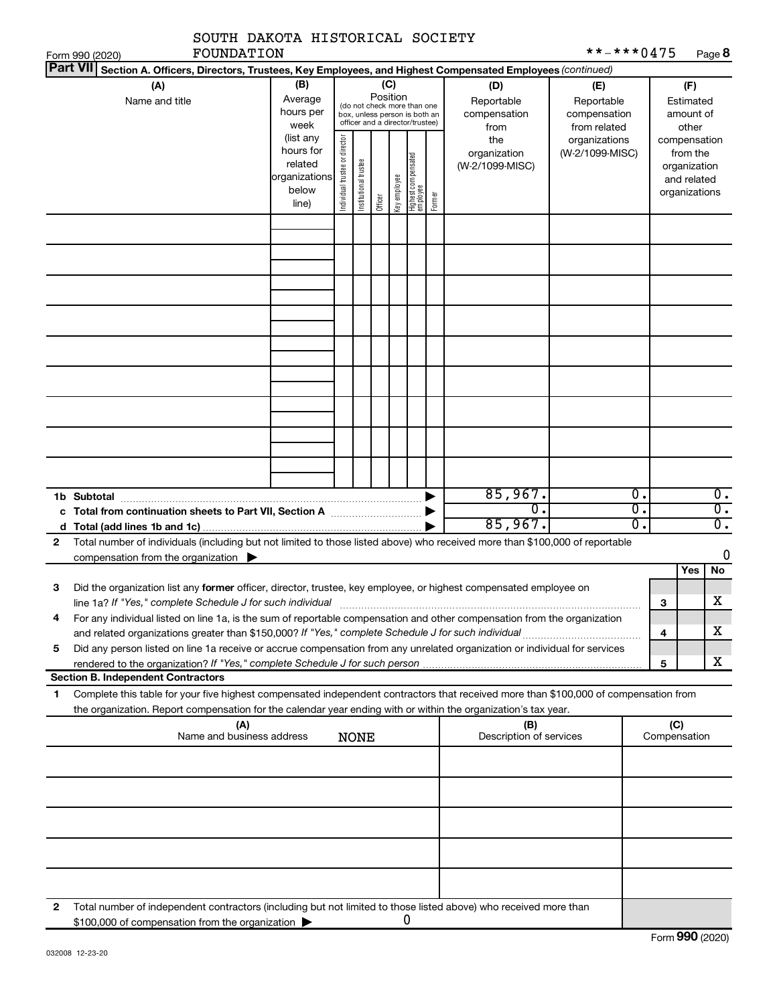|   | SOUTH DAKOTA HISTORICAL SOCIETY<br><b>FOUNDATION</b>                                                                                                                                                                                                                                                |                                     |  |                       |                 |              |                                                                                                 |        |                                           | **-***0475                                        |                              |                     |                                                                          |
|---|-----------------------------------------------------------------------------------------------------------------------------------------------------------------------------------------------------------------------------------------------------------------------------------------------------|-------------------------------------|--|-----------------------|-----------------|--------------|-------------------------------------------------------------------------------------------------|--------|-------------------------------------------|---------------------------------------------------|------------------------------|---------------------|--------------------------------------------------------------------------|
|   | Form 990 (2020)<br><b>Part VII</b><br>Section A. Officers, Directors, Trustees, Key Employees, and Highest Compensated Employees (continued)                                                                                                                                                        |                                     |  |                       |                 |              |                                                                                                 |        |                                           |                                                   |                              |                     | Page 8                                                                   |
|   | (A)<br>Name and title                                                                                                                                                                                                                                                                               | (B)<br>Average<br>hours per<br>week |  |                       | (C)<br>Position |              | (do not check more than one<br>box, unless person is both an<br>officer and a director/trustee) |        | (D)<br>Reportable<br>compensation<br>from | (E)<br>Reportable<br>compensation<br>from related |                              |                     | (F)<br>Estimated<br>amount of<br>other                                   |
|   | (list any<br>hours for<br>related<br>organizations<br>below<br>line)                                                                                                                                                                                                                                |                                     |  | Institutional trustee | Officer         | Key employee | Highest compensated<br>  employee                                                               | Former | the<br>organization<br>(W-2/1099-MISC)    | organizations<br>(W-2/1099-MISC)                  |                              |                     | compensation<br>from the<br>organization<br>and related<br>organizations |
|   |                                                                                                                                                                                                                                                                                                     |                                     |  |                       |                 |              |                                                                                                 |        |                                           |                                                   |                              |                     |                                                                          |
|   |                                                                                                                                                                                                                                                                                                     |                                     |  |                       |                 |              |                                                                                                 |        |                                           |                                                   |                              |                     |                                                                          |
|   |                                                                                                                                                                                                                                                                                                     |                                     |  |                       |                 |              |                                                                                                 |        |                                           |                                                   |                              |                     |                                                                          |
|   |                                                                                                                                                                                                                                                                                                     |                                     |  |                       |                 |              |                                                                                                 |        |                                           |                                                   |                              |                     |                                                                          |
|   |                                                                                                                                                                                                                                                                                                     |                                     |  |                       |                 |              |                                                                                                 |        |                                           |                                                   |                              |                     |                                                                          |
|   |                                                                                                                                                                                                                                                                                                     |                                     |  |                       |                 |              |                                                                                                 |        |                                           |                                                   |                              |                     |                                                                          |
|   |                                                                                                                                                                                                                                                                                                     |                                     |  |                       |                 |              |                                                                                                 |        | 85,967.<br>σ.<br>85,967.                  |                                                   | Ο.<br>$\overline{0}$ .<br>0. |                     | $\overline{0}$ .<br>$\overline{0}$ .<br>σ.                               |
| 2 | Total number of individuals (including but not limited to those listed above) who received more than \$100,000 of reportable<br>compensation from the organization $\blacktriangleright$                                                                                                            |                                     |  |                       |                 |              |                                                                                                 |        |                                           |                                                   |                              |                     | 0                                                                        |
| 3 | Did the organization list any <b>former</b> officer, director, trustee, key employee, or highest compensated employee on                                                                                                                                                                            |                                     |  |                       |                 |              |                                                                                                 |        |                                           |                                                   |                              |                     | Yes<br>No<br>X                                                           |
| 4 | line 1a? If "Yes," complete Schedule J for such individual<br>For any individual listed on line 1a, is the sum of reportable compensation and other compensation from the organization<br>and related organizations greater than \$150,000? If "Yes," complete Schedule J for such individual       |                                     |  |                       |                 |              |                                                                                                 |        |                                           |                                                   |                              | 3<br>4              | x                                                                        |
| 5 | Did any person listed on line 1a receive or accrue compensation from any unrelated organization or individual for services                                                                                                                                                                          |                                     |  |                       |                 |              |                                                                                                 |        |                                           |                                                   |                              | 5                   | x                                                                        |
| 1 | <b>Section B. Independent Contractors</b><br>Complete this table for your five highest compensated independent contractors that received more than \$100,000 of compensation from<br>the organization. Report compensation for the calendar year ending with or within the organization's tax year. |                                     |  |                       |                 |              |                                                                                                 |        |                                           |                                                   |                              |                     |                                                                          |
|   | (A)<br>Name and business address                                                                                                                                                                                                                                                                    |                                     |  | <b>NONE</b>           |                 |              |                                                                                                 |        | (B)<br>Description of services            |                                                   |                              | (C)<br>Compensation |                                                                          |
|   |                                                                                                                                                                                                                                                                                                     |                                     |  |                       |                 |              |                                                                                                 |        |                                           |                                                   |                              |                     |                                                                          |
|   |                                                                                                                                                                                                                                                                                                     |                                     |  |                       |                 |              |                                                                                                 |        |                                           |                                                   |                              |                     |                                                                          |
|   |                                                                                                                                                                                                                                                                                                     |                                     |  |                       |                 |              |                                                                                                 |        |                                           |                                                   |                              |                     |                                                                          |
| 2 | Total number of independent contractors (including but not limited to those listed above) who received more than                                                                                                                                                                                    |                                     |  |                       |                 |              |                                                                                                 |        |                                           |                                                   |                              |                     |                                                                          |
|   | \$100,000 of compensation from the organization                                                                                                                                                                                                                                                     |                                     |  |                       |                 |              | 0                                                                                               |        |                                           |                                                   |                              |                     |                                                                          |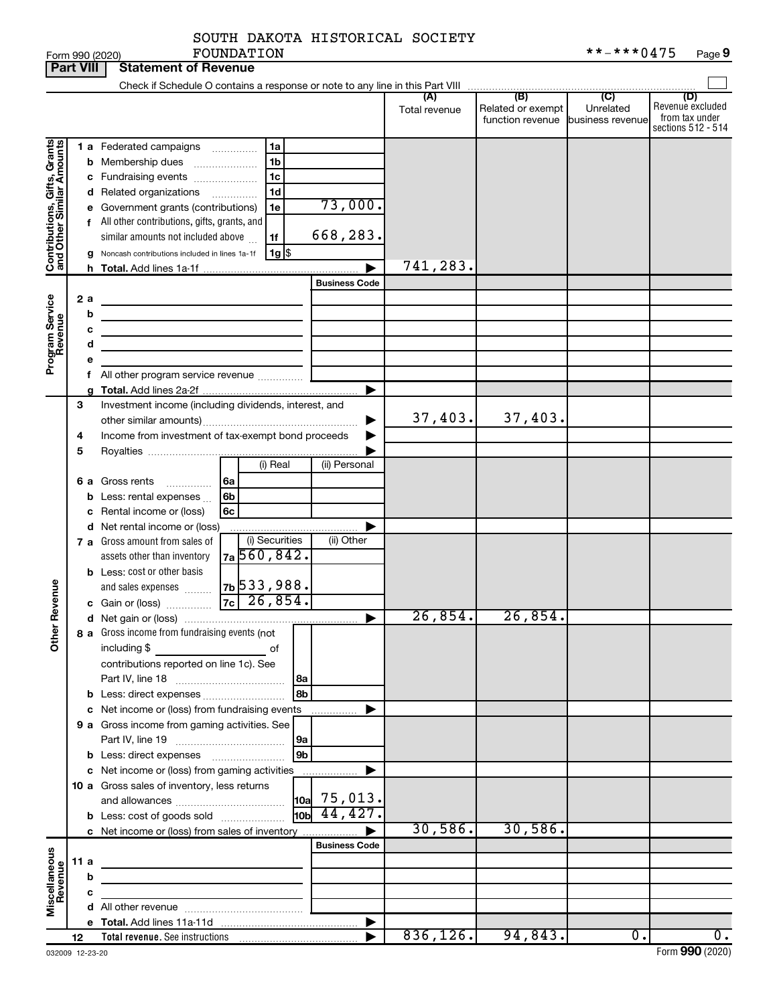|  | SOUTH DAKOTA HISTORICAL SOCIETY |  |
|--|---------------------------------|--|
|  |                                 |  |

**Part VIII Statement of Revenue**

|                                                           |      |   | Check if Schedule O contains a response or note to any line in this Part VIII                                          |               |                                                        |                  |                         |
|-----------------------------------------------------------|------|---|------------------------------------------------------------------------------------------------------------------------|---------------|--------------------------------------------------------|------------------|-------------------------|
|                                                           |      |   |                                                                                                                        |               | (B)                                                    | $\overline{C}$   | (D)<br>Revenue excluded |
|                                                           |      |   |                                                                                                                        | Total revenue | Related or exempt<br>function revenue business revenue | Unrelated        | from tax under          |
|                                                           |      |   |                                                                                                                        |               |                                                        |                  | sections 512 - 514      |
|                                                           |      |   | 1 a Federated campaigns<br>1a                                                                                          |               |                                                        |                  |                         |
| Contributions, Gifts, Grants<br>and Other Similar Amounts |      |   | 1 <sub>b</sub><br><b>b</b> Membership dues                                                                             |               |                                                        |                  |                         |
|                                                           |      |   | 1 <sub>c</sub><br>c Fundraising events                                                                                 |               |                                                        |                  |                         |
|                                                           |      |   | 1 <sub>d</sub><br>d Related organizations                                                                              |               |                                                        |                  |                         |
|                                                           |      |   | 73,000.<br>e Government grants (contributions)<br>1e                                                                   |               |                                                        |                  |                         |
|                                                           |      |   | f All other contributions, gifts, grants, and                                                                          |               |                                                        |                  |                         |
|                                                           |      |   | 668,283.<br>similar amounts not included above<br>1f                                                                   |               |                                                        |                  |                         |
|                                                           |      |   | $1g$ \$<br>Noncash contributions included in lines 1a-1f                                                               |               |                                                        |                  |                         |
|                                                           |      |   |                                                                                                                        | 741,283.      |                                                        |                  |                         |
|                                                           |      |   | <b>Business Code</b>                                                                                                   |               |                                                        |                  |                         |
|                                                           | 2 a  |   |                                                                                                                        |               |                                                        |                  |                         |
|                                                           |      | b |                                                                                                                        |               |                                                        |                  |                         |
| Program Service<br>Revenue                                |      | с | <u> 1989 - Johann Stein, marwolaethau a bhann an t-Albann an t-Albann an t-Albann an t-Albann an t-Albann an t-Alb</u> |               |                                                        |                  |                         |
|                                                           |      | d | <u> 1989 - Johann Barbara, martin a</u>                                                                                |               |                                                        |                  |                         |
|                                                           |      |   |                                                                                                                        |               |                                                        |                  |                         |
|                                                           |      |   |                                                                                                                        |               |                                                        |                  |                         |
|                                                           |      |   |                                                                                                                        |               |                                                        |                  |                         |
|                                                           | 3    |   | Investment income (including dividends, interest, and                                                                  |               |                                                        |                  |                         |
|                                                           |      |   |                                                                                                                        | 37,403.       | 37,403.                                                |                  |                         |
|                                                           | 4    |   | Income from investment of tax-exempt bond proceeds                                                                     |               |                                                        |                  |                         |
|                                                           | 5    |   |                                                                                                                        |               |                                                        |                  |                         |
|                                                           |      |   | (i) Real<br>(ii) Personal                                                                                              |               |                                                        |                  |                         |
|                                                           |      |   | <b>6 a</b> Gross rents<br>l 6a                                                                                         |               |                                                        |                  |                         |
|                                                           |      |   | 6b<br><b>b</b> Less: rental expenses $\ldots$                                                                          |               |                                                        |                  |                         |
|                                                           |      |   | c Rental income or (loss)<br>6c                                                                                        |               |                                                        |                  |                         |
|                                                           |      |   | d Net rental income or (loss)                                                                                          |               |                                                        |                  |                         |
|                                                           |      |   | (i) Securities<br>(ii) Other<br>7 a Gross amount from sales of                                                         |               |                                                        |                  |                         |
|                                                           |      |   | 7a 560, 842.<br>assets other than inventory                                                                            |               |                                                        |                  |                         |
|                                                           |      |   | <b>b</b> Less: cost or other basis                                                                                     |               |                                                        |                  |                         |
|                                                           |      |   | 7b 533, 988.<br>and sales expenses                                                                                     |               |                                                        |                  |                         |
|                                                           |      |   |                                                                                                                        |               |                                                        |                  |                         |
| <b>Other Revenue</b>                                      |      |   |                                                                                                                        | 26,854.       | 26,854.                                                |                  |                         |
|                                                           |      |   | 8 a Gross income from fundraising events (not                                                                          |               |                                                        |                  |                         |
|                                                           |      |   | including \$<br>of                                                                                                     |               |                                                        |                  |                         |
|                                                           |      |   | contributions reported on line 1c). See                                                                                |               |                                                        |                  |                         |
|                                                           |      |   | l8a                                                                                                                    |               |                                                        |                  |                         |
|                                                           |      |   | 8b<br><b>b</b> Less: direct expenses <i>manually contained</i>                                                         |               |                                                        |                  |                         |
|                                                           |      |   | c Net income or (loss) from fundraising events                                                                         |               |                                                        |                  |                         |
|                                                           |      |   | 9 a Gross income from gaming activities. See                                                                           |               |                                                        |                  |                         |
|                                                           |      |   | 9a                                                                                                                     |               |                                                        |                  |                         |
|                                                           |      |   | 9 <sub>b</sub><br><b>b</b> Less: direct expenses <b>manually</b>                                                       |               |                                                        |                  |                         |
|                                                           |      |   | c Net income or (loss) from gaming activities<br>.                                                                     |               |                                                        |                  |                         |
|                                                           |      |   | 10 a Gross sales of inventory, less returns<br>$\vert$ 10a $\vert$ 75,013.                                             |               |                                                        |                  |                         |
|                                                           |      |   | $10b$ 44, 427.                                                                                                         |               |                                                        |                  |                         |
|                                                           |      |   | <b>b</b> Less: cost of goods sold<br>c Net income or (loss) from sales of inventory                                    | 30,586.       | 30,586.                                                |                  |                         |
|                                                           |      |   | <b>Business Code</b>                                                                                                   |               |                                                        |                  |                         |
|                                                           | 11 a |   |                                                                                                                        |               |                                                        |                  |                         |
|                                                           |      | b | the control of the control of the control of the control of the control of                                             |               |                                                        |                  |                         |
|                                                           |      | с | <u> 1989 - Johann Barn, mars ann an t-Amhain an t-A</u>                                                                |               |                                                        |                  |                         |
| Miscellaneous<br>Revenue                                  |      |   |                                                                                                                        |               |                                                        |                  |                         |
|                                                           |      |   |                                                                                                                        |               |                                                        |                  |                         |
|                                                           | 12   |   |                                                                                                                        | 836, 126.     | 94,843.                                                | $\overline{0}$ . | $\overline{0}$ .        |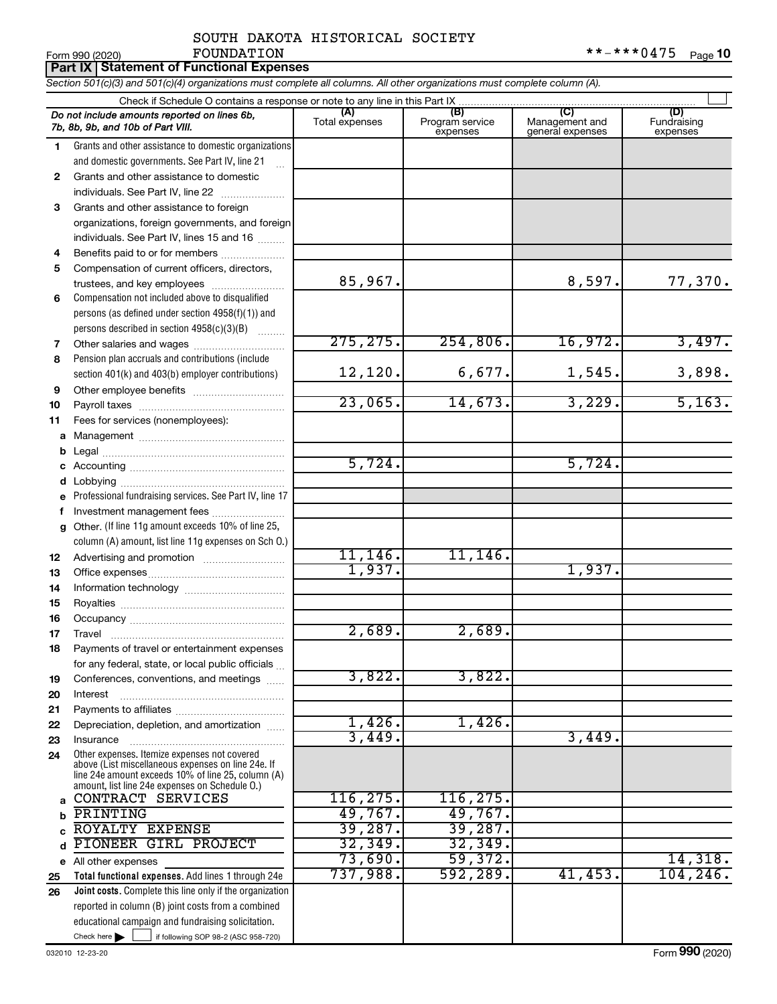|    | **-***0475<br>FOUNDATION<br>Page 10<br>Form 990 (2020)                                                                                                                                                     |                       |                                    |                                           |                                |  |  |  |  |  |  |
|----|------------------------------------------------------------------------------------------------------------------------------------------------------------------------------------------------------------|-----------------------|------------------------------------|-------------------------------------------|--------------------------------|--|--|--|--|--|--|
|    | <b>Part IX Statement of Functional Expenses</b>                                                                                                                                                            |                       |                                    |                                           |                                |  |  |  |  |  |  |
|    | Section 501(c)(3) and 501(c)(4) organizations must complete all columns. All other organizations must complete column (A).                                                                                 |                       |                                    |                                           |                                |  |  |  |  |  |  |
|    |                                                                                                                                                                                                            |                       |                                    |                                           |                                |  |  |  |  |  |  |
|    | Do not include amounts reported on lines 6b,<br>7b, 8b, 9b, and 10b of Part VIII.                                                                                                                          | (A)<br>Total expenses | (B)<br>Program service<br>expenses | (C)<br>Management and<br>general expenses | (D)<br>Fundraising<br>expenses |  |  |  |  |  |  |
| 1  | Grants and other assistance to domestic organizations                                                                                                                                                      |                       |                                    |                                           |                                |  |  |  |  |  |  |
|    | and domestic governments. See Part IV, line 21                                                                                                                                                             |                       |                                    |                                           |                                |  |  |  |  |  |  |
| 2  | Grants and other assistance to domestic                                                                                                                                                                    |                       |                                    |                                           |                                |  |  |  |  |  |  |
|    | individuals. See Part IV, line 22                                                                                                                                                                          |                       |                                    |                                           |                                |  |  |  |  |  |  |
| 3  | Grants and other assistance to foreign                                                                                                                                                                     |                       |                                    |                                           |                                |  |  |  |  |  |  |
|    | organizations, foreign governments, and foreign                                                                                                                                                            |                       |                                    |                                           |                                |  |  |  |  |  |  |
|    | individuals. See Part IV, lines 15 and 16                                                                                                                                                                  |                       |                                    |                                           |                                |  |  |  |  |  |  |
| 4  | Benefits paid to or for members                                                                                                                                                                            |                       |                                    |                                           |                                |  |  |  |  |  |  |
| 5  | Compensation of current officers, directors,                                                                                                                                                               |                       |                                    |                                           |                                |  |  |  |  |  |  |
|    | trustees, and key employees                                                                                                                                                                                | 85,967.               |                                    | 8,597.                                    | 77,370.                        |  |  |  |  |  |  |
| 6  | Compensation not included above to disqualified                                                                                                                                                            |                       |                                    |                                           |                                |  |  |  |  |  |  |
|    | persons (as defined under section $4958(f)(1)$ ) and                                                                                                                                                       |                       |                                    |                                           |                                |  |  |  |  |  |  |
|    | persons described in section 4958(c)(3)(B)                                                                                                                                                                 |                       |                                    |                                           |                                |  |  |  |  |  |  |
| 7  |                                                                                                                                                                                                            | 275, 275.             | 254,806.                           | 16,972.                                   | 3,497.                         |  |  |  |  |  |  |
| 8  | Pension plan accruals and contributions (include                                                                                                                                                           |                       |                                    |                                           |                                |  |  |  |  |  |  |
|    | section 401(k) and 403(b) employer contributions)                                                                                                                                                          | 12,120.               | 6,677.                             | 1,545.                                    | 3,898.                         |  |  |  |  |  |  |
| 9  |                                                                                                                                                                                                            |                       |                                    |                                           |                                |  |  |  |  |  |  |
| 10 |                                                                                                                                                                                                            | 23,065.               | 14,673.                            | 3,229.                                    | 5,163.                         |  |  |  |  |  |  |
| 11 | Fees for services (nonemployees):                                                                                                                                                                          |                       |                                    |                                           |                                |  |  |  |  |  |  |
| а  |                                                                                                                                                                                                            |                       |                                    |                                           |                                |  |  |  |  |  |  |
| b  |                                                                                                                                                                                                            | 5,724.                |                                    | 5,724.                                    |                                |  |  |  |  |  |  |
| c  |                                                                                                                                                                                                            |                       |                                    |                                           |                                |  |  |  |  |  |  |
| d  |                                                                                                                                                                                                            |                       |                                    |                                           |                                |  |  |  |  |  |  |
| e  | Professional fundraising services. See Part IV, line 17                                                                                                                                                    |                       |                                    |                                           |                                |  |  |  |  |  |  |
| f  | Investment management fees<br>Other. (If line 11g amount exceeds 10% of line 25,                                                                                                                           |                       |                                    |                                           |                                |  |  |  |  |  |  |
| g  | column (A) amount, list line 11g expenses on Sch O.)                                                                                                                                                       |                       |                                    |                                           |                                |  |  |  |  |  |  |
| 12 |                                                                                                                                                                                                            | 11, 146.              | 11, 146.                           |                                           |                                |  |  |  |  |  |  |
| 13 |                                                                                                                                                                                                            | 1,937.                |                                    | 1,937.                                    |                                |  |  |  |  |  |  |
| 14 |                                                                                                                                                                                                            |                       |                                    |                                           |                                |  |  |  |  |  |  |
| 15 |                                                                                                                                                                                                            |                       |                                    |                                           |                                |  |  |  |  |  |  |
| 16 |                                                                                                                                                                                                            |                       |                                    |                                           |                                |  |  |  |  |  |  |
| 17 | Travel                                                                                                                                                                                                     | 2,689.                | 2,689.                             |                                           |                                |  |  |  |  |  |  |
| 18 | Payments of travel or entertainment expenses                                                                                                                                                               |                       |                                    |                                           |                                |  |  |  |  |  |  |
|    | for any federal, state, or local public officials                                                                                                                                                          |                       |                                    |                                           |                                |  |  |  |  |  |  |
| 19 | Conferences, conventions, and meetings                                                                                                                                                                     | 3,822.                | 3,822.                             |                                           |                                |  |  |  |  |  |  |
| 20 | Interest                                                                                                                                                                                                   |                       |                                    |                                           |                                |  |  |  |  |  |  |
| 21 |                                                                                                                                                                                                            |                       |                                    |                                           |                                |  |  |  |  |  |  |
| 22 | Depreciation, depletion, and amortization                                                                                                                                                                  | 1,426.                | $1,426$ .                          |                                           |                                |  |  |  |  |  |  |
| 23 | Insurance                                                                                                                                                                                                  | 3,449.                |                                    | 3,449.                                    |                                |  |  |  |  |  |  |
| 24 | Other expenses. Itemize expenses not covered<br>above (List miscellaneous expenses on line 24e. If<br>line 24e amount exceeds 10% of line 25, column (A)<br>amount, list line 24e expenses on Schedule 0.) |                       |                                    |                                           |                                |  |  |  |  |  |  |
|    | a CONTRACT SERVICES                                                                                                                                                                                        | 116, 275.             | 116, 275.                          |                                           |                                |  |  |  |  |  |  |
| b  | <b>PRINTING</b>                                                                                                                                                                                            | 49,767.               | 49,767.                            |                                           |                                |  |  |  |  |  |  |
| c  | ROYALTY EXPENSE                                                                                                                                                                                            | 39,287.               | 39,287.                            |                                           |                                |  |  |  |  |  |  |
| d  | PIONEER GIRL PROJECT                                                                                                                                                                                       | 32,349.               | 32,349.                            |                                           |                                |  |  |  |  |  |  |
|    | e All other expenses                                                                                                                                                                                       | 73,690.               | 59,372.                            |                                           | 14,318.                        |  |  |  |  |  |  |
| 25 | Total functional expenses. Add lines 1 through 24e                                                                                                                                                         | 737,988.              | 592, 289.                          | 41,453.                                   | 104, 246.                      |  |  |  |  |  |  |

Check here if following SOP 98-2 (ASC 958-720) **Total functional expenses. Joint costs.** Complete this line only if the organization **25** Total functional expenses. Add lines 1 through 24e **26** reported in column (B) joint costs from a combined educational campaign and fundraising solicitation.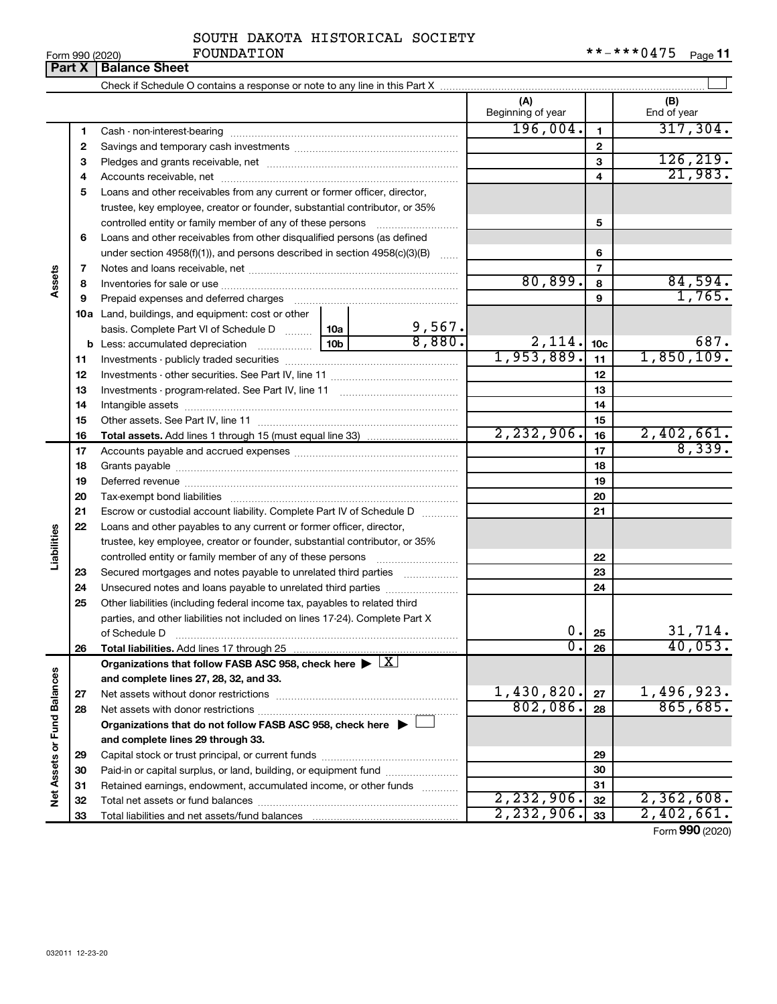|  | Form 990 (2020 |
|--|----------------|

|                             | <b>UITH JJU ILULUI</b><br>Part X | <b>Balance Sheet</b>                                                               |  |                       |                             |                 | r ayo ri           |
|-----------------------------|----------------------------------|------------------------------------------------------------------------------------|--|-----------------------|-----------------------------|-----------------|--------------------|
|                             |                                  |                                                                                    |  |                       |                             |                 |                    |
|                             |                                  |                                                                                    |  |                       | (A)<br>Beginning of year    |                 | (B)<br>End of year |
|                             | 1                                |                                                                                    |  |                       | 196,004.                    | 1               | 317,304.           |
|                             | 2                                |                                                                                    |  |                       |                             | $\mathbf{2}$    |                    |
|                             | з                                |                                                                                    |  |                       |                             | 3               | 126, 219.          |
|                             | 4                                |                                                                                    |  |                       |                             | 4               | 21,983.            |
|                             | 5                                | Loans and other receivables from any current or former officer, director,          |  |                       |                             |                 |                    |
|                             |                                  | trustee, key employee, creator or founder, substantial contributor, or 35%         |  |                       |                             |                 |                    |
|                             |                                  | controlled entity or family member of any of these persons                         |  |                       |                             | 5               |                    |
|                             | 6                                | Loans and other receivables from other disqualified persons (as defined            |  |                       |                             |                 |                    |
|                             |                                  | under section 4958(f)(1)), and persons described in section 4958(c)(3)(B)          |  |                       |                             | 6               |                    |
|                             | 7                                |                                                                                    |  |                       | $\overline{7}$              |                 |                    |
| Assets                      | 8                                |                                                                                    |  |                       | 80,899.                     | 8               | 84,594.            |
|                             | 9                                |                                                                                    |  |                       |                             | 9               | 1,765.             |
|                             |                                  | 10a Land, buildings, and equipment: cost or other                                  |  |                       |                             |                 |                    |
|                             |                                  | basis. Complete Part VI of Schedule D  10a                                         |  | $\frac{9,567}{8,880}$ |                             |                 |                    |
|                             |                                  |                                                                                    |  |                       | $\frac{2,114.}{1,953,889.}$ | 10 <sub>c</sub> | 687.               |
|                             | 11                               |                                                                                    |  |                       |                             | 11              | 1,850,109.         |
|                             | 12                               |                                                                                    |  | 12                    |                             |                 |                    |
|                             | 13                               |                                                                                    |  |                       | 13                          |                 |                    |
|                             | 14                               |                                                                                    |  |                       | 14                          |                 |                    |
|                             | 15                               |                                                                                    |  |                       |                             | 15              |                    |
|                             | 16                               |                                                                                    |  |                       | 2, 232, 906.                | 16              | 2,402,661.         |
|                             | 17                               |                                                                                    |  |                       | 17                          | 8,339.          |                    |
|                             | 18                               |                                                                                    |  |                       | 18                          |                 |                    |
|                             | 19                               |                                                                                    |  |                       |                             | 19              |                    |
|                             | 20                               |                                                                                    |  |                       |                             | 20              |                    |
|                             | 21                               | Escrow or custodial account liability. Complete Part IV of Schedule D              |  |                       |                             | 21              |                    |
|                             | 22                               | Loans and other payables to any current or former officer, director,               |  |                       |                             |                 |                    |
| Liabilities                 |                                  | trustee, key employee, creator or founder, substantial contributor, or 35%         |  |                       |                             |                 |                    |
|                             |                                  | controlled entity or family member of any of these persons                         |  |                       |                             | 22              |                    |
|                             | 23                               | Secured mortgages and notes payable to unrelated third parties                     |  |                       |                             | 23              |                    |
|                             | 24                               | Unsecured notes and loans payable to unrelated third parties                       |  |                       |                             | 24              |                    |
|                             | 25                               | Other liabilities (including federal income tax, payables to related third         |  |                       |                             |                 |                    |
|                             |                                  | parties, and other liabilities not included on lines 17-24). Complete Part X       |  |                       |                             |                 |                    |
|                             |                                  | of Schedule D                                                                      |  |                       | 0.<br>σ.                    | 25              | 31,714.<br>40,053. |
|                             | 26                               | Total liabilities. Add lines 17 through 25                                         |  |                       |                             | 26              |                    |
|                             |                                  | Organizations that follow FASB ASC 958, check here $\blacktriangleright \boxed{X}$ |  |                       |                             |                 |                    |
|                             |                                  | and complete lines 27, 28, 32, and 33.                                             |  |                       | 1,430,820.                  |                 | 1,496,923.         |
|                             | 27                               | Net assets without donor restrictions                                              |  |                       | 802,086.                    | 27              | 865,685.           |
| Net Assets or Fund Balances | 28                               |                                                                                    |  |                       |                             | 28              |                    |
|                             |                                  | Organizations that do not follow FASB ASC 958, check here $\blacktriangleright$    |  |                       |                             |                 |                    |
|                             |                                  | and complete lines 29 through 33.                                                  |  |                       |                             |                 |                    |
|                             | 29                               |                                                                                    |  |                       |                             | 29              |                    |
|                             | 30                               | Paid-in or capital surplus, or land, building, or equipment fund                   |  |                       |                             | 30              |                    |
|                             | 31                               | Retained earnings, endowment, accumulated income, or other funds                   |  |                       | 2, 232, 906.                | 31<br>32        | 2,362,608.         |
|                             | 32                               |                                                                                    |  |                       | 2, 232, 906.                | 33              | 2,402,661.         |
|                             | 33                               |                                                                                    |  |                       |                             |                 |                    |

Form (2020) **990**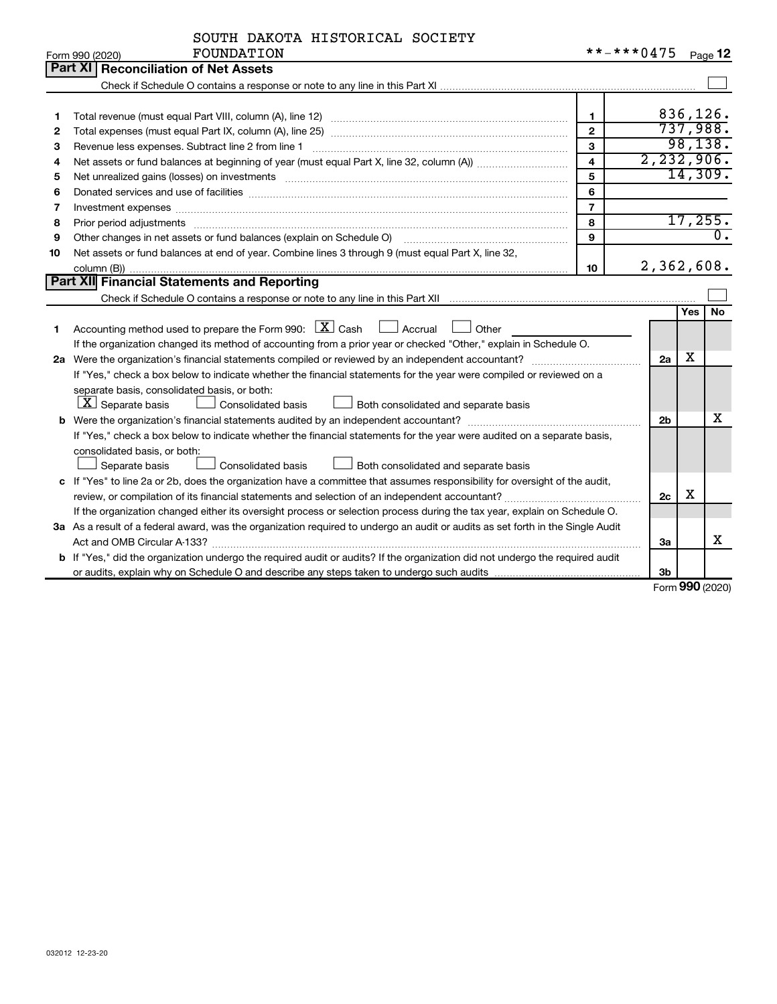|                   | SOUTH DAKOTA HISTORICAL SOCIETY |  |
|-------------------|---------------------------------|--|
| <b>ROINDATION</b> |                                 |  |

|    | Form 990 (2020)<br><b>FOUNDATION</b>                                                                                                                                                                                          |                         | $-0.04/5$      |            | Page 12              |  |  |  |
|----|-------------------------------------------------------------------------------------------------------------------------------------------------------------------------------------------------------------------------------|-------------------------|----------------|------------|----------------------|--|--|--|
|    | <b>Part XI   Reconciliation of Net Assets</b>                                                                                                                                                                                 |                         |                |            |                      |  |  |  |
|    |                                                                                                                                                                                                                               |                         |                |            |                      |  |  |  |
|    |                                                                                                                                                                                                                               |                         |                |            |                      |  |  |  |
| 1  |                                                                                                                                                                                                                               | $\mathbf{1}$            |                |            | 836,126.             |  |  |  |
| 2  |                                                                                                                                                                                                                               | $\mathbf{2}$            |                |            | 737,988.<br>98, 138. |  |  |  |
| 3  | 3<br>Revenue less expenses. Subtract line 2 from line 1                                                                                                                                                                       |                         |                |            |                      |  |  |  |
| 4  |                                                                                                                                                                                                                               | $\overline{\mathbf{4}}$ | 2, 232, 906.   |            |                      |  |  |  |
| 5  | Net unrealized gains (losses) on investments [11] matter in the content of the state of the state of the state of the state of the state of the state of the state of the state of the state of the state of the state of the | 5                       |                |            | 14,309.              |  |  |  |
| 6  |                                                                                                                                                                                                                               | 6                       |                |            |                      |  |  |  |
| 7  | Investment expenses www.communication.com/www.communication.com/www.communication.com/www.com                                                                                                                                 | $\overline{7}$          |                |            |                      |  |  |  |
| 8  | Prior period adjustments                                                                                                                                                                                                      | 8                       |                |            | 17,255.              |  |  |  |
| 9  | Other changes in net assets or fund balances (explain on Schedule O)                                                                                                                                                          | 9                       |                |            | $\overline{0}$ .     |  |  |  |
| 10 | Net assets or fund balances at end of year. Combine lines 3 through 9 (must equal Part X, line 32,                                                                                                                            |                         |                |            |                      |  |  |  |
|    |                                                                                                                                                                                                                               | 10                      | 2,362,608.     |            |                      |  |  |  |
|    | Part XII Financial Statements and Reporting                                                                                                                                                                                   |                         |                |            |                      |  |  |  |
|    |                                                                                                                                                                                                                               |                         |                |            |                      |  |  |  |
|    |                                                                                                                                                                                                                               |                         |                | <b>Yes</b> | <b>No</b>            |  |  |  |
| 1  | Accounting method used to prepare the Form 990: $X \subset X$ Cash<br>$\Box$ Accrual<br>Other                                                                                                                                 |                         |                |            |                      |  |  |  |
|    | If the organization changed its method of accounting from a prior year or checked "Other," explain in Schedule O.                                                                                                             |                         |                |            |                      |  |  |  |
|    |                                                                                                                                                                                                                               |                         | 2a             | x          |                      |  |  |  |
|    | If "Yes," check a box below to indicate whether the financial statements for the year were compiled or reviewed on a                                                                                                          |                         |                |            |                      |  |  |  |
|    | separate basis, consolidated basis, or both:                                                                                                                                                                                  |                         |                |            |                      |  |  |  |
|    | $ \mathbf{X} $ Separate basis<br>Both consolidated and separate basis<br><b>Consolidated basis</b>                                                                                                                            |                         |                |            |                      |  |  |  |
|    |                                                                                                                                                                                                                               |                         | 2 <sub>b</sub> |            | x                    |  |  |  |
|    | If "Yes," check a box below to indicate whether the financial statements for the year were audited on a separate basis,                                                                                                       |                         |                |            |                      |  |  |  |
|    | consolidated basis, or both:                                                                                                                                                                                                  |                         |                |            |                      |  |  |  |
|    | Separate basis<br><b>Consolidated basis</b><br>Both consolidated and separate basis                                                                                                                                           |                         |                |            |                      |  |  |  |
|    | c If "Yes" to line 2a or 2b, does the organization have a committee that assumes responsibility for oversight of the audit,                                                                                                   |                         |                |            |                      |  |  |  |
|    |                                                                                                                                                                                                                               |                         | 2c             | х          |                      |  |  |  |
|    | If the organization changed either its oversight process or selection process during the tax year, explain on Schedule O.                                                                                                     |                         |                |            |                      |  |  |  |
|    | 3a As a result of a federal award, was the organization required to undergo an audit or audits as set forth in the Single Audit                                                                                               |                         |                |            |                      |  |  |  |
|    |                                                                                                                                                                                                                               |                         | За             |            | x                    |  |  |  |
|    | b If "Yes," did the organization undergo the required audit or audits? If the organization did not undergo the required audit                                                                                                 |                         |                |            |                      |  |  |  |
|    |                                                                                                                                                                                                                               |                         | 3 <sub>b</sub> |            |                      |  |  |  |

Form (2020) **990**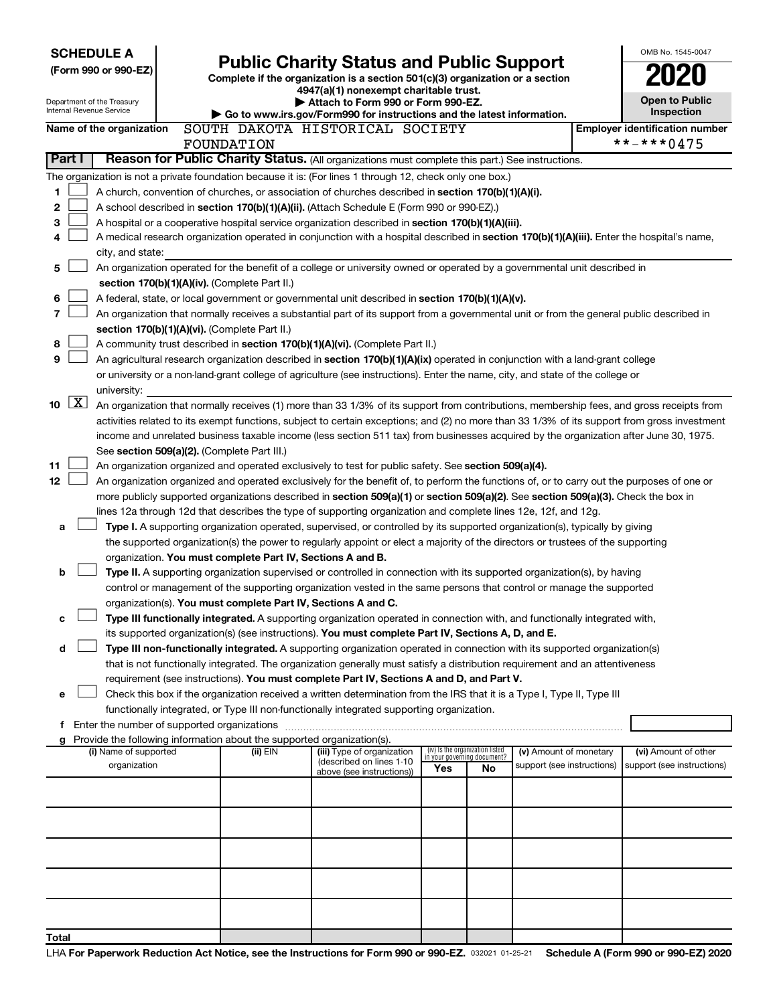| <b>SCHEDULE A</b><br>(Form 990 or 990-EZ)<br>Department of the Treasury<br>Internal Revenue Service |                     |                                       | <b>Public Charity Status and Public Support</b><br>Complete if the organization is a section 501(c)(3) organization or a section<br>4947(a)(1) nonexempt charitable trust.<br>Attach to Form 990 or Form 990-EZ.<br>Go to www.irs.gov/Form990 for instructions and the latest information. |                                                                                                                                              |                                                                |    |                                                      |  |                                                     |  |  |  |
|-----------------------------------------------------------------------------------------------------|---------------------|---------------------------------------|--------------------------------------------------------------------------------------------------------------------------------------------------------------------------------------------------------------------------------------------------------------------------------------------|----------------------------------------------------------------------------------------------------------------------------------------------|----------------------------------------------------------------|----|------------------------------------------------------|--|-----------------------------------------------------|--|--|--|
|                                                                                                     |                     |                                       |                                                                                                                                                                                                                                                                                            |                                                                                                                                              |                                                                |    |                                                      |  | <b>Inspection</b>                                   |  |  |  |
|                                                                                                     |                     | Name of the organization              | FOUNDATION                                                                                                                                                                                                                                                                                 | SOUTH DAKOTA HISTORICAL SOCIETY                                                                                                              |                                                                |    |                                                      |  | <b>Employer identification number</b><br>**-***0475 |  |  |  |
|                                                                                                     | Part I              |                                       |                                                                                                                                                                                                                                                                                            | Reason for Public Charity Status. (All organizations must complete this part.) See instructions.                                             |                                                                |    |                                                      |  |                                                     |  |  |  |
|                                                                                                     |                     |                                       |                                                                                                                                                                                                                                                                                            | The organization is not a private foundation because it is: (For lines 1 through 12, check only one box.)                                    |                                                                |    |                                                      |  |                                                     |  |  |  |
| 1                                                                                                   |                     |                                       |                                                                                                                                                                                                                                                                                            | A church, convention of churches, or association of churches described in section 170(b)(1)(A)(i).                                           |                                                                |    |                                                      |  |                                                     |  |  |  |
| 2                                                                                                   |                     |                                       |                                                                                                                                                                                                                                                                                            | A school described in section 170(b)(1)(A)(ii). (Attach Schedule E (Form 990 or 990-EZ).)                                                    |                                                                |    |                                                      |  |                                                     |  |  |  |
| 3                                                                                                   |                     |                                       |                                                                                                                                                                                                                                                                                            | A hospital or a cooperative hospital service organization described in section 170(b)(1)(A)(iii).                                            |                                                                |    |                                                      |  |                                                     |  |  |  |
| 4                                                                                                   |                     |                                       |                                                                                                                                                                                                                                                                                            | A medical research organization operated in conjunction with a hospital described in section 170(b)(1)(A)(iii). Enter the hospital's name,   |                                                                |    |                                                      |  |                                                     |  |  |  |
|                                                                                                     |                     | city, and state:                      |                                                                                                                                                                                                                                                                                            |                                                                                                                                              |                                                                |    |                                                      |  |                                                     |  |  |  |
| 5                                                                                                   |                     |                                       |                                                                                                                                                                                                                                                                                            | An organization operated for the benefit of a college or university owned or operated by a governmental unit described in                    |                                                                |    |                                                      |  |                                                     |  |  |  |
|                                                                                                     |                     |                                       | section 170(b)(1)(A)(iv). (Complete Part II.)                                                                                                                                                                                                                                              |                                                                                                                                              |                                                                |    |                                                      |  |                                                     |  |  |  |
| 6                                                                                                   |                     |                                       |                                                                                                                                                                                                                                                                                            | A federal, state, or local government or governmental unit described in section 170(b)(1)(A)(v).                                             |                                                                |    |                                                      |  |                                                     |  |  |  |
| 7                                                                                                   |                     |                                       |                                                                                                                                                                                                                                                                                            | An organization that normally receives a substantial part of its support from a governmental unit or from the general public described in    |                                                                |    |                                                      |  |                                                     |  |  |  |
|                                                                                                     |                     |                                       | section 170(b)(1)(A)(vi). (Complete Part II.)                                                                                                                                                                                                                                              |                                                                                                                                              |                                                                |    |                                                      |  |                                                     |  |  |  |
| 8                                                                                                   |                     |                                       |                                                                                                                                                                                                                                                                                            | A community trust described in section 170(b)(1)(A)(vi). (Complete Part II.)                                                                 |                                                                |    |                                                      |  |                                                     |  |  |  |
| 9                                                                                                   |                     |                                       |                                                                                                                                                                                                                                                                                            | An agricultural research organization described in section 170(b)(1)(A)(ix) operated in conjunction with a land-grant college                |                                                                |    |                                                      |  |                                                     |  |  |  |
|                                                                                                     |                     | university:                           |                                                                                                                                                                                                                                                                                            | or university or a non-land-grant college of agriculture (see instructions). Enter the name, city, and state of the college or               |                                                                |    |                                                      |  |                                                     |  |  |  |
| 10                                                                                                  | $\lfloor x \rfloor$ |                                       |                                                                                                                                                                                                                                                                                            | An organization that normally receives (1) more than 33 1/3% of its support from contributions, membership fees, and gross receipts from     |                                                                |    |                                                      |  |                                                     |  |  |  |
|                                                                                                     |                     |                                       |                                                                                                                                                                                                                                                                                            | activities related to its exempt functions, subject to certain exceptions; and (2) no more than 33 1/3% of its support from gross investment |                                                                |    |                                                      |  |                                                     |  |  |  |
|                                                                                                     |                     |                                       |                                                                                                                                                                                                                                                                                            | income and unrelated business taxable income (less section 511 tax) from businesses acquired by the organization after June 30, 1975.        |                                                                |    |                                                      |  |                                                     |  |  |  |
|                                                                                                     |                     |                                       | See section 509(a)(2). (Complete Part III.)                                                                                                                                                                                                                                                |                                                                                                                                              |                                                                |    |                                                      |  |                                                     |  |  |  |
| 11                                                                                                  |                     |                                       |                                                                                                                                                                                                                                                                                            | An organization organized and operated exclusively to test for public safety. See section 509(a)(4).                                         |                                                                |    |                                                      |  |                                                     |  |  |  |
| 12                                                                                                  |                     |                                       |                                                                                                                                                                                                                                                                                            | An organization organized and operated exclusively for the benefit of, to perform the functions of, or to carry out the purposes of one or   |                                                                |    |                                                      |  |                                                     |  |  |  |
|                                                                                                     |                     |                                       |                                                                                                                                                                                                                                                                                            | more publicly supported organizations described in section 509(a)(1) or section 509(a)(2). See section 509(a)(3). Check the box in           |                                                                |    |                                                      |  |                                                     |  |  |  |
|                                                                                                     |                     |                                       |                                                                                                                                                                                                                                                                                            | lines 12a through 12d that describes the type of supporting organization and complete lines 12e, 12f, and 12g.                               |                                                                |    |                                                      |  |                                                     |  |  |  |
| а                                                                                                   |                     |                                       |                                                                                                                                                                                                                                                                                            | Type I. A supporting organization operated, supervised, or controlled by its supported organization(s), typically by giving                  |                                                                |    |                                                      |  |                                                     |  |  |  |
|                                                                                                     |                     |                                       |                                                                                                                                                                                                                                                                                            | the supported organization(s) the power to regularly appoint or elect a majority of the directors or trustees of the supporting              |                                                                |    |                                                      |  |                                                     |  |  |  |
|                                                                                                     |                     |                                       | organization. You must complete Part IV, Sections A and B.                                                                                                                                                                                                                                 |                                                                                                                                              |                                                                |    |                                                      |  |                                                     |  |  |  |
| b                                                                                                   |                     |                                       |                                                                                                                                                                                                                                                                                            | Type II. A supporting organization supervised or controlled in connection with its supported organization(s), by having                      |                                                                |    |                                                      |  |                                                     |  |  |  |
|                                                                                                     |                     |                                       |                                                                                                                                                                                                                                                                                            | control or management of the supporting organization vested in the same persons that control or manage the supported                         |                                                                |    |                                                      |  |                                                     |  |  |  |
|                                                                                                     |                     |                                       | organization(s). You must complete Part IV, Sections A and C.                                                                                                                                                                                                                              | Type III functionally integrated. A supporting organization operated in connection with, and functionally integrated with,                   |                                                                |    |                                                      |  |                                                     |  |  |  |
| c                                                                                                   |                     |                                       |                                                                                                                                                                                                                                                                                            | its supported organization(s) (see instructions). You must complete Part IV, Sections A, D, and E.                                           |                                                                |    |                                                      |  |                                                     |  |  |  |
| d                                                                                                   |                     |                                       |                                                                                                                                                                                                                                                                                            | Type III non-functionally integrated. A supporting organization operated in connection with its supported organization(s)                    |                                                                |    |                                                      |  |                                                     |  |  |  |
|                                                                                                     |                     |                                       |                                                                                                                                                                                                                                                                                            | that is not functionally integrated. The organization generally must satisfy a distribution requirement and an attentiveness                 |                                                                |    |                                                      |  |                                                     |  |  |  |
|                                                                                                     |                     |                                       |                                                                                                                                                                                                                                                                                            | requirement (see instructions). You must complete Part IV, Sections A and D, and Part V.                                                     |                                                                |    |                                                      |  |                                                     |  |  |  |
| е                                                                                                   |                     |                                       |                                                                                                                                                                                                                                                                                            | Check this box if the organization received a written determination from the IRS that it is a Type I, Type II, Type III                      |                                                                |    |                                                      |  |                                                     |  |  |  |
|                                                                                                     |                     |                                       |                                                                                                                                                                                                                                                                                            | functionally integrated, or Type III non-functionally integrated supporting organization.                                                    |                                                                |    |                                                      |  |                                                     |  |  |  |
|                                                                                                     |                     |                                       |                                                                                                                                                                                                                                                                                            |                                                                                                                                              |                                                                |    |                                                      |  |                                                     |  |  |  |
|                                                                                                     |                     |                                       | g Provide the following information about the supported organization(s).                                                                                                                                                                                                                   |                                                                                                                                              |                                                                |    |                                                      |  |                                                     |  |  |  |
|                                                                                                     |                     | (i) Name of supported<br>organization | (ii) EIN                                                                                                                                                                                                                                                                                   | (iii) Type of organization<br>(described on lines 1-10                                                                                       | (iv) Is the organization listed<br>in your governing document? |    | (v) Amount of monetary<br>support (see instructions) |  | (vi) Amount of other<br>support (see instructions)  |  |  |  |
|                                                                                                     |                     |                                       |                                                                                                                                                                                                                                                                                            | above (see instructions))                                                                                                                    | Yes                                                            | No |                                                      |  |                                                     |  |  |  |
|                                                                                                     |                     |                                       |                                                                                                                                                                                                                                                                                            |                                                                                                                                              |                                                                |    |                                                      |  |                                                     |  |  |  |
|                                                                                                     |                     |                                       |                                                                                                                                                                                                                                                                                            |                                                                                                                                              |                                                                |    |                                                      |  |                                                     |  |  |  |
|                                                                                                     |                     |                                       |                                                                                                                                                                                                                                                                                            |                                                                                                                                              |                                                                |    |                                                      |  |                                                     |  |  |  |
|                                                                                                     |                     |                                       |                                                                                                                                                                                                                                                                                            |                                                                                                                                              |                                                                |    |                                                      |  |                                                     |  |  |  |
|                                                                                                     |                     |                                       |                                                                                                                                                                                                                                                                                            |                                                                                                                                              |                                                                |    |                                                      |  |                                                     |  |  |  |
|                                                                                                     |                     |                                       |                                                                                                                                                                                                                                                                                            |                                                                                                                                              |                                                                |    |                                                      |  |                                                     |  |  |  |
|                                                                                                     |                     |                                       |                                                                                                                                                                                                                                                                                            |                                                                                                                                              |                                                                |    |                                                      |  |                                                     |  |  |  |
| Total                                                                                               |                     |                                       |                                                                                                                                                                                                                                                                                            |                                                                                                                                              |                                                                |    |                                                      |  |                                                     |  |  |  |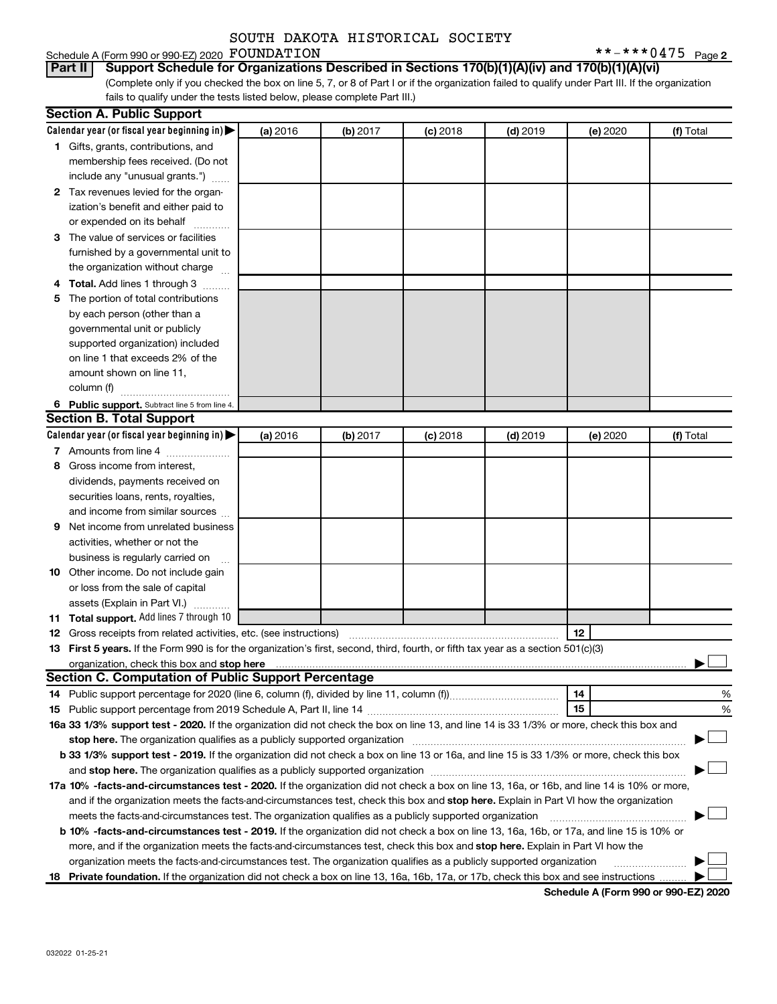#### FOUNDATION  $***-**0475$   $_{\text{Page 2}}$

#### Schedule A (Form 990 or 990-EZ) 2020 FOUNDATION **Part II Support Schedule for Organizations Described in Sections 170(b)(1)(A)(iv) and 170(b)(1)(A)(vi)**

(Complete only if you checked the box on line 5, 7, or 8 of Part I or if the organization failed to qualify under Part III. If the organization fails to qualify under the tests listed below, please complete Part III.)

|   | <b>Section A. Public Support</b>                                                                                                                                                                                                    |          |          |            |            |          |           |
|---|-------------------------------------------------------------------------------------------------------------------------------------------------------------------------------------------------------------------------------------|----------|----------|------------|------------|----------|-----------|
|   | Calendar year (or fiscal year beginning in)                                                                                                                                                                                         | (a) 2016 | (b) 2017 | $(c)$ 2018 | $(d)$ 2019 | (e) 2020 | (f) Total |
|   | 1 Gifts, grants, contributions, and                                                                                                                                                                                                 |          |          |            |            |          |           |
|   | membership fees received. (Do not                                                                                                                                                                                                   |          |          |            |            |          |           |
|   | include any "unusual grants.")                                                                                                                                                                                                      |          |          |            |            |          |           |
|   | 2 Tax revenues levied for the organ-                                                                                                                                                                                                |          |          |            |            |          |           |
|   | ization's benefit and either paid to                                                                                                                                                                                                |          |          |            |            |          |           |
|   | or expended on its behalf                                                                                                                                                                                                           |          |          |            |            |          |           |
|   | 3 The value of services or facilities                                                                                                                                                                                               |          |          |            |            |          |           |
|   | furnished by a governmental unit to                                                                                                                                                                                                 |          |          |            |            |          |           |
|   | the organization without charge                                                                                                                                                                                                     |          |          |            |            |          |           |
|   | 4 Total. Add lines 1 through 3                                                                                                                                                                                                      |          |          |            |            |          |           |
|   | 5 The portion of total contributions                                                                                                                                                                                                |          |          |            |            |          |           |
|   | by each person (other than a                                                                                                                                                                                                        |          |          |            |            |          |           |
|   | governmental unit or publicly                                                                                                                                                                                                       |          |          |            |            |          |           |
|   | supported organization) included                                                                                                                                                                                                    |          |          |            |            |          |           |
|   | on line 1 that exceeds 2% of the                                                                                                                                                                                                    |          |          |            |            |          |           |
|   | amount shown on line 11,                                                                                                                                                                                                            |          |          |            |            |          |           |
|   | column (f)                                                                                                                                                                                                                          |          |          |            |            |          |           |
|   | 6 Public support. Subtract line 5 from line 4.                                                                                                                                                                                      |          |          |            |            |          |           |
|   | <b>Section B. Total Support</b>                                                                                                                                                                                                     |          |          |            |            |          |           |
|   | Calendar year (or fiscal year beginning in)                                                                                                                                                                                         | (a) 2016 | (b) 2017 | $(c)$ 2018 | $(d)$ 2019 | (e) 2020 | (f) Total |
|   | 7 Amounts from line 4                                                                                                                                                                                                               |          |          |            |            |          |           |
| 8 | Gross income from interest,                                                                                                                                                                                                         |          |          |            |            |          |           |
|   | dividends, payments received on                                                                                                                                                                                                     |          |          |            |            |          |           |
|   | securities loans, rents, royalties,                                                                                                                                                                                                 |          |          |            |            |          |           |
|   | and income from similar sources                                                                                                                                                                                                     |          |          |            |            |          |           |
| 9 | Net income from unrelated business                                                                                                                                                                                                  |          |          |            |            |          |           |
|   | activities, whether or not the                                                                                                                                                                                                      |          |          |            |            |          |           |
|   | business is regularly carried on                                                                                                                                                                                                    |          |          |            |            |          |           |
|   | 10 Other income. Do not include gain                                                                                                                                                                                                |          |          |            |            |          |           |
|   | or loss from the sale of capital                                                                                                                                                                                                    |          |          |            |            |          |           |
|   | assets (Explain in Part VI.)                                                                                                                                                                                                        |          |          |            |            |          |           |
|   | 11 Total support. Add lines 7 through 10                                                                                                                                                                                            |          |          |            |            |          |           |
|   | <b>12</b> Gross receipts from related activities, etc. (see instructions)                                                                                                                                                           |          |          |            |            | 12       |           |
|   | 13 First 5 years. If the Form 990 is for the organization's first, second, third, fourth, or fifth tax year as a section 501(c)(3)                                                                                                  |          |          |            |            |          |           |
|   | organization, check this box and stop here <b>construction and construction</b> control and construction of the construction of the construction of the construction of the construction of the construction of the construction of |          |          |            |            |          |           |
|   | <b>Section C. Computation of Public Support Percentage</b>                                                                                                                                                                          |          |          |            |            |          |           |
|   |                                                                                                                                                                                                                                     |          |          |            |            | 14       | %         |
|   |                                                                                                                                                                                                                                     |          |          |            |            | 15       | %         |
|   | 16a 33 1/3% support test - 2020. If the organization did not check the box on line 13, and line 14 is 33 1/3% or more, check this box and                                                                                           |          |          |            |            |          |           |
|   |                                                                                                                                                                                                                                     |          |          |            |            |          |           |
|   | b 33 1/3% support test - 2019. If the organization did not check a box on line 13 or 16a, and line 15 is 33 1/3% or more, check this box                                                                                            |          |          |            |            |          |           |
|   |                                                                                                                                                                                                                                     |          |          |            |            |          |           |
|   | 17a 10% -facts-and-circumstances test - 2020. If the organization did not check a box on line 13, 16a, or 16b, and line 14 is 10% or more,                                                                                          |          |          |            |            |          |           |
|   | and if the organization meets the facts-and-circumstances test, check this box and stop here. Explain in Part VI how the organization                                                                                               |          |          |            |            |          |           |
|   | meets the facts-and-circumstances test. The organization qualifies as a publicly supported organization                                                                                                                             |          |          |            |            |          |           |
|   | <b>b 10% -facts-and-circumstances test - 2019.</b> If the organization did not check a box on line 13, 16a, 16b, or 17a, and line 15 is 10% or                                                                                      |          |          |            |            |          |           |
|   | more, and if the organization meets the facts-and-circumstances test, check this box and stop here. Explain in Part VI how the                                                                                                      |          |          |            |            |          |           |
|   | organization meets the facts-and-circumstances test. The organization qualifies as a publicly supported organization                                                                                                                |          |          |            |            |          |           |
|   | 18 Private foundation. If the organization did not check a box on line 13, 16a, 16b, 17a, or 17b, check this box and see instructions                                                                                               |          |          |            |            |          |           |

**Schedule A (Form 990 or 990-EZ) 2020**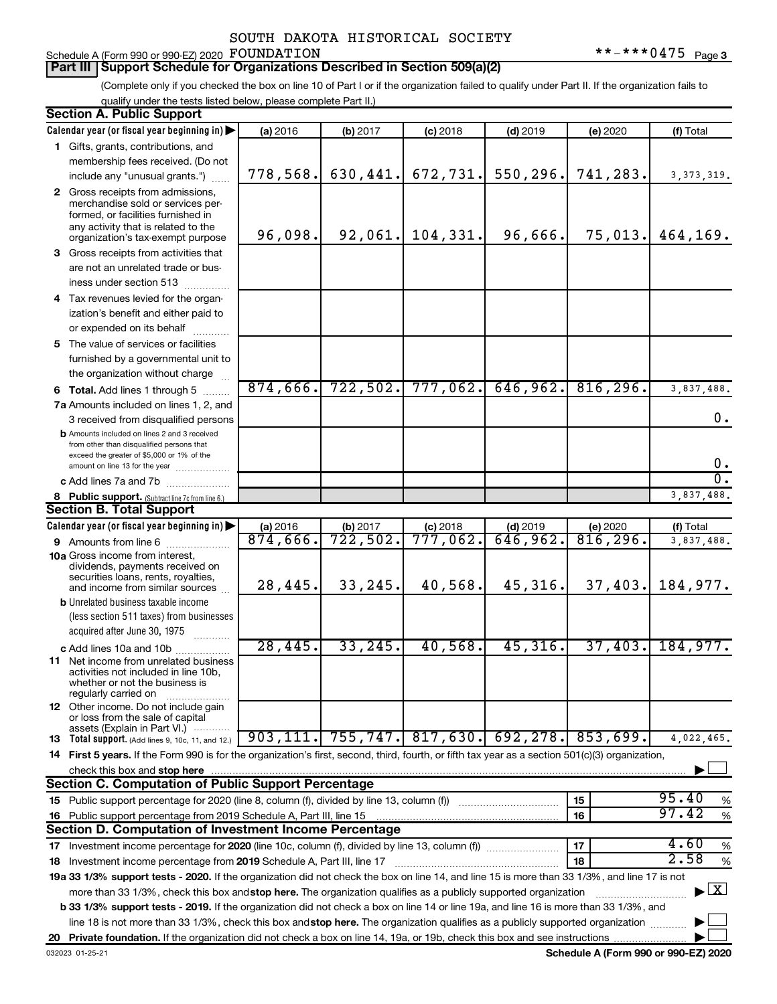### Schedule A (Form 990 or 990-EZ) 2020 FOUNDATION

(Complete only if you checked the box on line 10 of Part I or if the organization failed to qualify under Part II. If the organization fails to qualify under the tests listed below, please complete Part II.)

| <b>Section A. Public Support</b>                                                                                                                                                                                                                          |           |          |             |                                 |                        |                                    |
|-----------------------------------------------------------------------------------------------------------------------------------------------------------------------------------------------------------------------------------------------------------|-----------|----------|-------------|---------------------------------|------------------------|------------------------------------|
| Calendar year (or fiscal year beginning in)                                                                                                                                                                                                               | (a) 2016  | (b) 2017 | $(c)$ 2018  | $(d)$ 2019                      | (e) 2020               | (f) Total                          |
| 1 Gifts, grants, contributions, and                                                                                                                                                                                                                       |           |          |             |                                 |                        |                                    |
| membership fees received. (Do not                                                                                                                                                                                                                         |           |          |             |                                 |                        |                                    |
| include any "unusual grants.")                                                                                                                                                                                                                            | 778,568.  | 630,441. | 672,731.    | 550,296.                        | 741,283.               | 3, 373, 319.                       |
| 2 Gross receipts from admissions,<br>merchandise sold or services per-<br>formed, or facilities furnished in<br>any activity that is related to the<br>organization's tax-exempt purpose                                                                  | 96,098.   | 92,061.  | 104,331.    | 96,666.                         |                        | $75,013.$ 464,169.                 |
| 3 Gross receipts from activities that                                                                                                                                                                                                                     |           |          |             |                                 |                        |                                    |
| are not an unrelated trade or bus-<br>iness under section 513                                                                                                                                                                                             |           |          |             |                                 |                        |                                    |
| 4 Tax revenues levied for the organ-                                                                                                                                                                                                                      |           |          |             |                                 |                        |                                    |
| ization's benefit and either paid to                                                                                                                                                                                                                      |           |          |             |                                 |                        |                                    |
| or expended on its behalf<br>.                                                                                                                                                                                                                            |           |          |             |                                 |                        |                                    |
| 5 The value of services or facilities                                                                                                                                                                                                                     |           |          |             |                                 |                        |                                    |
| furnished by a governmental unit to                                                                                                                                                                                                                       |           |          |             |                                 |                        |                                    |
| the organization without charge                                                                                                                                                                                                                           |           |          |             |                                 |                        |                                    |
| <b>6 Total.</b> Add lines 1 through 5                                                                                                                                                                                                                     | 874,666.  | 722,502. | 777,062.    | 646,962.                        | 816, 296.              | 3,837,488.                         |
| 7a Amounts included on lines 1, 2, and                                                                                                                                                                                                                    |           |          |             |                                 |                        |                                    |
| 3 received from disqualified persons                                                                                                                                                                                                                      |           |          |             |                                 |                        | 0.                                 |
| <b>b</b> Amounts included on lines 2 and 3 received<br>from other than disqualified persons that<br>exceed the greater of \$5,000 or 1% of the<br>amount on line 13 for the year                                                                          |           |          |             |                                 |                        | 0.                                 |
| c Add lines 7a and 7b                                                                                                                                                                                                                                     |           |          |             |                                 |                        | σ.                                 |
| 8 Public support. (Subtract line 7c from line 6.)                                                                                                                                                                                                         |           |          |             |                                 |                        | 3,837,488.                         |
| <b>Section B. Total Support</b>                                                                                                                                                                                                                           |           |          |             |                                 |                        |                                    |
| Calendar year (or fiscal year beginning in)                                                                                                                                                                                                               | (a) 2016  | (b) 2017 | $(c)$ 2018  | $(d)$ 2019                      | (e) 2020               | (f) Total                          |
| 9 Amounts from line 6                                                                                                                                                                                                                                     | 874,666.  | 722,502. | $777,062$ . | 646,962.                        | $\overline{816,296}$ . | 3,837,488.                         |
| <b>10a</b> Gross income from interest,<br>dividends, payments received on<br>securities loans, rents, royalties,<br>and income from similar sources                                                                                                       | 28,445.   | 33,245.  | 40,568.     | 45,316.                         | 37,403.                | 184,977.                           |
| <b>b</b> Unrelated business taxable income                                                                                                                                                                                                                |           |          |             |                                 |                        |                                    |
| (less section 511 taxes) from businesses                                                                                                                                                                                                                  |           |          |             |                                 |                        |                                    |
| acquired after June 30, 1975<br>.                                                                                                                                                                                                                         |           |          |             |                                 |                        |                                    |
| c Add lines 10a and 10b                                                                                                                                                                                                                                   | 28,445.   | 33, 245. | 40,568.     | 45,316.                         | 37,403.                | 184,977.                           |
| <b>11</b> Net income from unrelated business<br>activities not included in line 10b,<br>whether or not the business is<br>regularly carried on                                                                                                            |           |          |             |                                 |                        |                                    |
| 12 Other income. Do not include gain<br>or loss from the sale of capital                                                                                                                                                                                  |           |          |             |                                 |                        |                                    |
| assets (Explain in Part VI.)                                                                                                                                                                                                                              | 903, 111. |          |             | $755, 747.$ 817, 630. 692, 278. | 853,699.               | 4,022,465.                         |
| <b>13</b> Total support. (Add lines 9, 10c, 11, and 12.)                                                                                                                                                                                                  |           |          |             |                                 |                        |                                    |
| 14 First 5 years. If the Form 990 is for the organization's first, second, third, fourth, or fifth tax year as a section 501(c)(3) organization,                                                                                                          |           |          |             |                                 |                        |                                    |
| check this box and stop here<br><b>Section C. Computation of Public Support Percentage</b>                                                                                                                                                                |           |          |             |                                 |                        |                                    |
|                                                                                                                                                                                                                                                           |           |          |             |                                 | 15                     | 95.40                              |
|                                                                                                                                                                                                                                                           |           |          |             |                                 |                        | %<br>97.42                         |
| 16 Public support percentage from 2019 Schedule A, Part III, line 15<br>Section D. Computation of Investment Income Percentage                                                                                                                            |           |          |             |                                 | 16                     | $\%$                               |
|                                                                                                                                                                                                                                                           |           |          |             |                                 | 17                     | 4.60                               |
|                                                                                                                                                                                                                                                           |           |          |             |                                 |                        | $\%$<br>2.58                       |
| 18 Investment income percentage from 2019 Schedule A, Part III, line 17                                                                                                                                                                                   |           |          |             |                                 | 18                     | %                                  |
| 19a 33 1/3% support tests - 2020. If the organization did not check the box on line 14, and line 15 is more than 33 1/3%, and line 17 is not                                                                                                              |           |          |             |                                 |                        | $\blacktriangleright$ $\mathbf{X}$ |
| more than 33 1/3%, check this box and stop here. The organization qualifies as a publicly supported organization<br>b 33 1/3% support tests - 2019. If the organization did not check a box on line 14 or line 19a, and line 16 is more than 33 1/3%, and |           |          |             |                                 |                        |                                    |
| line 18 is not more than 33 1/3%, check this box and stop here. The organization qualifies as a publicly supported organization                                                                                                                           |           |          |             |                                 |                        |                                    |
|                                                                                                                                                                                                                                                           |           |          |             |                                 |                        |                                    |
|                                                                                                                                                                                                                                                           |           |          |             |                                 |                        |                                    |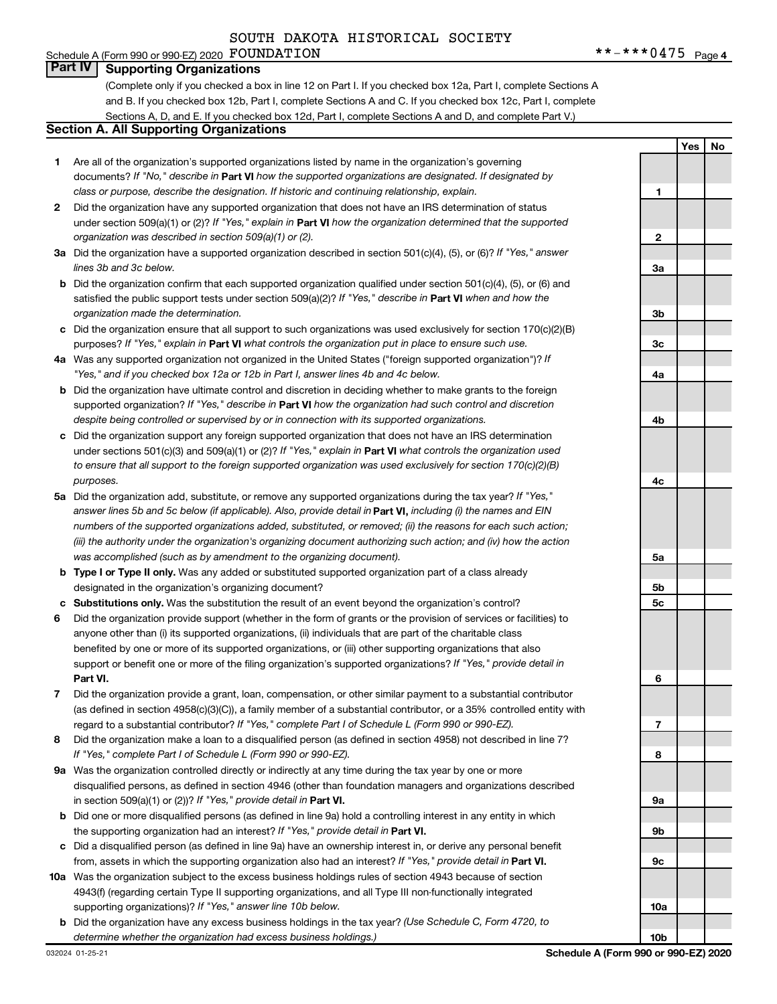### **Part IV Supporting Organizations**

(Complete only if you checked a box in line 12 on Part I. If you checked box 12a, Part I, complete Sections A and B. If you checked box 12b, Part I, complete Sections A and C. If you checked box 12c, Part I, complete Sections A, D, and E. If you checked box 12d, Part I, complete Sections A and D, and complete Part V.)

#### **Section A. All Supporting Organizations**

- **1** Are all of the organization's supported organizations listed by name in the organization's governing documents? If "No," describe in Part VI how the supported organizations are designated. If designated by *class or purpose, describe the designation. If historic and continuing relationship, explain.*
- **2** Did the organization have any supported organization that does not have an IRS determination of status under section 509(a)(1) or (2)? If "Yes," explain in Part **VI** how the organization determined that the supported *organization was described in section 509(a)(1) or (2).*
- **3a** Did the organization have a supported organization described in section 501(c)(4), (5), or (6)? If "Yes," answer *lines 3b and 3c below.*
- **b** Did the organization confirm that each supported organization qualified under section 501(c)(4), (5), or (6) and satisfied the public support tests under section 509(a)(2)? If "Yes," describe in Part VI when and how the *organization made the determination.*
- **c** Did the organization ensure that all support to such organizations was used exclusively for section 170(c)(2)(B) purposes? If "Yes," explain in Part VI what controls the organization put in place to ensure such use.
- **4 a** *If* Was any supported organization not organized in the United States ("foreign supported organization")? *"Yes," and if you checked box 12a or 12b in Part I, answer lines 4b and 4c below.*
- **b** Did the organization have ultimate control and discretion in deciding whether to make grants to the foreign supported organization? If "Yes," describe in Part VI how the organization had such control and discretion *despite being controlled or supervised by or in connection with its supported organizations.*
- **c** Did the organization support any foreign supported organization that does not have an IRS determination under sections 501(c)(3) and 509(a)(1) or (2)? If "Yes," explain in Part VI what controls the organization used *to ensure that all support to the foreign supported organization was used exclusively for section 170(c)(2)(B) purposes.*
- **5a** Did the organization add, substitute, or remove any supported organizations during the tax year? If "Yes," answer lines 5b and 5c below (if applicable). Also, provide detail in **Part VI,** including (i) the names and EIN *numbers of the supported organizations added, substituted, or removed; (ii) the reasons for each such action; (iii) the authority under the organization's organizing document authorizing such action; and (iv) how the action was accomplished (such as by amendment to the organizing document).*
- **b** Type I or Type II only. Was any added or substituted supported organization part of a class already designated in the organization's organizing document?
- **c Substitutions only.**  Was the substitution the result of an event beyond the organization's control?
- **6** Did the organization provide support (whether in the form of grants or the provision of services or facilities) to **Part VI.** support or benefit one or more of the filing organization's supported organizations? If "Yes," provide detail in anyone other than (i) its supported organizations, (ii) individuals that are part of the charitable class benefited by one or more of its supported organizations, or (iii) other supporting organizations that also
- **7** Did the organization provide a grant, loan, compensation, or other similar payment to a substantial contributor regard to a substantial contributor? If "Yes," complete Part I of Schedule L (Form 990 or 990-EZ). (as defined in section 4958(c)(3)(C)), a family member of a substantial contributor, or a 35% controlled entity with
- **8** Did the organization make a loan to a disqualified person (as defined in section 4958) not described in line 7? *If "Yes," complete Part I of Schedule L (Form 990 or 990-EZ).*
- **9 a** Was the organization controlled directly or indirectly at any time during the tax year by one or more in section 509(a)(1) or (2))? If "Yes," provide detail in **Part VI.** disqualified persons, as defined in section 4946 (other than foundation managers and organizations described
- **b** Did one or more disqualified persons (as defined in line 9a) hold a controlling interest in any entity in which the supporting organization had an interest? If "Yes," provide detail in Part VI.
- **c** Did a disqualified person (as defined in line 9a) have an ownership interest in, or derive any personal benefit from, assets in which the supporting organization also had an interest? If "Yes," provide detail in Part VI.
- **10 a** Was the organization subject to the excess business holdings rules of section 4943 because of section supporting organizations)? If "Yes," answer line 10b below. 4943(f) (regarding certain Type II supporting organizations, and all Type III non-functionally integrated
- **b** Did the organization have any excess business holdings in the tax year? (Use Schedule C, Form 4720, to *determine whether the organization had excess business holdings.)*

**Yes No 1 2 3a 3b 3c 4a 4b 4c 5a 5b 5c 6 7 8 9a 9b 9c 10a 10b**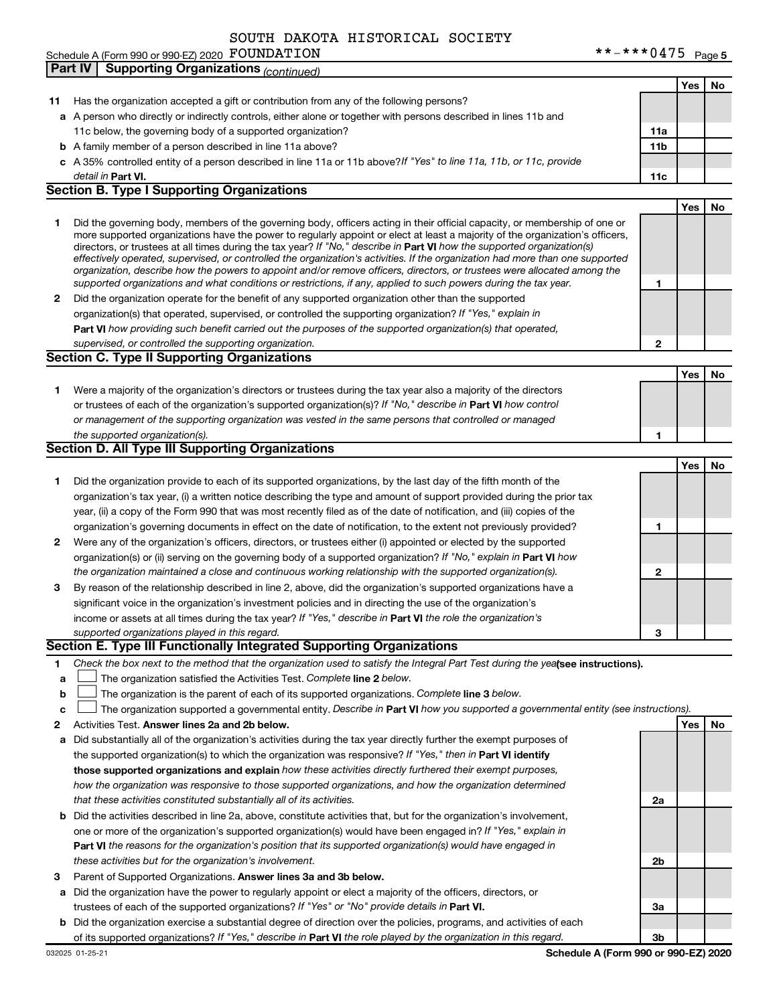FOUNDATION  $***-**0475$   $_{\text{Page 5}}$ Schedule A (Form 990 or 990-EZ) 2020 POUNDATILON ASSEMBLING TO A LIMIT A STRAINING TO Page

|        | <b>Part IV</b> | <b>Supporting Organizations (continued)</b>                                                                                                                                                                                                                 |                 |     |    |
|--------|----------------|-------------------------------------------------------------------------------------------------------------------------------------------------------------------------------------------------------------------------------------------------------------|-----------------|-----|----|
|        |                |                                                                                                                                                                                                                                                             |                 | Yes | No |
| 11     |                | Has the organization accepted a gift or contribution from any of the following persons?                                                                                                                                                                     |                 |     |    |
|        |                | a A person who directly or indirectly controls, either alone or together with persons described in lines 11b and                                                                                                                                            |                 |     |    |
|        |                | 11c below, the governing body of a supported organization?                                                                                                                                                                                                  | 11a             |     |    |
|        |                | <b>b</b> A family member of a person described in line 11a above?                                                                                                                                                                                           | 11 <sub>b</sub> |     |    |
|        |                | c A 35% controlled entity of a person described in line 11a or 11b above?If "Yes" to line 11a, 11b, or 11c, provide                                                                                                                                         |                 |     |    |
|        |                | detail in Part VI.                                                                                                                                                                                                                                          | 11c             |     |    |
|        |                | <b>Section B. Type I Supporting Organizations</b>                                                                                                                                                                                                           |                 |     |    |
|        |                |                                                                                                                                                                                                                                                             |                 | Yes | No |
| 1      |                | Did the governing body, members of the governing body, officers acting in their official capacity, or membership of one or<br>more supported organizations have the power to regularly appoint or elect at least a majority of the organization's officers, |                 |     |    |
|        |                | directors, or trustees at all times during the tax year? If "No," describe in Part VI how the supported organization(s)                                                                                                                                     |                 |     |    |
|        |                | effectively operated, supervised, or controlled the organization's activities. If the organization had more than one supported<br>organization, describe how the powers to appoint and/or remove officers, directors, or trustees were allocated among the  |                 |     |    |
|        |                | supported organizations and what conditions or restrictions, if any, applied to such powers during the tax year.                                                                                                                                            | 1               |     |    |
| 2      |                | Did the organization operate for the benefit of any supported organization other than the supported                                                                                                                                                         |                 |     |    |
|        |                | organization(s) that operated, supervised, or controlled the supporting organization? If "Yes," explain in                                                                                                                                                  |                 |     |    |
|        |                | Part VI how providing such benefit carried out the purposes of the supported organization(s) that operated,                                                                                                                                                 |                 |     |    |
|        |                | supervised, or controlled the supporting organization.                                                                                                                                                                                                      | $\mathbf{2}$    |     |    |
|        |                | <b>Section C. Type II Supporting Organizations</b>                                                                                                                                                                                                          |                 |     |    |
|        |                |                                                                                                                                                                                                                                                             |                 | Yes | No |
| 1.     |                | Were a majority of the organization's directors or trustees during the tax year also a majority of the directors                                                                                                                                            |                 |     |    |
|        |                | or trustees of each of the organization's supported organization(s)? If "No," describe in Part VI how control                                                                                                                                               |                 |     |    |
|        |                | or management of the supporting organization was vested in the same persons that controlled or managed                                                                                                                                                      |                 |     |    |
|        |                | the supported organization(s).                                                                                                                                                                                                                              | 1               |     |    |
|        |                | Section D. All Type III Supporting Organizations                                                                                                                                                                                                            |                 |     |    |
|        |                |                                                                                                                                                                                                                                                             |                 | Yes | No |
| 1      |                | Did the organization provide to each of its supported organizations, by the last day of the fifth month of the                                                                                                                                              |                 |     |    |
|        |                | organization's tax year, (i) a written notice describing the type and amount of support provided during the prior tax                                                                                                                                       |                 |     |    |
|        |                | year, (ii) a copy of the Form 990 that was most recently filed as of the date of notification, and (iii) copies of the                                                                                                                                      |                 |     |    |
|        |                | organization's governing documents in effect on the date of notification, to the extent not previously provided?                                                                                                                                            | 1               |     |    |
| 2      |                | Were any of the organization's officers, directors, or trustees either (i) appointed or elected by the supported                                                                                                                                            |                 |     |    |
|        |                | organization(s) or (ii) serving on the governing body of a supported organization? If "No," explain in Part VI how                                                                                                                                          |                 |     |    |
|        |                | the organization maintained a close and continuous working relationship with the supported organization(s).                                                                                                                                                 | $\mathbf{2}$    |     |    |
| 3      |                | By reason of the relationship described in line 2, above, did the organization's supported organizations have a                                                                                                                                             |                 |     |    |
|        |                | significant voice in the organization's investment policies and in directing the use of the organization's                                                                                                                                                  |                 |     |    |
|        |                | income or assets at all times during the tax year? If "Yes," describe in Part VI the role the organization's                                                                                                                                                |                 |     |    |
|        |                | supported organizations played in this regard.<br>Section E. Type III Functionally Integrated Supporting Organizations                                                                                                                                      | 3               |     |    |
|        |                |                                                                                                                                                                                                                                                             |                 |     |    |
| 1.     |                | Check the box next to the method that the organization used to satisfy the Integral Part Test during the yealsee instructions).<br>The organization satisfied the Activities Test. Complete line 2 below.                                                   |                 |     |    |
| a<br>b |                | The organization is the parent of each of its supported organizations. Complete line 3 below.                                                                                                                                                               |                 |     |    |
| c      |                | The organization supported a governmental entity. Describe in Part VI how you supported a governmental entity (see instructions).                                                                                                                           |                 |     |    |
| 2      |                | Activities Test. Answer lines 2a and 2b below.                                                                                                                                                                                                              |                 | Yes | No |
| а      |                | Did substantially all of the organization's activities during the tax year directly further the exempt purposes of                                                                                                                                          |                 |     |    |
|        |                | the supported organization(s) to which the organization was responsive? If "Yes," then in Part VI identify                                                                                                                                                  |                 |     |    |
|        |                | those supported organizations and explain how these activities directly furthered their exempt purposes,                                                                                                                                                    |                 |     |    |
|        |                | how the organization was responsive to those supported organizations, and how the organization determined                                                                                                                                                   |                 |     |    |
|        |                | that these activities constituted substantially all of its activities.                                                                                                                                                                                      | 2a              |     |    |
| b      |                | Did the activities described in line 2a, above, constitute activities that, but for the organization's involvement,                                                                                                                                         |                 |     |    |
|        |                | one or more of the organization's supported organization(s) would have been engaged in? If "Yes," explain in                                                                                                                                                |                 |     |    |
|        |                | Part VI the reasons for the organization's position that its supported organization(s) would have engaged in                                                                                                                                                |                 |     |    |
|        |                | these activities but for the organization's involvement.                                                                                                                                                                                                    | 2b              |     |    |
| 3      |                | Parent of Supported Organizations. Answer lines 3a and 3b below.                                                                                                                                                                                            |                 |     |    |
| а      |                | Did the organization have the power to regularly appoint or elect a majority of the officers, directors, or                                                                                                                                                 |                 |     |    |
|        |                | trustees of each of the supported organizations? If "Yes" or "No" provide details in Part VI.                                                                                                                                                               | За              |     |    |
| b      |                | Did the organization exercise a substantial degree of direction over the policies, programs, and activities of each                                                                                                                                         |                 |     |    |
|        |                | of its supported organizations? If "Yes." describe in <b>Part VI</b> the role played by the organization in this regard.                                                                                                                                    | 3 <sub>b</sub>  |     |    |

of its supported organizations? If "Yes," describe in Part VI the role played by the organization in this regard.

**Schedule A (Form 990 or 990-EZ) 2020**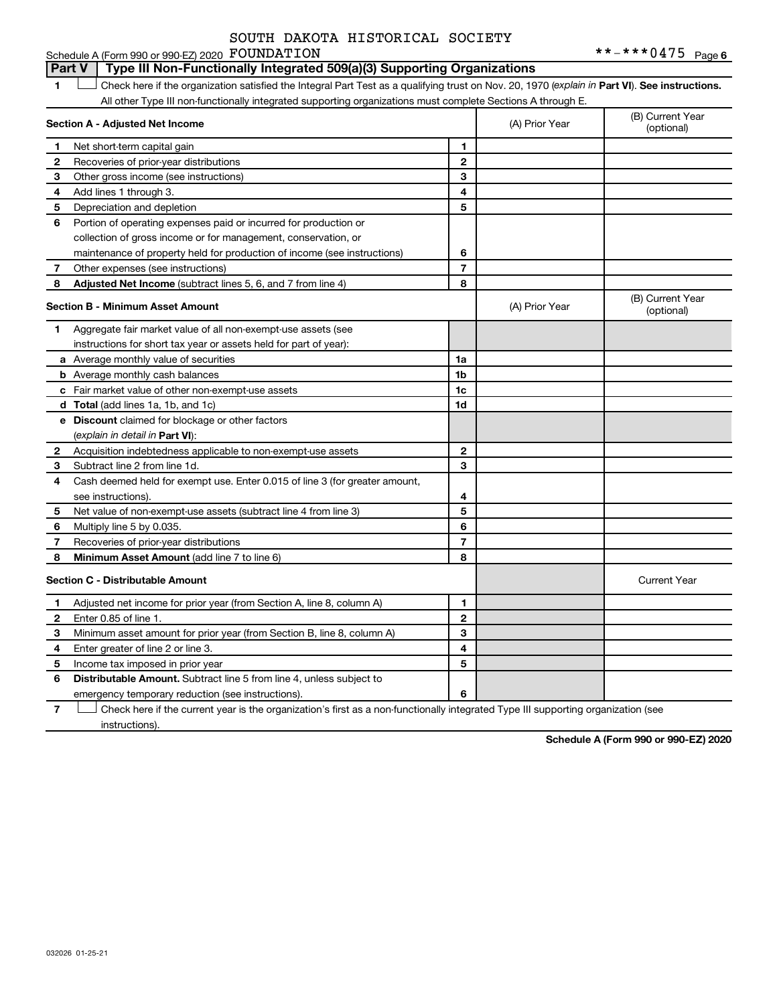#### **1 Part VI** Check here if the organization satisfied the Integral Part Test as a qualifying trust on Nov. 20, 1970 (*explain in* Part **VI**). See instructions. **Section A - Adjusted Net Income 1 2 3 4 5 6 7 8 1 2 3 4 5 6 7 Adjusted Net Income** (subtract lines 5, 6, and 7 from line 4) **8 8 Section B - Minimum Asset Amount 1 2 3 4 5 6 7 8 a** Average monthly value of securities **b** Average monthly cash balances **c** Fair market value of other non-exempt-use assets **d Total**  (add lines 1a, 1b, and 1c) **e Discount** claimed for blockage or other factors **1a 1b 1c 1d 2 3 4 5 6 7 8** (explain in detail in Part VI): **Minimum Asset Amount**  (add line 7 to line 6) **Section C - Distributable Amount 1 2 3 4 5 1 2 3 4 5** Schedule A (Form 990 or 990-EZ) 2020 Page FOUNDATION \*\*-\*\*\*0475All other Type III non-functionally integrated supporting organizations must complete Sections A through E. (B) Current Year (A) Prior Year Net short-term capital gain Recoveries of prior-year distributions Other gross income (see instructions) Add lines 1 through 3. Depreciation and depletion Portion of operating expenses paid or incurred for production or collection of gross income or for management, conservation, or maintenance of property held for production of income (see instructions) Other expenses (see instructions) (B) Current Year  $(A)$  Prior Year  $\left\{\n\begin{array}{ccc}\n\end{array}\n\right\}$  (optional) Aggregate fair market value of all non-exempt-use assets (see instructions for short tax year or assets held for part of year): Acquisition indebtedness applicable to non-exempt-use assets Subtract line 2 from line 1d. Cash deemed held for exempt use. Enter 0.015 of line 3 (for greater amount, see instructions). Net value of non-exempt-use assets (subtract line 4 from line 3) Multiply line 5 by 0.035. Recoveries of prior-year distributions Current Year Adjusted net income for prior year (from Section A, line 8, column A) Enter 0.85 of line 1. Minimum asset amount for prior year (from Section B, line 8, column A) Enter greater of line 2 or line 3. Income tax imposed in prior year **Part V Type III Non-Functionally Integrated 509(a)(3) Supporting Organizations**   $\Box$

**7** emergency temporary reduction (see instructions). Check here if the current year is the organization's first as a non-functionally integrated Type III supporting organization (see † instructions).

Distributable Amount. Subtract line 5 from line 4, unless subject to

**6**

**Schedule A (Form 990 or 990-EZ) 2020**

**6**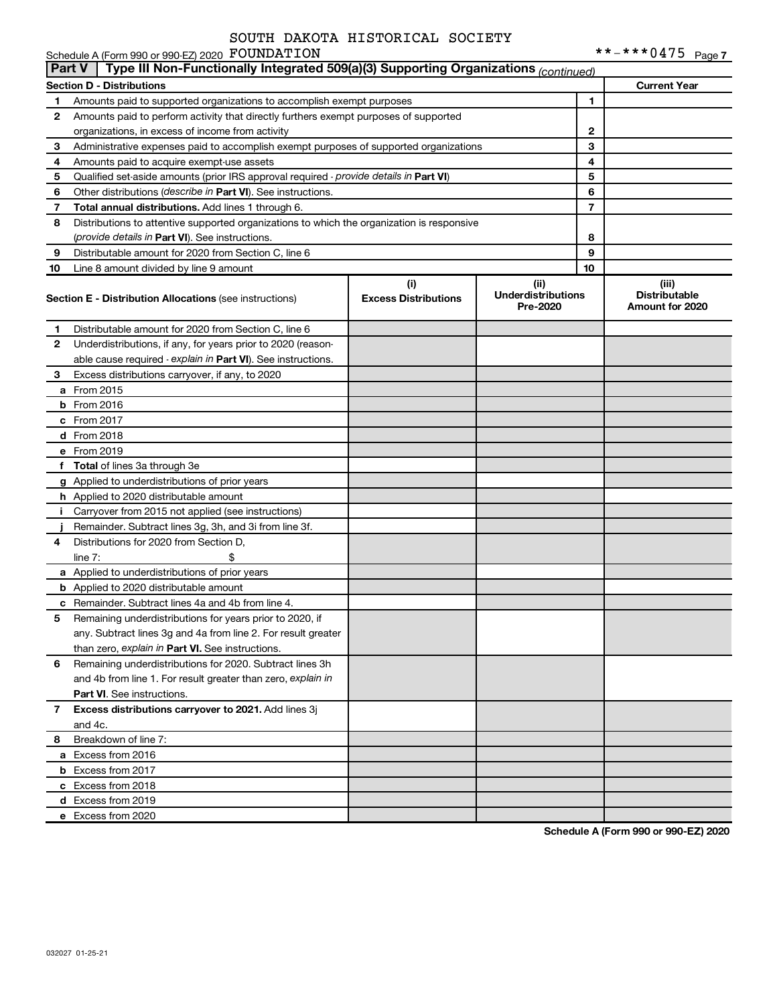|    | Schedule A (Form 990 or 990-EZ) 2020 FOUNDATION                                                      |                                    |                                               |                | **-***0475 Page7                                 |  |  |  |  |  |
|----|------------------------------------------------------------------------------------------------------|------------------------------------|-----------------------------------------------|----------------|--------------------------------------------------|--|--|--|--|--|
|    | Type III Non-Functionally Integrated 509(a)(3) Supporting Organizations (continued)<br><b>Part V</b> |                                    |                                               |                |                                                  |  |  |  |  |  |
|    | <b>Section D - Distributions</b>                                                                     |                                    |                                               |                | <b>Current Year</b>                              |  |  |  |  |  |
| 1  | Amounts paid to supported organizations to accomplish exempt purposes                                |                                    |                                               | 1              |                                                  |  |  |  |  |  |
| 2  | Amounts paid to perform activity that directly furthers exempt purposes of supported                 |                                    |                                               |                |                                                  |  |  |  |  |  |
|    | organizations, in excess of income from activity                                                     |                                    |                                               | 2              |                                                  |  |  |  |  |  |
| 3  | Administrative expenses paid to accomplish exempt purposes of supported organizations                |                                    |                                               | 3              |                                                  |  |  |  |  |  |
| 4  | Amounts paid to acquire exempt-use assets                                                            |                                    |                                               | 4              |                                                  |  |  |  |  |  |
| 5  | Qualified set-aside amounts (prior IRS approval required - provide details in Part VI)               |                                    |                                               | 5              |                                                  |  |  |  |  |  |
| 6  | Other distributions (describe in Part VI). See instructions.                                         |                                    |                                               | 6              |                                                  |  |  |  |  |  |
| 7  | Total annual distributions. Add lines 1 through 6.                                                   |                                    |                                               | $\overline{7}$ |                                                  |  |  |  |  |  |
| 8  | Distributions to attentive supported organizations to which the organization is responsive           |                                    |                                               |                |                                                  |  |  |  |  |  |
|    | (provide details in Part VI). See instructions.                                                      |                                    |                                               | 8              |                                                  |  |  |  |  |  |
| 9  | Distributable amount for 2020 from Section C, line 6                                                 |                                    |                                               | 9              |                                                  |  |  |  |  |  |
| 10 | Line 8 amount divided by line 9 amount                                                               |                                    |                                               | 10             |                                                  |  |  |  |  |  |
|    | <b>Section E - Distribution Allocations (see instructions)</b>                                       | (i)<br><b>Excess Distributions</b> | (ii)<br><b>Underdistributions</b><br>Pre-2020 |                | (iii)<br><b>Distributable</b><br>Amount for 2020 |  |  |  |  |  |
| 1  | Distributable amount for 2020 from Section C, line 6                                                 |                                    |                                               |                |                                                  |  |  |  |  |  |
| 2  | Underdistributions, if any, for years prior to 2020 (reason-                                         |                                    |                                               |                |                                                  |  |  |  |  |  |
|    | able cause required - explain in Part VI). See instructions.                                         |                                    |                                               |                |                                                  |  |  |  |  |  |
| З  | Excess distributions carryover, if any, to 2020                                                      |                                    |                                               |                |                                                  |  |  |  |  |  |
|    | <b>a</b> From 2015                                                                                   |                                    |                                               |                |                                                  |  |  |  |  |  |
|    | $b$ From 2016                                                                                        |                                    |                                               |                |                                                  |  |  |  |  |  |
|    | c From 2017                                                                                          |                                    |                                               |                |                                                  |  |  |  |  |  |
|    | <b>d</b> From 2018                                                                                   |                                    |                                               |                |                                                  |  |  |  |  |  |
|    | e From 2019                                                                                          |                                    |                                               |                |                                                  |  |  |  |  |  |
|    | f Total of lines 3a through 3e                                                                       |                                    |                                               |                |                                                  |  |  |  |  |  |
|    | g Applied to underdistributions of prior years                                                       |                                    |                                               |                |                                                  |  |  |  |  |  |
|    | h Applied to 2020 distributable amount                                                               |                                    |                                               |                |                                                  |  |  |  |  |  |
| j. | Carryover from 2015 not applied (see instructions)                                                   |                                    |                                               |                |                                                  |  |  |  |  |  |
|    | Remainder. Subtract lines 3g, 3h, and 3i from line 3f.                                               |                                    |                                               |                |                                                  |  |  |  |  |  |
| 4  | Distributions for 2020 from Section D,                                                               |                                    |                                               |                |                                                  |  |  |  |  |  |
|    | \$<br>line $7:$                                                                                      |                                    |                                               |                |                                                  |  |  |  |  |  |
|    | a Applied to underdistributions of prior years                                                       |                                    |                                               |                |                                                  |  |  |  |  |  |
|    | <b>b</b> Applied to 2020 distributable amount                                                        |                                    |                                               |                |                                                  |  |  |  |  |  |
|    | <b>c</b> Remainder. Subtract lines 4a and 4b from line 4.                                            |                                    |                                               |                |                                                  |  |  |  |  |  |
| 5  | Remaining underdistributions for years prior to 2020, if                                             |                                    |                                               |                |                                                  |  |  |  |  |  |
|    | any. Subtract lines 3g and 4a from line 2. For result greater                                        |                                    |                                               |                |                                                  |  |  |  |  |  |
|    | than zero, explain in Part VI. See instructions.                                                     |                                    |                                               |                |                                                  |  |  |  |  |  |
| 6  | Remaining underdistributions for 2020. Subtract lines 3h                                             |                                    |                                               |                |                                                  |  |  |  |  |  |
|    | and 4b from line 1. For result greater than zero, explain in                                         |                                    |                                               |                |                                                  |  |  |  |  |  |
|    | Part VI. See instructions.                                                                           |                                    |                                               |                |                                                  |  |  |  |  |  |
| 7  | Excess distributions carryover to 2021. Add lines 3j                                                 |                                    |                                               |                |                                                  |  |  |  |  |  |
|    | and 4c.                                                                                              |                                    |                                               |                |                                                  |  |  |  |  |  |
| 8  | Breakdown of line 7:                                                                                 |                                    |                                               |                |                                                  |  |  |  |  |  |
|    | a Excess from 2016                                                                                   |                                    |                                               |                |                                                  |  |  |  |  |  |
|    | <b>b</b> Excess from 2017                                                                            |                                    |                                               |                |                                                  |  |  |  |  |  |
|    | c Excess from 2018                                                                                   |                                    |                                               |                |                                                  |  |  |  |  |  |
|    | d Excess from 2019                                                                                   |                                    |                                               |                |                                                  |  |  |  |  |  |
|    | e Excess from 2020                                                                                   |                                    |                                               |                |                                                  |  |  |  |  |  |

**Schedule A (Form 990 or 990-EZ) 2020**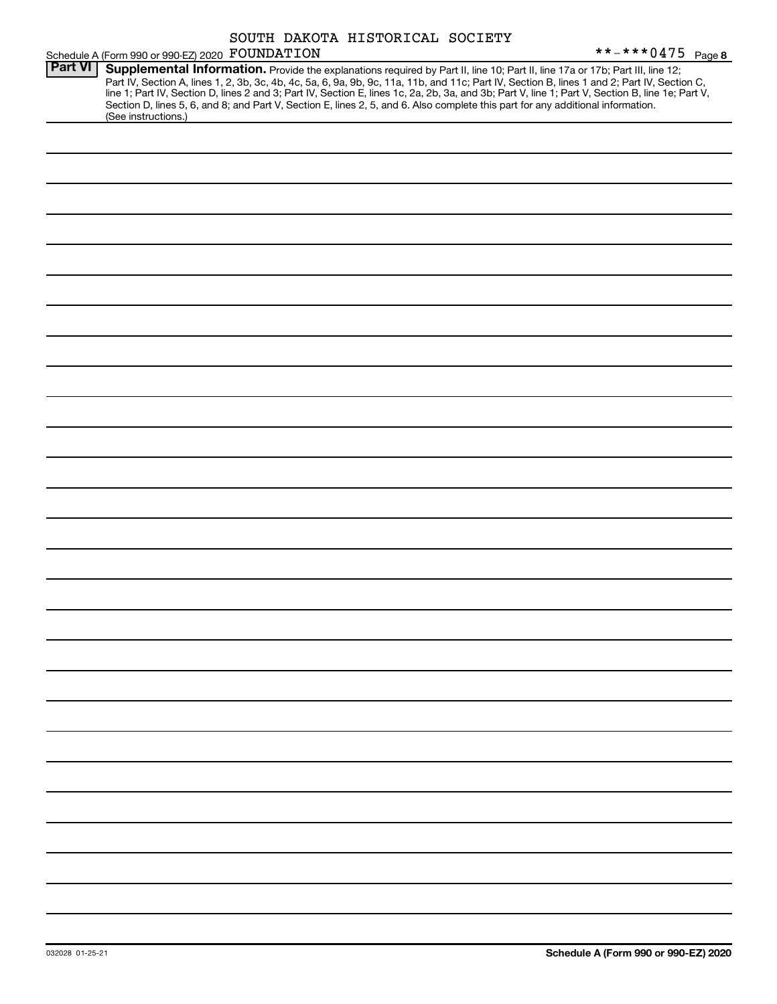|                | Schedule A (Form 990 or 990-EZ) 2020 FOUNDATION |  | SOUTH DAKOTA HISTORICAL SOCIETY | **-***0475 Page 8                                                                                                                                                                                                                                                                                                                                                                                                                                                                                                                                                    |
|----------------|-------------------------------------------------|--|---------------------------------|----------------------------------------------------------------------------------------------------------------------------------------------------------------------------------------------------------------------------------------------------------------------------------------------------------------------------------------------------------------------------------------------------------------------------------------------------------------------------------------------------------------------------------------------------------------------|
| <b>Part VI</b> | (See instructions.)                             |  |                                 | Supplemental Information. Provide the explanations required by Part II, line 10; Part II, line 17a or 17b; Part III, line 12;<br>Part IV, Section A, lines 1, 2, 3b, 3c, 4b, 4c, 5a, 6, 9a, 9b, 9c, 11a, 11b, and 11c; Part IV, Section B, lines 1 and 2; Part IV, Section C,<br>line 1; Part IV, Section D, lines 2 and 3; Part IV, Section E, lines 1c, 2a, 2b, 3a, and 3b; Part V, line 1; Part V, Section B, line 1e; Part V,<br>Section D, lines 5, 6, and 8; and Part V, Section E, lines 2, 5, and 6. Also complete this part for any additional information. |
|                |                                                 |  |                                 |                                                                                                                                                                                                                                                                                                                                                                                                                                                                                                                                                                      |
|                |                                                 |  |                                 |                                                                                                                                                                                                                                                                                                                                                                                                                                                                                                                                                                      |
|                |                                                 |  |                                 |                                                                                                                                                                                                                                                                                                                                                                                                                                                                                                                                                                      |
|                |                                                 |  |                                 |                                                                                                                                                                                                                                                                                                                                                                                                                                                                                                                                                                      |
|                |                                                 |  |                                 |                                                                                                                                                                                                                                                                                                                                                                                                                                                                                                                                                                      |
|                |                                                 |  |                                 |                                                                                                                                                                                                                                                                                                                                                                                                                                                                                                                                                                      |
|                |                                                 |  |                                 |                                                                                                                                                                                                                                                                                                                                                                                                                                                                                                                                                                      |
|                |                                                 |  |                                 |                                                                                                                                                                                                                                                                                                                                                                                                                                                                                                                                                                      |
|                |                                                 |  |                                 |                                                                                                                                                                                                                                                                                                                                                                                                                                                                                                                                                                      |
|                |                                                 |  |                                 |                                                                                                                                                                                                                                                                                                                                                                                                                                                                                                                                                                      |
|                |                                                 |  |                                 |                                                                                                                                                                                                                                                                                                                                                                                                                                                                                                                                                                      |
|                |                                                 |  |                                 |                                                                                                                                                                                                                                                                                                                                                                                                                                                                                                                                                                      |
|                |                                                 |  |                                 |                                                                                                                                                                                                                                                                                                                                                                                                                                                                                                                                                                      |
|                |                                                 |  |                                 |                                                                                                                                                                                                                                                                                                                                                                                                                                                                                                                                                                      |
|                |                                                 |  |                                 |                                                                                                                                                                                                                                                                                                                                                                                                                                                                                                                                                                      |
|                |                                                 |  |                                 |                                                                                                                                                                                                                                                                                                                                                                                                                                                                                                                                                                      |
|                |                                                 |  |                                 |                                                                                                                                                                                                                                                                                                                                                                                                                                                                                                                                                                      |
|                |                                                 |  |                                 |                                                                                                                                                                                                                                                                                                                                                                                                                                                                                                                                                                      |
|                |                                                 |  |                                 |                                                                                                                                                                                                                                                                                                                                                                                                                                                                                                                                                                      |
|                |                                                 |  |                                 |                                                                                                                                                                                                                                                                                                                                                                                                                                                                                                                                                                      |
|                |                                                 |  |                                 |                                                                                                                                                                                                                                                                                                                                                                                                                                                                                                                                                                      |
|                |                                                 |  |                                 |                                                                                                                                                                                                                                                                                                                                                                                                                                                                                                                                                                      |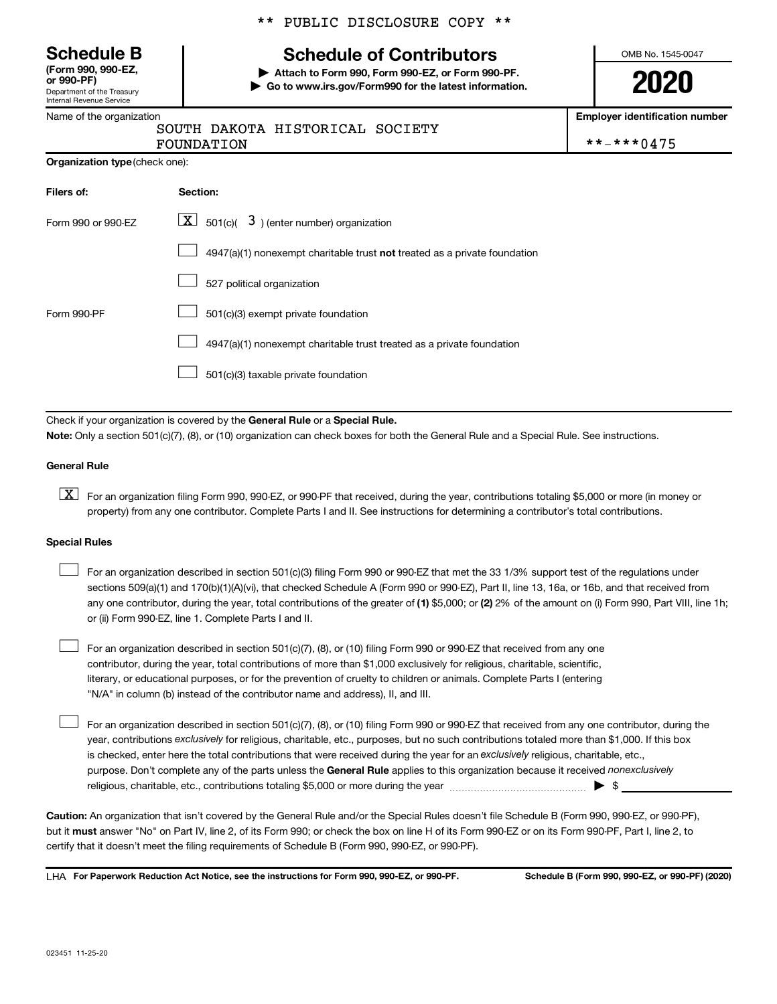Department of the Treasury Internal Revenue Service **(Form 990, 990-EZ,** \*\* PUBLIC DISCLOSURE COPY \*\*

# **Schedule B Schedule of Contributors**

**or 990-PF) | Attach to Form 990, Form 990-EZ, or Form 990-PF. | Go to www.irs.gov/Form990 for the latest information.** OMB No. 1545-0047

**2020**

**Employer identification number**

|  | Name of the organization |
|--|--------------------------|
|--|--------------------------|

# SOUTH DAKOTA HISTORICAL SOCIETY

FOUNDATION \*\*-\*\*\*0475

| Organization type (check one): |  |  |
|--------------------------------|--|--|
|                                |  |  |

| Filers of:         | Section:                                                                           |  |  |  |  |
|--------------------|------------------------------------------------------------------------------------|--|--|--|--|
| Form 990 or 990-EZ | $ \underline{X} $ 501(c)( 3) (enter number) organization                           |  |  |  |  |
|                    | $4947(a)(1)$ nonexempt charitable trust <b>not</b> treated as a private foundation |  |  |  |  |
|                    | 527 political organization                                                         |  |  |  |  |
| Form 990-PF        | 501(c)(3) exempt private foundation                                                |  |  |  |  |
|                    | 4947(a)(1) nonexempt charitable trust treated as a private foundation              |  |  |  |  |
|                    | 501(c)(3) taxable private foundation                                               |  |  |  |  |

Check if your organization is covered by the General Rule or a Special Rule.

**Note:**  Only a section 501(c)(7), (8), or (10) organization can check boxes for both the General Rule and a Special Rule. See instructions.

#### **General Rule**

**K** For an organization filing Form 990, 990-EZ, or 990-PF that received, during the year, contributions totaling \$5,000 or more (in money or property) from any one contributor. Complete Parts I and II. See instructions for determining a contributor's total contributions.

#### **Special Rules**

 $\Box$ 

any one contributor, during the year, total contributions of the greater of (1) \$5,000; or (2) 2% of the amount on (i) Form 990, Part VIII, line 1h; For an organization described in section 501(c)(3) filing Form 990 or 990-EZ that met the 33 1/3% support test of the regulations under sections 509(a)(1) and 170(b)(1)(A)(vi), that checked Schedule A (Form 990 or 990-EZ), Part II, line 13, 16a, or 16b, and that received from or (ii) Form 990-EZ, line 1. Complete Parts I and II.  $\Box$ 

For an organization described in section 501(c)(7), (8), or (10) filing Form 990 or 990-EZ that received from any one contributor, during the year, total contributions of more than \$1,000 exclusively for religious, charitable, scientific, literary, or educational purposes, or for the prevention of cruelty to children or animals. Complete Parts I (entering "N/A" in column (b) instead of the contributor name and address), II, and III.  $\Box$ 

purpose. Don't complete any of the parts unless the General Rule applies to this organization because it received nonexclusively year, contributions exclusively for religious, charitable, etc., purposes, but no such contributions totaled more than \$1,000. If this box is checked, enter here the total contributions that were received during the year for an exclusively religious, charitable, etc., For an organization described in section 501(c)(7), (8), or (10) filing Form 990 or 990-EZ that received from any one contributor, during the religious, charitable, etc., contributions totaling \$5,000 or more during the year  $\ldots$  $\ldots$  $\ldots$  $\ldots$  $\ldots$  $\ldots$ 

**Caution:**  An organization that isn't covered by the General Rule and/or the Special Rules doesn't file Schedule B (Form 990, 990-EZ, or 990-PF),  **must** but it answer "No" on Part IV, line 2, of its Form 990; or check the box on line H of its Form 990-EZ or on its Form 990-PF, Part I, line 2, to certify that it doesn't meet the filing requirements of Schedule B (Form 990, 990-EZ, or 990-PF).

**For Paperwork Reduction Act Notice, see the instructions for Form 990, 990-EZ, or 990-PF. Schedule B (Form 990, 990-EZ, or 990-PF) (2020)** LHA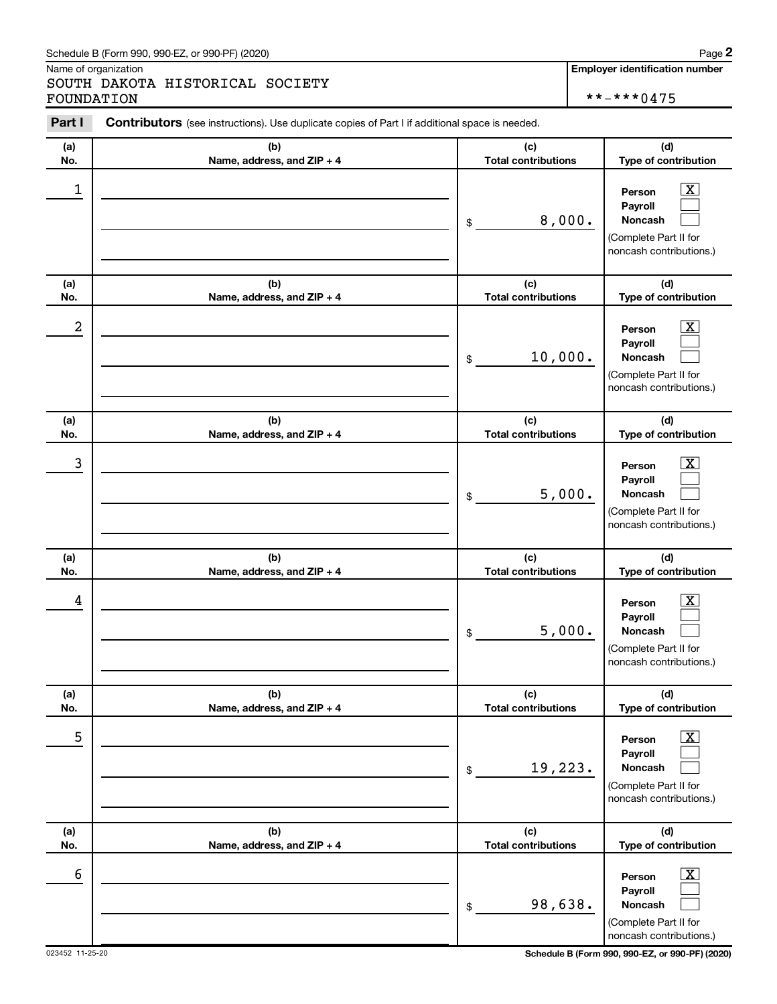#### Schedule B (Form 990, 990-EZ, or 990-PF) (2020)

Name of organization

SOUTH DAKOTA HISTORICAL SOCIETY FOUNDATION \*\*-\*\*\*0475

**Employer identification number**

| Part I   | Contributors (see instructions). Use duplicate copies of Part I if additional space is needed. |                                             |                                                                                                                                     |
|----------|------------------------------------------------------------------------------------------------|---------------------------------------------|-------------------------------------------------------------------------------------------------------------------------------------|
| (a)      | (b)                                                                                            | (c)                                         | (d)                                                                                                                                 |
| No.      | Name, address, and ZIP + 4                                                                     | <b>Total contributions</b>                  | Type of contribution                                                                                                                |
| 1        |                                                                                                | 8,000.<br>\$                                | $\overline{\text{X}}$<br>Person<br>Payroll<br>Noncash<br>(Complete Part II for<br>noncash contributions.)                           |
| (a)      | (b)                                                                                            | (c)                                         | (d)                                                                                                                                 |
| No.      | Name, address, and ZIP + 4                                                                     | <b>Total contributions</b>                  | Type of contribution                                                                                                                |
| 2        |                                                                                                | 10,000.<br>\$                               | $\overline{\mathbf{X}}$<br>Person<br>Payroll<br><b>Noncash</b><br>(Complete Part II for<br>noncash contributions.)                  |
| (a)      | (b)                                                                                            | (c)                                         | (d)                                                                                                                                 |
| No.      | Name, address, and ZIP + 4                                                                     | <b>Total contributions</b>                  | Type of contribution                                                                                                                |
| 3        |                                                                                                | 5,000.<br>\$                                | $\overline{\mathbf{X}}$<br>Person<br>Payroll<br>Noncash<br>(Complete Part II for<br>noncash contributions.)                         |
| (a)      | (b)                                                                                            | (c)                                         | (d)                                                                                                                                 |
| No.      | Name, address, and ZIP + 4                                                                     | <b>Total contributions</b>                  | Type of contribution                                                                                                                |
| 4        |                                                                                                | 5,000.<br>\$                                | $\overline{\mathbf{X}}$<br>Person<br>Payroll<br>Noncash<br>(Complete Part II for<br>noncash contributions.)                         |
| (a)      | (b)                                                                                            | (c)                                         | (d)                                                                                                                                 |
| No.<br>5 | Name, address, and ZIP + 4                                                                     | <b>Total contributions</b><br>19,223.<br>\$ | Type of contribution<br>$\overline{\mathbf{X}}$<br>Person<br>Payroll<br>Noncash<br>(Complete Part II for<br>noncash contributions.) |
| (a)      | (b)                                                                                            | (c)<br><b>Total contributions</b>           | (d)                                                                                                                                 |
| No.<br>6 | Name, address, and ZIP + 4                                                                     | 98,638.<br>\$                               | Type of contribution<br>$\overline{\text{X}}$<br>Person<br>Payroll<br>Noncash<br>(Complete Part II for<br>noncash contributions.    |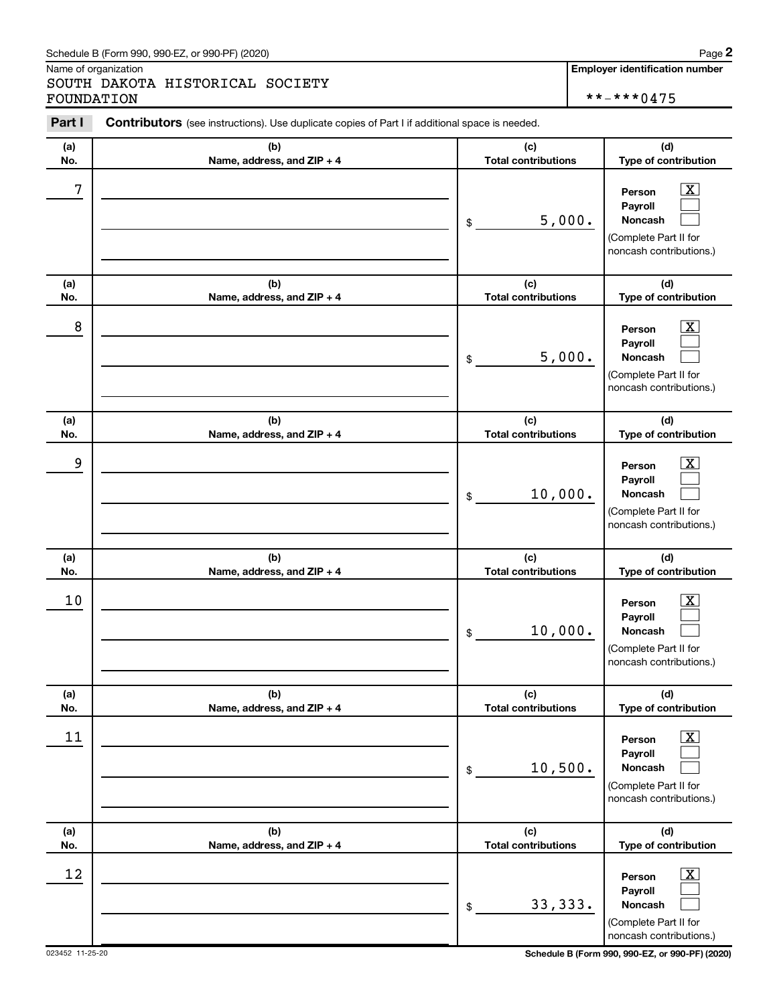#### Schedule B (Form 990, 990-EZ, or 990-PF) (2020)

Name of organization

SOUTH DAKOTA HISTORICAL SOCIETY FOUNDATION \*\*-\*\*\*0475

**Employer identification number**

| Part I     | Contributors (see instructions). Use duplicate copies of Part I if additional space is needed. |                                             |                                                                                                                                   |
|------------|------------------------------------------------------------------------------------------------|---------------------------------------------|-----------------------------------------------------------------------------------------------------------------------------------|
| (a)        | (b)                                                                                            | (c)                                         | (d)                                                                                                                               |
| No.        | Name, address, and ZIP + 4                                                                     | <b>Total contributions</b>                  | Type of contribution                                                                                                              |
| 7          |                                                                                                | 5,000.<br>\$                                | $\overline{\text{X}}$<br>Person<br>Payroll<br><b>Noncash</b><br>(Complete Part II for<br>noncash contributions.)                  |
| (a)<br>No. | (b)                                                                                            | (c)<br><b>Total contributions</b>           | (d)                                                                                                                               |
|            | Name, address, and ZIP + 4                                                                     |                                             | Type of contribution                                                                                                              |
| 8          |                                                                                                | 5,000.<br>\$                                | $\overline{\text{X}}$<br>Person<br>Payroll<br><b>Noncash</b><br>(Complete Part II for<br>noncash contributions.)                  |
| (a)        | (b)                                                                                            | (c)                                         | (d)                                                                                                                               |
| No.        | Name, address, and ZIP + 4                                                                     | <b>Total contributions</b>                  | Type of contribution                                                                                                              |
| 9          |                                                                                                | 10,000.<br>\$                               | $\overline{\mathbf{X}}$<br>Person<br>Payroll<br><b>Noncash</b><br>(Complete Part II for<br>noncash contributions.)                |
| (a)        | (b)                                                                                            | (c)                                         | (d)                                                                                                                               |
| No.<br>10  | Name, address, and ZIP + 4                                                                     | <b>Total contributions</b><br>10,000.<br>\$ | Type of contribution<br>x<br>Person<br>Payroll<br>Noncash<br>(Complete Part II for<br>noncash contributions.)                     |
| (a)<br>No. | (b)<br>Name, address, and ZIP + 4                                                              | (c)<br><b>Total contributions</b>           | (d)<br>Type of contribution                                                                                                       |
| 11         |                                                                                                | 10,500.<br>\$                               | $\overline{\text{X}}$<br>Person<br>Payroll<br>Noncash<br>(Complete Part II for<br>noncash contributions.)                         |
| (a)        | (b)                                                                                            | (c)<br><b>Total contributions</b>           | (d)                                                                                                                               |
| No.<br>12  | Name, address, and ZIP + 4                                                                     | 33, 333.<br>\$                              | Type of contribution<br>$\overline{\text{X}}$<br>Person<br>Payroll<br>Noncash<br>(Complete Part II for<br>noncash contributions.) |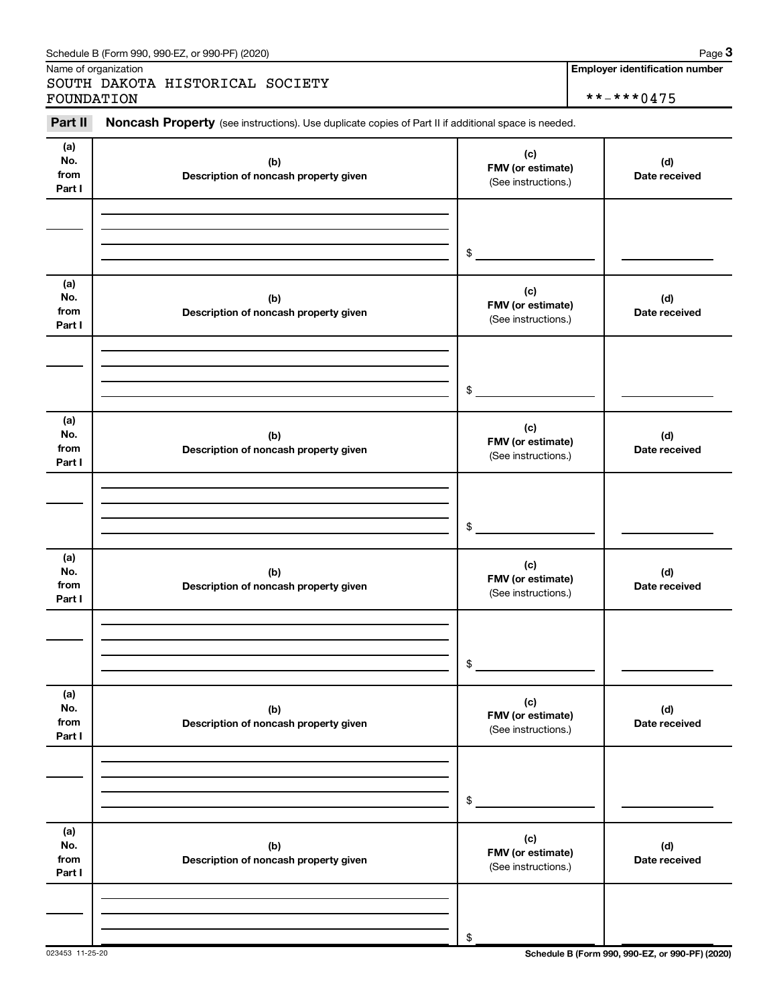| Schedule B (Form 990, 990-EZ, or 990-PF) (2020)<br>. The state of the state $\mathbf{1}$ | Page |
|------------------------------------------------------------------------------------------|------|
|------------------------------------------------------------------------------------------|------|

Name of organization

SOUTH DAKOTA HISTORICAL SOCIETY FOUNDATION \*\*-\*\*\*0475

#### **(a) No. from Part I (c) FMV (or estimate) (b) Description of noncash property given (d) Date received (a) No. from Part I (c) FMV (or estimate) (b) Description of noncash property given (d) Date received (a) No. from Part I (c) FMV (or estimate) (b) Description of noncash property given (d) Date received (a) No. from Part I (c) FMV (or estimate) (b) Description of noncash property given (d) Date received (a) No. from Part I (c) FMV (or estimate) (b) Description of noncash property given (d) Date received (a) No. from Part I (c) FMV (or estimate) (b) Description of noncash property given (d) Date received** Part II Noncash Property (see instructions). Use duplicate copies of Part II if additional space is needed. (See instructions.) \$ (See instructions.) \$ (See instructions.) \$ (See instructions.) \$ (See instructions.) \$ (See instructions.) \$

023453 11-25-20 **Schedule B (Form 990, 990-EZ, or 990-PF) (2020)**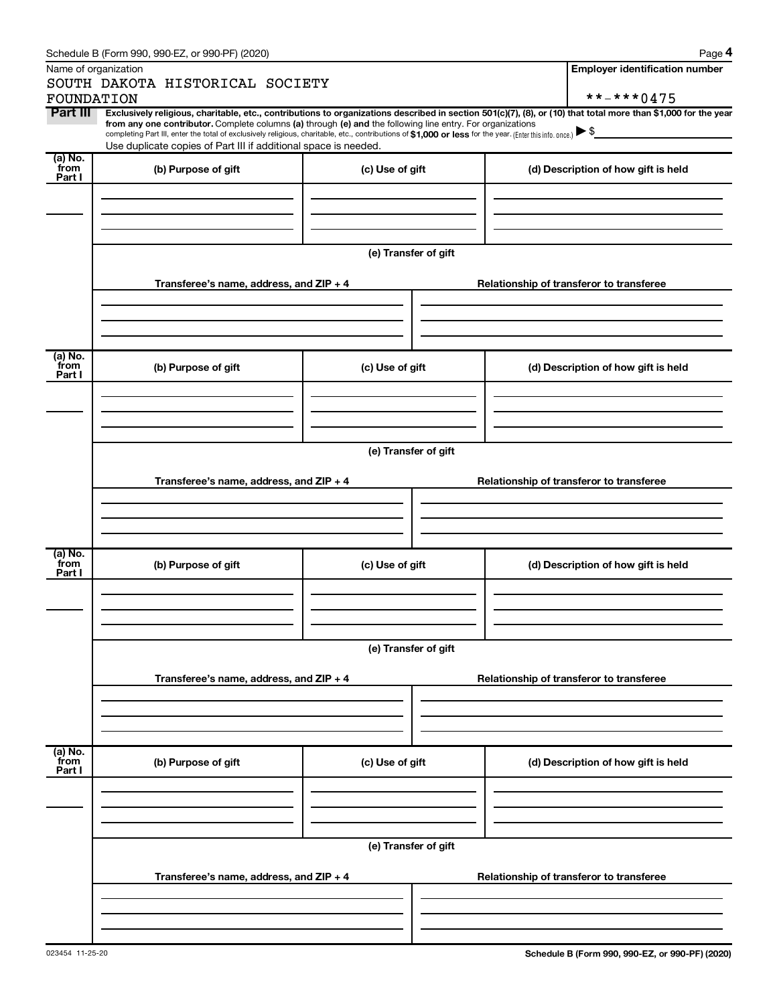|                             | Schedule B (Form 990, 990-EZ, or 990-PF) (2020)                                                                                                                                                                                                                                                                                           |                      | Page 4                                                                                                                                                         |  |  |  |  |
|-----------------------------|-------------------------------------------------------------------------------------------------------------------------------------------------------------------------------------------------------------------------------------------------------------------------------------------------------------------------------------------|----------------------|----------------------------------------------------------------------------------------------------------------------------------------------------------------|--|--|--|--|
|                             | Name of organization                                                                                                                                                                                                                                                                                                                      |                      | <b>Employer identification number</b>                                                                                                                          |  |  |  |  |
|                             | SOUTH DAKOTA HISTORICAL SOCIETY<br>FOUNDATION                                                                                                                                                                                                                                                                                             |                      | **-***0475                                                                                                                                                     |  |  |  |  |
| Part III                    |                                                                                                                                                                                                                                                                                                                                           |                      | Exclusively religious, charitable, etc., contributions to organizations described in section 501(c)(7), (8), or (10) that total more than \$1,000 for the year |  |  |  |  |
|                             | from any one contributor. Complete columns (a) through (e) and the following line entry. For organizations<br>completing Part III, enter the total of exclusively religious, charitable, etc., contributions of \$1,000 or less for the year. (Enter this info. once.)<br>Use duplicate copies of Part III if additional space is needed. |                      |                                                                                                                                                                |  |  |  |  |
| (a) No.<br>from<br>Part I   | (b) Purpose of gift                                                                                                                                                                                                                                                                                                                       | (c) Use of gift      | (d) Description of how gift is held                                                                                                                            |  |  |  |  |
|                             |                                                                                                                                                                                                                                                                                                                                           |                      |                                                                                                                                                                |  |  |  |  |
|                             |                                                                                                                                                                                                                                                                                                                                           |                      |                                                                                                                                                                |  |  |  |  |
|                             | Transferee's name, address, and $ZIP + 4$                                                                                                                                                                                                                                                                                                 | (e) Transfer of gift | Relationship of transferor to transferee                                                                                                                       |  |  |  |  |
|                             |                                                                                                                                                                                                                                                                                                                                           |                      |                                                                                                                                                                |  |  |  |  |
|                             |                                                                                                                                                                                                                                                                                                                                           |                      |                                                                                                                                                                |  |  |  |  |
| $(a)$ No.<br>from<br>Part I | (b) Purpose of gift                                                                                                                                                                                                                                                                                                                       | (c) Use of gift      | (d) Description of how gift is held                                                                                                                            |  |  |  |  |
|                             |                                                                                                                                                                                                                                                                                                                                           |                      |                                                                                                                                                                |  |  |  |  |
|                             |                                                                                                                                                                                                                                                                                                                                           |                      |                                                                                                                                                                |  |  |  |  |
|                             | (e) Transfer of gift                                                                                                                                                                                                                                                                                                                      |                      |                                                                                                                                                                |  |  |  |  |
|                             | Transferee's name, address, and ZIP + 4                                                                                                                                                                                                                                                                                                   |                      | Relationship of transferor to transferee                                                                                                                       |  |  |  |  |
|                             |                                                                                                                                                                                                                                                                                                                                           |                      |                                                                                                                                                                |  |  |  |  |
| $(a)$ No.<br>from<br>Part I | (b) Purpose of gift                                                                                                                                                                                                                                                                                                                       | (c) Use of gift      | (d) Description of how gift is held                                                                                                                            |  |  |  |  |
|                             |                                                                                                                                                                                                                                                                                                                                           |                      |                                                                                                                                                                |  |  |  |  |
|                             |                                                                                                                                                                                                                                                                                                                                           | (e) Transfer of gift |                                                                                                                                                                |  |  |  |  |
|                             | Transferee's name, address, and ZIP + 4                                                                                                                                                                                                                                                                                                   |                      | Relationship of transferor to transferee                                                                                                                       |  |  |  |  |
|                             |                                                                                                                                                                                                                                                                                                                                           |                      |                                                                                                                                                                |  |  |  |  |
| (a) No.<br>from             | (b) Purpose of gift                                                                                                                                                                                                                                                                                                                       | (c) Use of gift      | (d) Description of how gift is held                                                                                                                            |  |  |  |  |
| Part I                      |                                                                                                                                                                                                                                                                                                                                           |                      |                                                                                                                                                                |  |  |  |  |
|                             |                                                                                                                                                                                                                                                                                                                                           |                      |                                                                                                                                                                |  |  |  |  |
|                             | (e) Transfer of gift                                                                                                                                                                                                                                                                                                                      |                      |                                                                                                                                                                |  |  |  |  |
|                             | Transferee's name, address, and ZIP + 4                                                                                                                                                                                                                                                                                                   |                      | Relationship of transferor to transferee                                                                                                                       |  |  |  |  |
|                             |                                                                                                                                                                                                                                                                                                                                           |                      |                                                                                                                                                                |  |  |  |  |
|                             |                                                                                                                                                                                                                                                                                                                                           |                      |                                                                                                                                                                |  |  |  |  |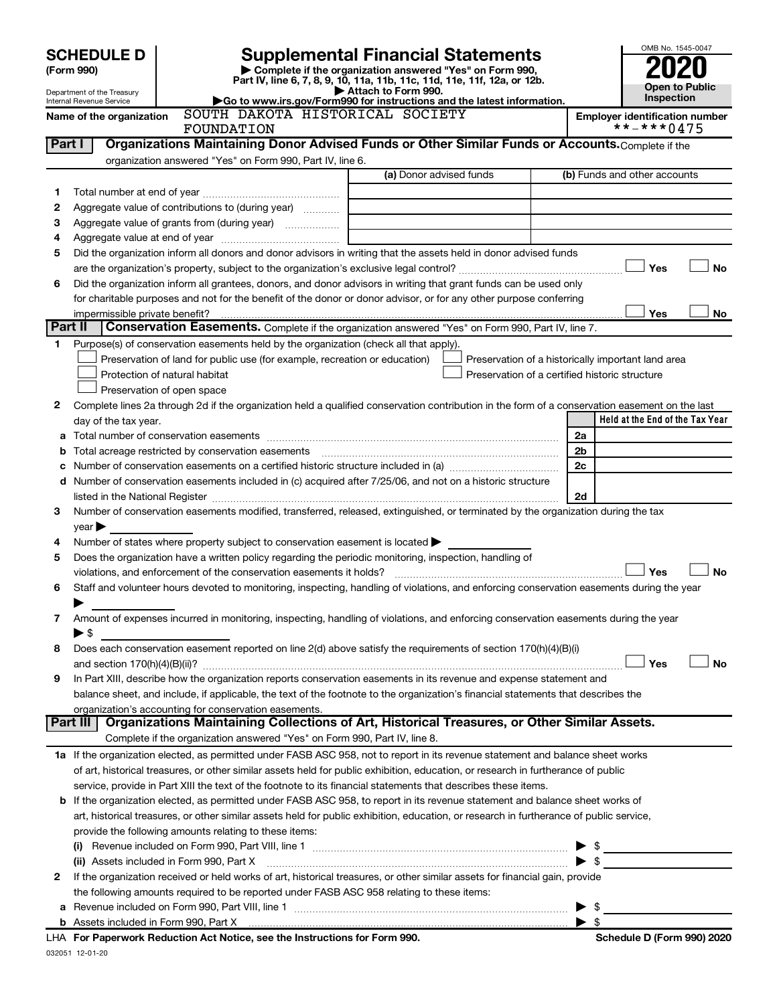| <b>SCHEDULE D</b><br>(Form 990)<br>Department of the Treasury<br><b>Internal Revenue Service</b> | OMB No. 1545-0047<br>Open to Public<br>Inspection |                                                                                                                                                                                                                                    |                                                                                                                                                                                                                               |                |                                                     |
|--------------------------------------------------------------------------------------------------|---------------------------------------------------|------------------------------------------------------------------------------------------------------------------------------------------------------------------------------------------------------------------------------------|-------------------------------------------------------------------------------------------------------------------------------------------------------------------------------------------------------------------------------|----------------|-----------------------------------------------------|
|                                                                                                  | Name of the organization                          | SOUTH DAKOTA HISTORICAL SOCIETY<br>FOUNDATION                                                                                                                                                                                      |                                                                                                                                                                                                                               |                | <b>Employer identification number</b><br>**-***0475 |
| Part I                                                                                           |                                                   |                                                                                                                                                                                                                                    | Organizations Maintaining Donor Advised Funds or Other Similar Funds or Accounts. Complete if the                                                                                                                             |                |                                                     |
|                                                                                                  |                                                   | organization answered "Yes" on Form 990, Part IV, line 6.                                                                                                                                                                          |                                                                                                                                                                                                                               |                |                                                     |
|                                                                                                  |                                                   |                                                                                                                                                                                                                                    | (a) Donor advised funds                                                                                                                                                                                                       |                | (b) Funds and other accounts                        |
| 1                                                                                                |                                                   |                                                                                                                                                                                                                                    |                                                                                                                                                                                                                               |                |                                                     |
| 2                                                                                                |                                                   | Aggregate value of contributions to (during year)                                                                                                                                                                                  |                                                                                                                                                                                                                               |                |                                                     |
| з                                                                                                |                                                   |                                                                                                                                                                                                                                    |                                                                                                                                                                                                                               |                |                                                     |
| 4                                                                                                |                                                   |                                                                                                                                                                                                                                    |                                                                                                                                                                                                                               |                |                                                     |
| 5                                                                                                |                                                   |                                                                                                                                                                                                                                    | Did the organization inform all donors and donor advisors in writing that the assets held in donor advised funds                                                                                                              |                |                                                     |
|                                                                                                  |                                                   |                                                                                                                                                                                                                                    |                                                                                                                                                                                                                               |                | <b>Yes</b><br><b>No</b>                             |
| 6                                                                                                |                                                   |                                                                                                                                                                                                                                    | Did the organization inform all grantees, donors, and donor advisors in writing that grant funds can be used only                                                                                                             |                |                                                     |
|                                                                                                  |                                                   |                                                                                                                                                                                                                                    | for charitable purposes and not for the benefit of the donor or donor advisor, or for any other purpose conferring                                                                                                            |                |                                                     |
|                                                                                                  | impermissible private benefit?                    |                                                                                                                                                                                                                                    |                                                                                                                                                                                                                               |                | Yes<br><b>No</b>                                    |
|                                                                                                  | Part II                                           |                                                                                                                                                                                                                                    | Conservation Easements. Complete if the organization answered "Yes" on Form 990, Part IV, line 7.                                                                                                                             |                |                                                     |
| 1.                                                                                               |                                                   | Purpose(s) of conservation easements held by the organization (check all that apply).<br>Preservation of land for public use (for example, recreation or education)<br>Protection of natural habitat<br>Preservation of open space | Preservation of a historically important land area<br>Preservation of a certified historic structure                                                                                                                          |                |                                                     |
| $\mathbf{2}$                                                                                     |                                                   |                                                                                                                                                                                                                                    | Complete lines 2a through 2d if the organization held a qualified conservation contribution in the form of a conservation easement on the last                                                                                |                |                                                     |
|                                                                                                  | day of the tax year.                              |                                                                                                                                                                                                                                    |                                                                                                                                                                                                                               |                | Held at the End of the Tax Year                     |
| а                                                                                                |                                                   | Total number of conservation easements                                                                                                                                                                                             |                                                                                                                                                                                                                               | 2a             |                                                     |
| b                                                                                                |                                                   |                                                                                                                                                                                                                                    | Total acreage restricted by conservation easements manufactured acreage restricted by conservation easements                                                                                                                  | 2 <sub>b</sub> |                                                     |
| с                                                                                                |                                                   |                                                                                                                                                                                                                                    |                                                                                                                                                                                                                               | 2c             |                                                     |
|                                                                                                  |                                                   |                                                                                                                                                                                                                                    | d Number of conservation easements included in (c) acquired after 7/25/06, and not on a historic structure                                                                                                                    |                |                                                     |
|                                                                                                  |                                                   |                                                                                                                                                                                                                                    | listed in the National Register [111] Marshall Register [11] Marshall Register [11] Marshall Register [11] Marshall Register [11] Marshall Register [11] Marshall Register [11] Marshall Register [11] Marshall Register [11] | 2d             |                                                     |
| 3                                                                                                |                                                   |                                                                                                                                                                                                                                    | Number of conservation easements modified, transferred, released, extinguished, or terminated by the organization during the tax                                                                                              |                |                                                     |

| $\vee$ ear $\blacktriangleright$                                                                    |
|-----------------------------------------------------------------------------------------------------|
| 4 Number of states where property subject to conservation easement is located $\blacktriangleright$ |

| 5. | Does the organization have a written policy regarding the periodic monitoring, inspection, handling of                                    |  |
|----|-------------------------------------------------------------------------------------------------------------------------------------------|--|
|    | │Yes  │ │No<br>violations, and enforcement of the conservation easements it holds?                                                        |  |
| 6. | Staff and volunteer hours devoted to monitoring, inspecting, handling of violations, and enforcing conservation easements during the year |  |
|    |                                                                                                                                           |  |
|    | Amount of expenses incurred in monitoring inspecting bandling of violations and enforcing conservation easements during the year          |  |

| Amount of expenses incurred in monitoring, inspecting, handling of violations, and enforcing conservation easements during the year |
|-------------------------------------------------------------------------------------------------------------------------------------|
|                                                                                                                                     |

| 8 Does each conservation easement reported on line 2(d) above satisfy the requirements of section 170(h)(4)(B)(i)     |           |  |  |  |  |
|-----------------------------------------------------------------------------------------------------------------------|-----------|--|--|--|--|
| $ Y_{\rm es} $<br>and section $170(h)(4)(B)(ii)?$                                                                     | $\Box$ No |  |  |  |  |
| 9 In Part XIII, describe how the organization reports conservation essements in its revenue and expense statement and |           |  |  |  |  |

| <b>9</b> In Part XIII, describe how the organization reports conservation easements in its revenue and expense statement and      |
|-----------------------------------------------------------------------------------------------------------------------------------|
| balance sheet, and include, if applicable, the text of the footnote to the organization's financial statements that describes the |
| organization's accounting for conservation easements.                                                                             |
|                                                                                                                                   |

|                                                                           | Part III   Organizations Maintaining Collections of Art, Historical Treasures, or Other Similar Assets. |  |  |  |
|---------------------------------------------------------------------------|---------------------------------------------------------------------------------------------------------|--|--|--|
| Complete if the organization answered "Yes" on Form 990, Part IV, line 8. |                                                                                                         |  |  |  |

| 1a If the organization elected, as permitted under FASB ASC 958, not to report in its revenue statement and balance sheet works   |
|-----------------------------------------------------------------------------------------------------------------------------------|
| of art, historical treasures, or other similar assets held for public exhibition, education, or research in furtherance of public |
| service, provide in Part XIII the text of the footnote to its financial statements that describes these items.                    |

| <b>b</b> If the organization elected, as permitted under FASB ASC 958, to report in its revenue statement and balance sheet works of    |
|-----------------------------------------------------------------------------------------------------------------------------------------|
| art, historical treasures, or other similar assets held for public exhibition, education, or research in furtherance of public service, |
| provide the following amounts relating to these items:                                                                                  |
| Revenue included on Form 990, Part VIII, line 1<br>$\blacktriangleright$ s                                                              |

| ,,,<br>$\blacksquare$ $\blacksquare$ $\blacksquare$ $\blacksquare$ $\blacksquare$ $\blacksquare$ $\blacksquare$ $\blacksquare$ $\blacksquare$ $\blacksquare$ $\blacksquare$ $\blacksquare$ $\blacksquare$ $\blacksquare$ $\blacksquare$ $\blacksquare$ $\blacksquare$ $\blacksquare$ $\blacksquare$ $\blacksquare$ $\blacksquare$ $\blacksquare$ $\blacksquare$ $\blacksquare$ $\blacksquare$ $\blacksquare$ $\blacksquare$ $\blacksquare$ $\blacksquare$ $\blacksquare$ $\blacksquare$ $\blacks$ |  |  |  |  |
|---------------------------------------------------------------------------------------------------------------------------------------------------------------------------------------------------------------------------------------------------------------------------------------------------------------------------------------------------------------------------------------------------------------------------------------------------------------------------------------------------|--|--|--|--|
| (ii) Assets included in Form 990, Part X [110] [12] [12] [12] [12] [12] [13] Assets included in Form 990, Part X                                                                                                                                                                                                                                                                                                                                                                                  |  |  |  |  |
| 2 If the organization received or held works of art, historical treasures, or other similar assets for financial gain, provide                                                                                                                                                                                                                                                                                                                                                                    |  |  |  |  |
| the following amounts required to be reported under FASB ASC 958 relating to these items:                                                                                                                                                                                                                                                                                                                                                                                                         |  |  |  |  |
| a Revenue included on Form 990, Part VIII, line 1 [2000] [2000] [2000] [2000] [3000] [3000] [3000] [3000] [3000<br>► \$                                                                                                                                                                                                                                                                                                                                                                           |  |  |  |  |
|                                                                                                                                                                                                                                                                                                                                                                                                                                                                                                   |  |  |  |  |

|                 | LHA For Paperwork Reduction Act Notice, see the Instructions for Form 990. |
|-----------------|----------------------------------------------------------------------------|
| 032051 12-01-20 |                                                                            |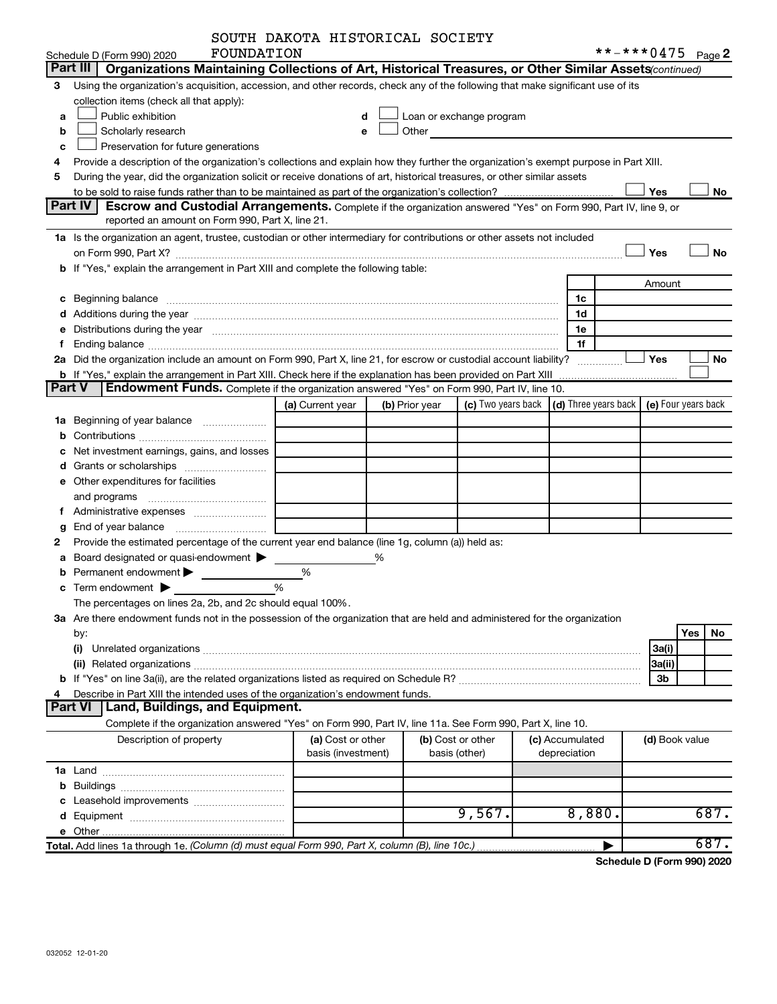|        |                                                                                                                                                                                                                                | SOUTH DAKOTA HISTORICAL SOCIETY |   |                |                                                                                                                                                                                                                               |                                                         |                     |           |
|--------|--------------------------------------------------------------------------------------------------------------------------------------------------------------------------------------------------------------------------------|---------------------------------|---|----------------|-------------------------------------------------------------------------------------------------------------------------------------------------------------------------------------------------------------------------------|---------------------------------------------------------|---------------------|-----------|
|        | FOUNDATION<br>Schedule D (Form 990) 2020                                                                                                                                                                                       |                                 |   |                |                                                                                                                                                                                                                               |                                                         | **-***0475 Page 2   |           |
|        | Part III   Organizations Maintaining Collections of Art, Historical Treasures, or Other Similar Assets(continued)                                                                                                              |                                 |   |                |                                                                                                                                                                                                                               |                                                         |                     |           |
| 3      | Using the organization's acquisition, accession, and other records, check any of the following that make significant use of its                                                                                                |                                 |   |                |                                                                                                                                                                                                                               |                                                         |                     |           |
|        | collection items (check all that apply):                                                                                                                                                                                       |                                 |   |                |                                                                                                                                                                                                                               |                                                         |                     |           |
| a      | Public exhibition                                                                                                                                                                                                              |                                 |   |                | Loan or exchange program                                                                                                                                                                                                      |                                                         |                     |           |
| b      | Scholarly research                                                                                                                                                                                                             |                                 |   |                | Other and the contract of the contract of the contract of the contract of the contract of the contract of the contract of the contract of the contract of the contract of the contract of the contract of the contract of the |                                                         |                     |           |
| с      | Preservation for future generations                                                                                                                                                                                            |                                 |   |                |                                                                                                                                                                                                                               |                                                         |                     |           |
|        | Provide a description of the organization's collections and explain how they further the organization's exempt purpose in Part XIII.                                                                                           |                                 |   |                |                                                                                                                                                                                                                               |                                                         |                     |           |
| 5      | During the year, did the organization solicit or receive donations of art, historical treasures, or other similar assets                                                                                                       |                                 |   |                |                                                                                                                                                                                                                               |                                                         |                     |           |
|        |                                                                                                                                                                                                                                |                                 |   |                |                                                                                                                                                                                                                               |                                                         | Yes                 | No        |
|        | <b>Part IV</b><br><b>Escrow and Custodial Arrangements.</b> Complete if the organization answered "Yes" on Form 990, Part IV, line 9, or                                                                                       |                                 |   |                |                                                                                                                                                                                                                               |                                                         |                     |           |
|        | reported an amount on Form 990, Part X, line 21.                                                                                                                                                                               |                                 |   |                |                                                                                                                                                                                                                               |                                                         |                     |           |
|        | 1a Is the organization an agent, trustee, custodian or other intermediary for contributions or other assets not included                                                                                                       |                                 |   |                |                                                                                                                                                                                                                               |                                                         |                     |           |
|        |                                                                                                                                                                                                                                |                                 |   |                |                                                                                                                                                                                                                               |                                                         | Yes                 | <b>No</b> |
|        | b If "Yes," explain the arrangement in Part XIII and complete the following table:                                                                                                                                             |                                 |   |                |                                                                                                                                                                                                                               |                                                         |                     |           |
|        |                                                                                                                                                                                                                                |                                 |   |                |                                                                                                                                                                                                                               |                                                         | Amount              |           |
|        |                                                                                                                                                                                                                                |                                 |   |                |                                                                                                                                                                                                                               | 1c                                                      |                     |           |
|        |                                                                                                                                                                                                                                |                                 |   |                |                                                                                                                                                                                                                               | 1d                                                      |                     |           |
|        | e Distributions during the year manufactured and contained and contained and the year manufactured and contained and the year manufactured and contained and contained and contained and contained and contained and contained |                                 |   |                |                                                                                                                                                                                                                               | 1e                                                      |                     |           |
|        |                                                                                                                                                                                                                                |                                 |   |                |                                                                                                                                                                                                                               | 1f                                                      |                     |           |
|        | 2a Did the organization include an amount on Form 990, Part X, line 21, for escrow or custodial account liability?                                                                                                             |                                 |   |                |                                                                                                                                                                                                                               | .                                                       | Yes                 | No        |
|        | <b>b</b> If "Yes," explain the arrangement in Part XIII. Check here if the explanation has been provided on Part XIII                                                                                                          |                                 |   |                |                                                                                                                                                                                                                               |                                                         |                     |           |
| Part V | <b>Endowment Funds.</b> Complete if the organization answered "Yes" on Form 990, Part IV, line 10.                                                                                                                             |                                 |   |                |                                                                                                                                                                                                                               |                                                         |                     |           |
|        |                                                                                                                                                                                                                                | (a) Current year                |   | (b) Prior year |                                                                                                                                                                                                                               | (c) Two years back $\vert$ (d) Three years back $\vert$ | (e) Four years back |           |
|        |                                                                                                                                                                                                                                |                                 |   |                |                                                                                                                                                                                                                               |                                                         |                     |           |
|        |                                                                                                                                                                                                                                |                                 |   |                |                                                                                                                                                                                                                               |                                                         |                     |           |
|        | Net investment earnings, gains, and losses                                                                                                                                                                                     |                                 |   |                |                                                                                                                                                                                                                               |                                                         |                     |           |
|        |                                                                                                                                                                                                                                |                                 |   |                |                                                                                                                                                                                                                               |                                                         |                     |           |
|        | e Other expenditures for facilities                                                                                                                                                                                            |                                 |   |                |                                                                                                                                                                                                                               |                                                         |                     |           |
|        |                                                                                                                                                                                                                                |                                 |   |                |                                                                                                                                                                                                                               |                                                         |                     |           |
|        |                                                                                                                                                                                                                                |                                 |   |                |                                                                                                                                                                                                                               |                                                         |                     |           |
| g      |                                                                                                                                                                                                                                |                                 |   |                |                                                                                                                                                                                                                               |                                                         |                     |           |
|        | Provide the estimated percentage of the current year end balance (line 1g, column (a)) held as:                                                                                                                                |                                 |   |                |                                                                                                                                                                                                                               |                                                         |                     |           |
|        | a Board designated or quasi-endowment >                                                                                                                                                                                        |                                 | % |                |                                                                                                                                                                                                                               |                                                         |                     |           |
|        | Permanent endowment >                                                                                                                                                                                                          | %                               |   |                |                                                                                                                                                                                                                               |                                                         |                     |           |
|        | <b>c</b> Term endowment $\blacktriangleright$<br>%                                                                                                                                                                             |                                 |   |                |                                                                                                                                                                                                                               |                                                         |                     |           |
|        | The percentages on lines 2a, 2b, and 2c should equal 100%.                                                                                                                                                                     |                                 |   |                |                                                                                                                                                                                                                               |                                                         |                     |           |
|        | 3a Are there endowment funds not in the possession of the organization that are held and administered for the organization                                                                                                     |                                 |   |                |                                                                                                                                                                                                                               |                                                         |                     |           |
|        | by:                                                                                                                                                                                                                            |                                 |   |                |                                                                                                                                                                                                                               |                                                         | Yes                 | No        |
|        | (i)                                                                                                                                                                                                                            |                                 |   |                |                                                                                                                                                                                                                               |                                                         | 3a(i)               |           |
|        |                                                                                                                                                                                                                                |                                 |   |                |                                                                                                                                                                                                                               |                                                         | 3a(ii)              |           |
|        | Describe in Part XIII the intended uses of the organization's endowment funds.                                                                                                                                                 |                                 |   |                |                                                                                                                                                                                                                               |                                                         | 3b                  |           |
|        | Land, Buildings, and Equipment.<br><b>Part VI</b>                                                                                                                                                                              |                                 |   |                |                                                                                                                                                                                                                               |                                                         |                     |           |
|        | Complete if the organization answered "Yes" on Form 990, Part IV, line 11a. See Form 990, Part X, line 10.                                                                                                                     |                                 |   |                |                                                                                                                                                                                                                               |                                                         |                     |           |
|        | Description of property                                                                                                                                                                                                        | (a) Cost or other               |   |                | (b) Cost or other                                                                                                                                                                                                             | (c) Accumulated                                         | (d) Book value      |           |
|        |                                                                                                                                                                                                                                | basis (investment)              |   |                | basis (other)                                                                                                                                                                                                                 | depreciation                                            |                     |           |
|        |                                                                                                                                                                                                                                |                                 |   |                |                                                                                                                                                                                                                               |                                                         |                     |           |
|        |                                                                                                                                                                                                                                |                                 |   |                |                                                                                                                                                                                                                               |                                                         |                     |           |
|        |                                                                                                                                                                                                                                |                                 |   |                |                                                                                                                                                                                                                               |                                                         |                     |           |
|        |                                                                                                                                                                                                                                |                                 |   |                | 9,567.                                                                                                                                                                                                                        | 8,880.                                                  |                     | 687.      |
|        |                                                                                                                                                                                                                                |                                 |   |                |                                                                                                                                                                                                                               |                                                         |                     |           |
|        | Total. Add lines 1a through 1e. (Column (d) must equal Form 990, Part X, column (B), line 10c.)                                                                                                                                |                                 |   |                |                                                                                                                                                                                                                               |                                                         |                     | 687.      |
|        |                                                                                                                                                                                                                                |                                 |   |                |                                                                                                                                                                                                                               |                                                         |                     |           |

**Schedule D (Form 990) 2020**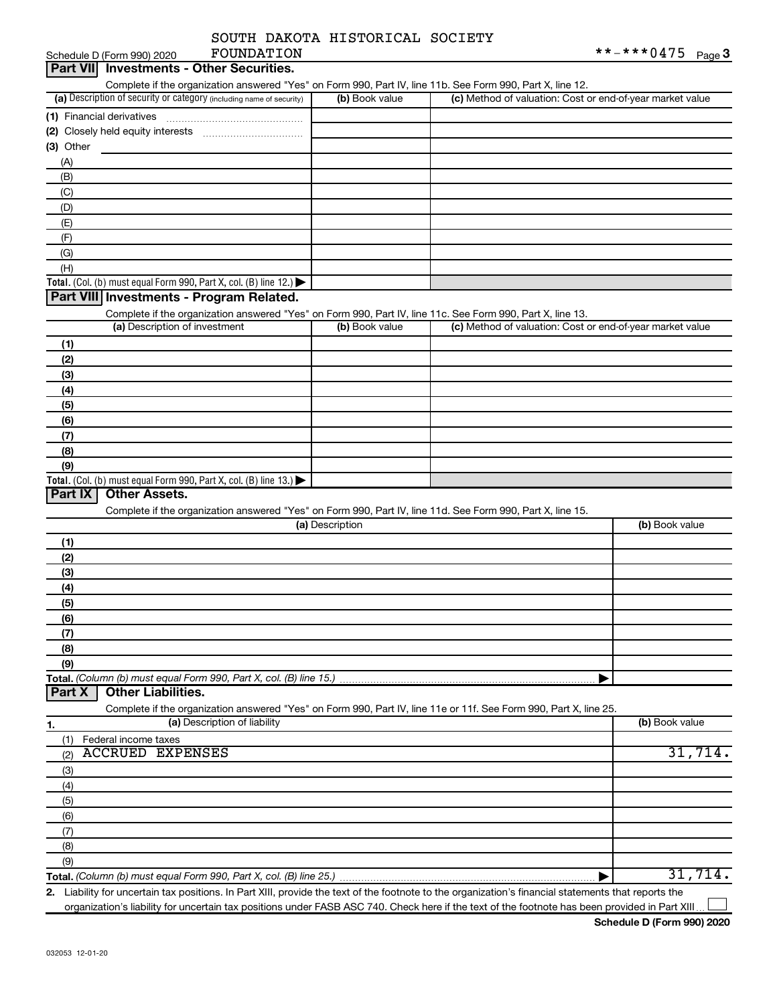|  | SOUTH DAKOTA HISTORICAL SOCIETY |  |
|--|---------------------------------|--|
|  |                                 |  |

|           | FOUNDATION<br>Schedule D (Form 990) 2020                                                                          |                 |                                                           | **-***0475<br>Page $3$ |
|-----------|-------------------------------------------------------------------------------------------------------------------|-----------------|-----------------------------------------------------------|------------------------|
|           | Part VII Investments - Other Securities.                                                                          |                 |                                                           |                        |
|           | Complete if the organization answered "Yes" on Form 990, Part IV, line 11b. See Form 990, Part X, line 12.        |                 |                                                           |                        |
|           | (a) Description of security or category (including name of security)                                              | (b) Book value  | (c) Method of valuation: Cost or end-of-year market value |                        |
|           |                                                                                                                   |                 |                                                           |                        |
|           |                                                                                                                   |                 |                                                           |                        |
| (3) Other |                                                                                                                   |                 |                                                           |                        |
|           |                                                                                                                   |                 |                                                           |                        |
| (A)       |                                                                                                                   |                 |                                                           |                        |
| (B)       |                                                                                                                   |                 |                                                           |                        |
| (C)       |                                                                                                                   |                 |                                                           |                        |
| (D)       |                                                                                                                   |                 |                                                           |                        |
| (E)       |                                                                                                                   |                 |                                                           |                        |
| (F)       |                                                                                                                   |                 |                                                           |                        |
| (G)       |                                                                                                                   |                 |                                                           |                        |
| (H)       |                                                                                                                   |                 |                                                           |                        |
|           | Total. (Col. (b) must equal Form 990, Part X, col. (B) line 12.) $\blacktriangleright$                            |                 |                                                           |                        |
|           | Part VIII Investments - Program Related.                                                                          |                 |                                                           |                        |
|           | Complete if the organization answered "Yes" on Form 990, Part IV, line 11c. See Form 990, Part X, line 13.        |                 |                                                           |                        |
|           | (a) Description of investment                                                                                     | (b) Book value  | (c) Method of valuation: Cost or end-of-year market value |                        |
| (1)       |                                                                                                                   |                 |                                                           |                        |
| (2)       |                                                                                                                   |                 |                                                           |                        |
|           |                                                                                                                   |                 |                                                           |                        |
| (3)       |                                                                                                                   |                 |                                                           |                        |
| (4)       |                                                                                                                   |                 |                                                           |                        |
| (5)       |                                                                                                                   |                 |                                                           |                        |
| (6)       |                                                                                                                   |                 |                                                           |                        |
| (7)       |                                                                                                                   |                 |                                                           |                        |
| (8)       |                                                                                                                   |                 |                                                           |                        |
| (9)       |                                                                                                                   |                 |                                                           |                        |
|           | Total. (Col. (b) must equal Form 990, Part X, col. (B) line 13.) $\blacktriangleright$                            |                 |                                                           |                        |
| Part IX   | <b>Other Assets.</b>                                                                                              |                 |                                                           |                        |
|           | Complete if the organization answered "Yes" on Form 990, Part IV, line 11d. See Form 990, Part X, line 15.        |                 |                                                           |                        |
|           |                                                                                                                   | (a) Description |                                                           | (b) Book value         |
| (1)       |                                                                                                                   |                 |                                                           |                        |
| (2)       |                                                                                                                   |                 |                                                           |                        |
| (3)       |                                                                                                                   |                 |                                                           |                        |
|           |                                                                                                                   |                 |                                                           |                        |
| (4)       |                                                                                                                   |                 |                                                           |                        |
| (5)       |                                                                                                                   |                 |                                                           |                        |
| (6)       |                                                                                                                   |                 |                                                           |                        |
| (7)       |                                                                                                                   |                 |                                                           |                        |
| (8)       |                                                                                                                   |                 |                                                           |                        |
| (9)       |                                                                                                                   |                 |                                                           |                        |
|           | Total. (Column (b) must equal Form 990, Part X, col. (B) line 15.)                                                |                 |                                                           |                        |
| Part X    | <b>Other Liabilities.</b>                                                                                         |                 |                                                           |                        |
|           | Complete if the organization answered "Yes" on Form 990, Part IV, line 11e or 11f. See Form 990, Part X, line 25. |                 |                                                           |                        |
| 1.        | (a) Description of liability                                                                                      |                 |                                                           | (b) Book value         |
| (1)       | Federal income taxes                                                                                              |                 |                                                           |                        |
| (2)       | <b>ACCRUED EXPENSES</b>                                                                                           |                 |                                                           | 31,714.                |
| (3)       |                                                                                                                   |                 |                                                           |                        |
|           |                                                                                                                   |                 |                                                           |                        |
| (4)       |                                                                                                                   |                 |                                                           |                        |
| (5)       |                                                                                                                   |                 |                                                           |                        |
| (6)       |                                                                                                                   |                 |                                                           |                        |
| (7)       |                                                                                                                   |                 |                                                           |                        |
| (8)       |                                                                                                                   |                 |                                                           |                        |
| (9)       |                                                                                                                   |                 |                                                           |                        |
|           |                                                                                                                   |                 | ▶                                                         | 31,714.                |

**2.** Liability for uncertain tax positions. In Part XIII, provide the text of the footnote to the organization's financial statements that reports the organization's liability for uncertain tax positions under FASB ASC 740. Check here if the text of the footnote has been provided in Part XIII.  $\Box$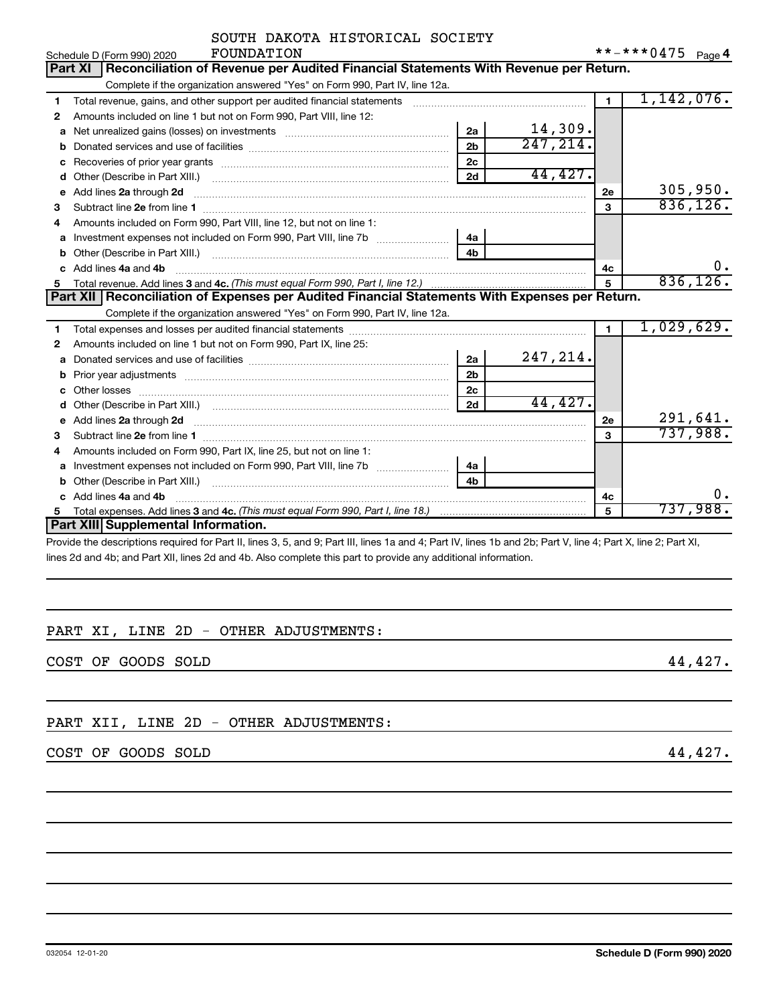| Schedule D (Form 990) 2020          | FOUNDATION                                                                                                                                                                                                                          |                |           |                | **-***0475 $Page4$ |           |
|-------------------------------------|-------------------------------------------------------------------------------------------------------------------------------------------------------------------------------------------------------------------------------------|----------------|-----------|----------------|--------------------|-----------|
| Part XI                             | Reconciliation of Revenue per Audited Financial Statements With Revenue per Return.                                                                                                                                                 |                |           |                |                    |           |
|                                     | Complete if the organization answered "Yes" on Form 990, Part IV, line 12a.                                                                                                                                                         |                |           |                |                    |           |
| 1                                   | Total revenue, gains, and other support per audited financial statements [111] [11] Total revenue, gains, and other support per audited financial statements                                                                        |                |           | $\blacksquare$ | 1,142,076.         |           |
| $\mathbf{2}$                        | Amounts included on line 1 but not on Form 990, Part VIII, line 12:                                                                                                                                                                 |                |           |                |                    |           |
| a                                   | Net unrealized gains (losses) on investments [111] Met unrealized mains (losses) on investments [11] Metaman mains and the unrealized mains and the unrealized mains and the unrealized mains and the unrealized mains and the      | 2a             | 14,309.   |                |                    |           |
| b                                   |                                                                                                                                                                                                                                     | 2 <sub>b</sub> | 247, 214. |                |                    |           |
| с                                   |                                                                                                                                                                                                                                     | 2 <sub>c</sub> |           |                |                    |           |
| d                                   |                                                                                                                                                                                                                                     | 2d             | 44,427.   |                |                    |           |
| Add lines 2a through 2d<br>е        |                                                                                                                                                                                                                                     |                |           | 2е             |                    | 305,950.  |
| 3                                   |                                                                                                                                                                                                                                     |                |           | $\mathbf{a}$   |                    | 836, 126. |
| 4                                   | Amounts included on Form 990. Part VIII. line 12, but not on line 1:                                                                                                                                                                |                |           |                |                    |           |
| а                                   | Investment expenses not included on Form 990, Part VIII, line 7b [ <i>[[[[[[[[[[[]]]</i> ]                                                                                                                                          | 4a             |           |                |                    |           |
| b                                   |                                                                                                                                                                                                                                     | 4 <sub>h</sub> |           |                |                    |           |
| Add lines 4a and 4b<br>c.           |                                                                                                                                                                                                                                     |                |           | 4с             |                    | 0.        |
| 5                                   |                                                                                                                                                                                                                                     |                |           | 5              |                    | 836, 126. |
|                                     | Part XII   Reconciliation of Expenses per Audited Financial Statements With Expenses per Return.                                                                                                                                    |                |           |                |                    |           |
|                                     | Complete if the organization answered "Yes" on Form 990, Part IV, line 12a.                                                                                                                                                         |                |           |                |                    |           |
| 1                                   |                                                                                                                                                                                                                                     |                |           | $\mathbf{1}$   | 1,029,629.         |           |
| $\mathbf{2}$                        | Amounts included on line 1 but not on Form 990, Part IX, line 25:                                                                                                                                                                   |                |           |                |                    |           |
| a                                   | Donated services and use of facilities <b>Example 20</b> Figures 1                                                                                                                                                                  | 2a             | 247,214.  |                |                    |           |
| b                                   |                                                                                                                                                                                                                                     | 2 <sub>b</sub> |           |                |                    |           |
| c                                   |                                                                                                                                                                                                                                     | 2 <sub>c</sub> |           |                |                    |           |
| d                                   | Other (Describe in Part XIII.) <b>Example 2</b> and 2 and 2 and 2 and 2 and 2 and 2 and 2 and 2 and 2 and 2 and 2 and 2 and 2 and 2 and 2 and 2 and 2 and 2 and 2 and 2 and 2 and 2 and 2 and 2 and 2 and 2 and 2 and 2 and 2 and 2 | 2d             | 44,427.   |                |                    |           |
| е                                   | Add lines 2a through 2d <b>contained a contained a contained a contained a</b> contained a contained a contained a contained a contained a contained a contained a contained a contained a contained a contained a contained a cont |                |           | 2e             |                    | 291,641.  |
| З                                   |                                                                                                                                                                                                                                     |                |           | 3              |                    | 737,988.  |
| 4                                   | Amounts included on Form 990, Part IX, line 25, but not on line 1:                                                                                                                                                                  |                |           |                |                    |           |
| a                                   |                                                                                                                                                                                                                                     | 4a             |           |                |                    |           |
| b                                   |                                                                                                                                                                                                                                     | 4 <sub>h</sub> |           |                |                    |           |
| Add lines 4a and 4b<br>c.           |                                                                                                                                                                                                                                     |                |           | 4c             |                    | 0.        |
| 5                                   |                                                                                                                                                                                                                                     |                |           | 5              |                    | 737,988.  |
| Part XIII Supplemental Information. |                                                                                                                                                                                                                                     |                |           |                |                    |           |
|                                     | Provide the descriptions required for Part II lines 3, 5, and 9; Part III lines 1a and 4; Part IV lines 1b and 2b; Part V line 4; Part X line 2; Part XI                                                                            |                |           |                |                    |           |

le the descriptions required for Part II, lines 3, 5, and 9; Part III, lines 1a and 4; Part IV, lines 1b and 2b; Part V, line 4; Part X, line 2; Part XI, lines 2d and 4b; and Part XII, lines 2d and 4b. Also complete this part to provide any additional information.

## PART XI, LINE 2D - OTHER ADJUSTMENTS:

COST OF GOODS SOLD 44,427.

# PART XII, LINE 2D - OTHER ADJUSTMENTS:

## COST OF GOODS SOLD 44,427.

SOUTH DAKOTA HISTORICAL SOCIETY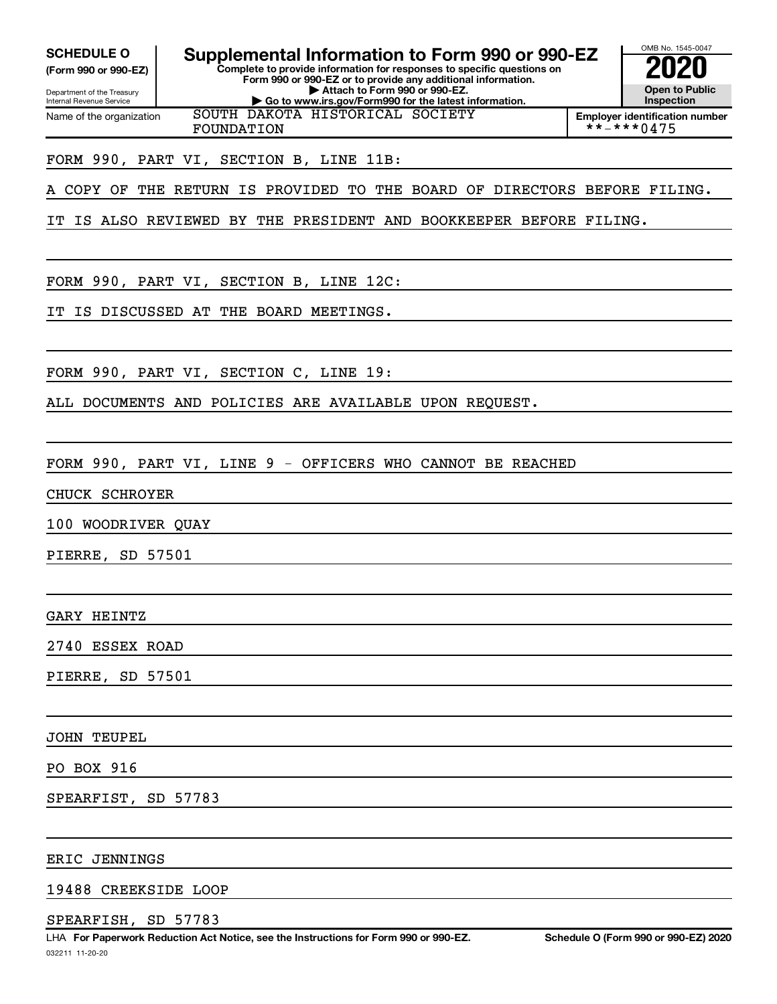Internal Revenue Service

Department of the Treasury **(Form 990 or 990-EZ)**

Name of the organization

**SCHEDULE O Supplemental Information to Form 990 or 990-EZ 2020** 

**Complete to provide information for responses to specific questions on Form 990 or 990-EZ or to provide any additional information. | Attach to Form 990 or 990-EZ. | Go to www.irs.gov/Form990 for the latest information.**



OMB No. 1545-0047

**Employer identification number** FOUNDATION \*\*-\*\*\*0475

FORM 990, PART VI, SECTION B, LINE 11B:

A COPY OF THE RETURN IS PROVIDED TO THE BOARD OF DIRECTORS BEFORE FILING.

IT IS ALSO REVIEWED BY THE PRESIDENT AND BOOKKEEPER BEFORE FILING.

SOUTH DAKOTA HISTORICAL SOCIETY

FORM 990, PART VI, SECTION B, LINE 12C:

IT IS DISCUSSED AT THE BOARD MEETINGS.

FORM 990, PART VI, SECTION C, LINE 19:

ALL DOCUMENTS AND POLICIES ARE AVAILABLE UPON REQUEST.

FORM 990, PART VI, LINE 9 - OFFICERS WHO CANNOT BE REACHED

CHUCK SCHROYER

100 WOODRIVER QUAY

PIERRE, SD 57501

GARY HEINTZ

2740 ESSEX ROAD

PIERRE, SD 57501

#### JOHN TEUPEL

PO BOX 916

SPEARFIST, SD 57783

#### ERIC JENNINGS

19488 CREEKSIDE LOOP

#### SPEARFISH, SD 57783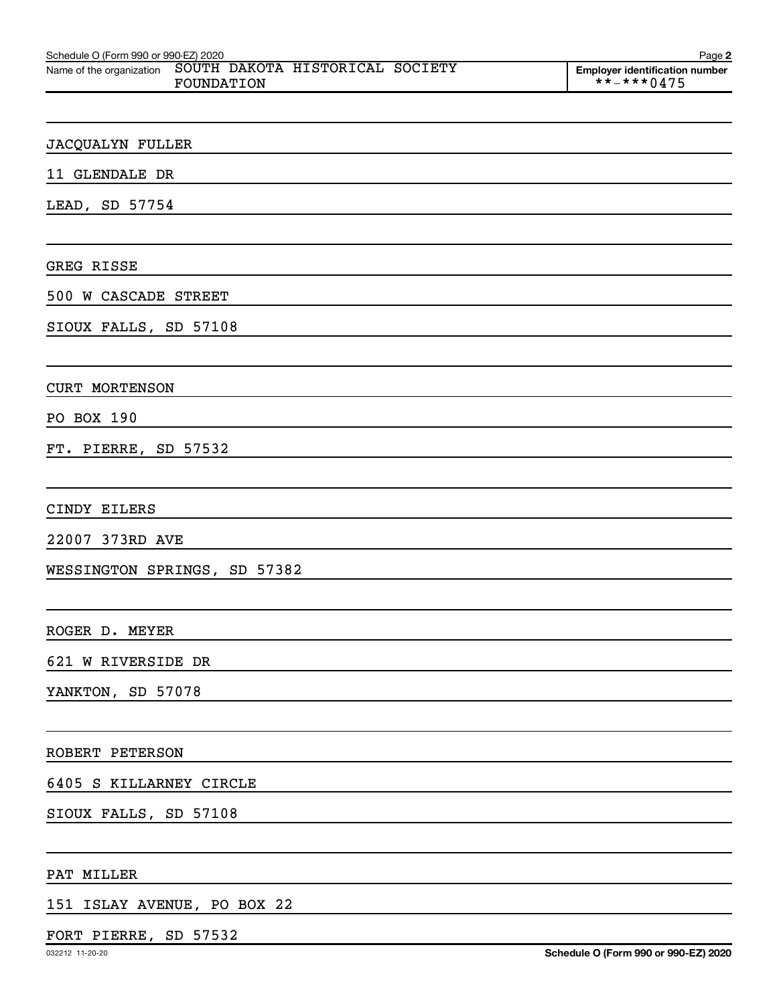| Schedule O (Form 990 or 990-EZ) 2020 |                                               | Page 2                                              |
|--------------------------------------|-----------------------------------------------|-----------------------------------------------------|
| Name of the organization             | SOUTH DAKOTA HISTORICAL SOCIETY<br>FOUNDATION | <b>Employer identification number</b><br>**-***0475 |
|                                      |                                               |                                                     |
|                                      |                                               |                                                     |
| <b>JACQUALYN FULLER</b>              |                                               |                                                     |
| 11 GLENDALE DR                       |                                               |                                                     |
| LEAD, SD 57754                       |                                               |                                                     |
|                                      |                                               |                                                     |
| GREG RISSE                           |                                               |                                                     |
| 500 W CASCADE STREET                 |                                               |                                                     |
| SIOUX FALLS, SD 57108                |                                               |                                                     |
|                                      |                                               |                                                     |
| <b>CURT MORTENSON</b>                |                                               |                                                     |
| PO BOX 190                           |                                               |                                                     |
| FT. PIERRE, SD 57532                 |                                               |                                                     |
|                                      |                                               |                                                     |
| CINDY EILERS                         |                                               |                                                     |
| 22007 373RD AVE                      |                                               |                                                     |
|                                      | WESSINGTON SPRINGS, SD 57382                  |                                                     |
|                                      |                                               |                                                     |
| ROGER D. MEYER                       |                                               |                                                     |
| 621 W RIVERSIDE DR                   |                                               |                                                     |
| YANKTON, SD 57078                    |                                               |                                                     |
|                                      |                                               |                                                     |
| ROBERT PETERSON                      |                                               |                                                     |
| 6405 S KILLARNEY CIRCLE              |                                               |                                                     |
| SIOUX FALLS, SD 57108                |                                               |                                                     |
|                                      |                                               |                                                     |
| PAT MILLER                           |                                               |                                                     |
|                                      |                                               |                                                     |

151 ISLAY AVENUE, PO BOX 22

# FORT PIERRE, SD 57532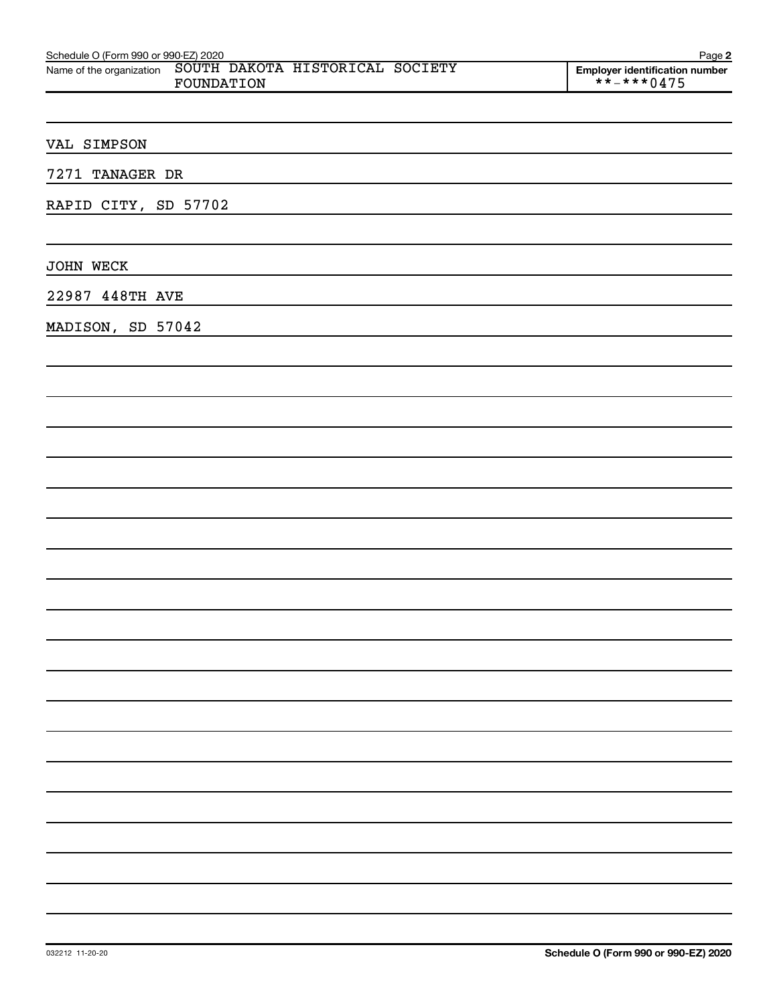| Schedule O (Form 990 or 990-EZ) 2020                                   | Page 2                                       |
|------------------------------------------------------------------------|----------------------------------------------|
| Name of the organization SOUTH DAKOTA HISTORICAL SOCIETY<br>FOUNDATION | Employer identification number<br>**-***0475 |
|                                                                        |                                              |
|                                                                        |                                              |
| VAL SIMPSON                                                            |                                              |
| 7271 TANAGER DR                                                        |                                              |
| RAPID CITY, SD 57702                                                   |                                              |
|                                                                        |                                              |
| JOHN WECK                                                              |                                              |
| 22987 448TH AVE                                                        |                                              |
| MADISON, SD 57042                                                      |                                              |
|                                                                        |                                              |
|                                                                        |                                              |
|                                                                        |                                              |
|                                                                        |                                              |
|                                                                        |                                              |
|                                                                        |                                              |
|                                                                        |                                              |
|                                                                        |                                              |
|                                                                        |                                              |
|                                                                        |                                              |
|                                                                        |                                              |
|                                                                        |                                              |
|                                                                        |                                              |
|                                                                        |                                              |
|                                                                        |                                              |
|                                                                        |                                              |
|                                                                        |                                              |
|                                                                        |                                              |
|                                                                        |                                              |
|                                                                        |                                              |
|                                                                        |                                              |
|                                                                        |                                              |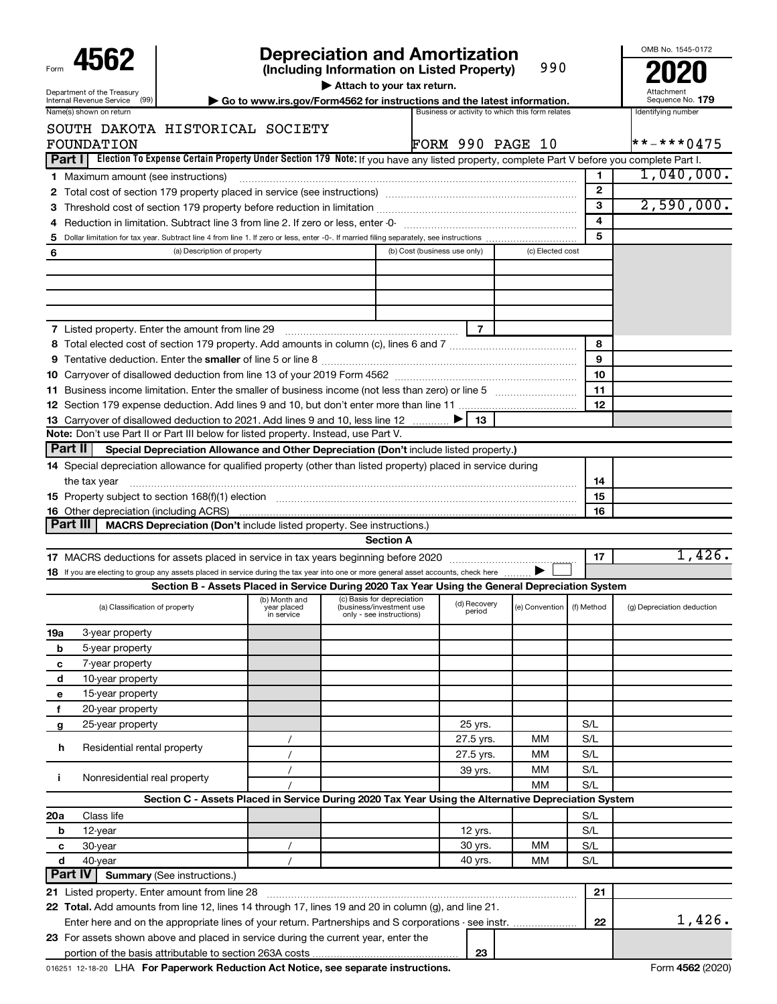|                                                                                                                                                                                                                                |                           | <b>Depreciation and Amortization</b>                                                                                                                |                                                 |                             |              | OMB No. 1545-0172          |
|--------------------------------------------------------------------------------------------------------------------------------------------------------------------------------------------------------------------------------|---------------------------|-----------------------------------------------------------------------------------------------------------------------------------------------------|-------------------------------------------------|-----------------------------|--------------|----------------------------|
| 4562                                                                                                                                                                                                                           |                           | (Including Information on Listed Property)                                                                                                          |                                                 | 990                         |              |                            |
| Department of the Treasury<br>(99)<br>Internal Revenue Service                                                                                                                                                                 |                           | Attach to your tax return.<br>Go to www.irs.gov/Form4562 for instructions and the latest information.                                               |                                                 |                             |              | Sequence No. 179           |
| Name(s) shown on return                                                                                                                                                                                                        |                           |                                                                                                                                                     | Business or activity to which this form relates |                             |              | Identifying number         |
| SOUTH DAKOTA HISTORICAL SOCIETY                                                                                                                                                                                                |                           |                                                                                                                                                     |                                                 |                             |              |                            |
| FOUNDATION                                                                                                                                                                                                                     |                           |                                                                                                                                                     | <b>FORM 990 PAGE 10</b>                         |                             |              | $* * * * * 0475$           |
| Election To Expense Certain Property Under Section 179 Note: If you have any listed property, complete Part V before you complete Part I.<br>Part II                                                                           |                           |                                                                                                                                                     |                                                 |                             |              |                            |
| <b>1</b> Maximum amount (see instructions)                                                                                                                                                                                     |                           |                                                                                                                                                     |                                                 |                             | 1            | 1,040,000.                 |
|                                                                                                                                                                                                                                |                           |                                                                                                                                                     |                                                 |                             | $\mathbf{2}$ |                            |
|                                                                                                                                                                                                                                |                           |                                                                                                                                                     |                                                 |                             | 3            | 2,590,000.                 |
| 4                                                                                                                                                                                                                              |                           |                                                                                                                                                     |                                                 |                             | 4            |                            |
| 5                                                                                                                                                                                                                              |                           |                                                                                                                                                     |                                                 |                             | 5            |                            |
| (a) Description of property<br>6                                                                                                                                                                                               |                           |                                                                                                                                                     | (b) Cost (business use only)                    | (c) Elected cost            |              |                            |
|                                                                                                                                                                                                                                |                           |                                                                                                                                                     |                                                 |                             |              |                            |
|                                                                                                                                                                                                                                |                           |                                                                                                                                                     |                                                 |                             |              |                            |
|                                                                                                                                                                                                                                |                           |                                                                                                                                                     |                                                 |                             |              |                            |
|                                                                                                                                                                                                                                |                           |                                                                                                                                                     |                                                 |                             |              |                            |
| <b>7</b> Listed property. Enter the amount from line 29                                                                                                                                                                        |                           |                                                                                                                                                     | $\overline{7}$                                  |                             |              |                            |
|                                                                                                                                                                                                                                |                           |                                                                                                                                                     |                                                 |                             | 8            |                            |
|                                                                                                                                                                                                                                |                           |                                                                                                                                                     |                                                 |                             | 9            |                            |
|                                                                                                                                                                                                                                |                           |                                                                                                                                                     |                                                 |                             | 10           |                            |
|                                                                                                                                                                                                                                |                           |                                                                                                                                                     |                                                 |                             | 11           |                            |
|                                                                                                                                                                                                                                |                           |                                                                                                                                                     |                                                 |                             | 12           |                            |
|                                                                                                                                                                                                                                |                           |                                                                                                                                                     |                                                 |                             |              |                            |
| 13 Carryover of disallowed deduction to 2021. Add lines 9 and 10, less line 12<br>Note: Don't use Part II or Part III below for listed property. Instead, use Part V.                                                          |                           |                                                                                                                                                     | 13.                                             |                             |              |                            |
| Part II<br>Special Depreciation Allowance and Other Depreciation (Don't include listed property.)                                                                                                                              |                           |                                                                                                                                                     |                                                 |                             |              |                            |
|                                                                                                                                                                                                                                |                           |                                                                                                                                                     |                                                 |                             |              |                            |
| 14 Special depreciation allowance for qualified property (other than listed property) placed in service during                                                                                                                 |                           |                                                                                                                                                     |                                                 |                             |              |                            |
| the tax year                                                                                                                                                                                                                   |                           |                                                                                                                                                     |                                                 |                             | 14           |                            |
| 15 Property subject to section 168(f)(1) election manufactured content to the content of the content of the content of the content of the content of the content of the content of the content of the content of the content o |                           |                                                                                                                                                     |                                                 |                             | 15           |                            |
| <b>16</b> Other depreciation (including ACRS)<br>Part III                                                                                                                                                                      |                           |                                                                                                                                                     |                                                 |                             | 16           |                            |
| <b>MACRS Depreciation (Don't include listed property. See instructions.)</b>                                                                                                                                                   |                           | <b>Section A</b>                                                                                                                                    |                                                 |                             |              |                            |
|                                                                                                                                                                                                                                |                           |                                                                                                                                                     |                                                 |                             |              | 1,426.                     |
|                                                                                                                                                                                                                                |                           |                                                                                                                                                     |                                                 |                             | 17           |                            |
| 18 If you are electing to group any assets placed in service during the tax year into one or more general asset accounts, check here                                                                                           |                           |                                                                                                                                                     |                                                 |                             |              |                            |
|                                                                                                                                                                                                                                |                           | Section B - Assets Placed in Service During 2020 Tax Year Using the General Depreciation System                                                     |                                                 |                             |              |                            |
| (a) Classification of property                                                                                                                                                                                                 | year placed<br>in service | (b) Month and (c) Basis for depreciation (d) Recovery $\begin{bmatrix} 1 & 0 \end{bmatrix}$<br>(business/investment use<br>only - see instructions) | period                                          | (e) Convention   (f) Method |              | (g) Depreciation deduction |
| 3-year property<br>19a                                                                                                                                                                                                         |                           |                                                                                                                                                     |                                                 |                             |              |                            |
|                                                                                                                                                                                                                                |                           |                                                                                                                                                     |                                                 |                             |              |                            |
| b                                                                                                                                                                                                                              |                           |                                                                                                                                                     |                                                 |                             |              |                            |
| 5-year property<br>С                                                                                                                                                                                                           |                           |                                                                                                                                                     |                                                 |                             |              |                            |
| 7-year property                                                                                                                                                                                                                |                           |                                                                                                                                                     |                                                 |                             |              |                            |
| d<br>10-year property<br>е                                                                                                                                                                                                     |                           |                                                                                                                                                     |                                                 |                             |              |                            |
| 15-year property<br>f                                                                                                                                                                                                          |                           |                                                                                                                                                     |                                                 |                             |              |                            |
| 20-year property                                                                                                                                                                                                               |                           |                                                                                                                                                     |                                                 |                             |              |                            |
| 25-year property<br>g                                                                                                                                                                                                          |                           |                                                                                                                                                     | 25 yrs.                                         |                             | S/L          |                            |
| Residential rental property<br>h                                                                                                                                                                                               |                           |                                                                                                                                                     | 27.5 yrs.                                       | MМ                          | S/L          |                            |
|                                                                                                                                                                                                                                |                           |                                                                                                                                                     | 27.5 yrs.                                       | MМ                          | S/L          |                            |
| j.<br>Nonresidential real property                                                                                                                                                                                             |                           |                                                                                                                                                     | 39 yrs.                                         | MМ                          | S/L          |                            |
|                                                                                                                                                                                                                                |                           |                                                                                                                                                     |                                                 | <b>MM</b>                   | S/L          |                            |
|                                                                                                                                                                                                                                |                           | Section C - Assets Placed in Service During 2020 Tax Year Using the Alternative Depreciation System                                                 |                                                 |                             |              |                            |
| Class life<br>20a                                                                                                                                                                                                              |                           |                                                                                                                                                     |                                                 |                             | S/L          |                            |
| 12-year<br>b                                                                                                                                                                                                                   |                           |                                                                                                                                                     | 12 yrs.                                         |                             | S/L          |                            |
| 30-year<br>с                                                                                                                                                                                                                   |                           |                                                                                                                                                     | 30 yrs.                                         | MМ                          | S/L          |                            |
| d<br>40-year                                                                                                                                                                                                                   |                           |                                                                                                                                                     | 40 yrs.                                         | MМ                          | S/L          |                            |
| Part IV<br><b>Summary (See instructions.)</b><br>21 Listed property. Enter amount from line 28                                                                                                                                 |                           |                                                                                                                                                     |                                                 |                             | 21           |                            |

**23**

016251 12-18-20 LHA **For Paperwork Reduction Act Notice, see separate instructions. <b>Accord 1998 Accord 1998 Form 4562** (2020)

**23** For assets shown above and placed in service during the current year, enter the

portion of the basis attributable to section 263A costs